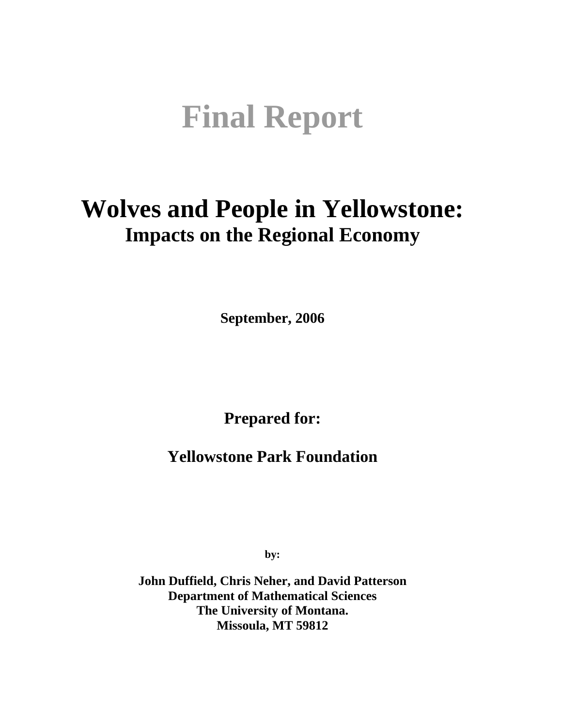# **Final Report**

# **Wolves and People in Yellowstone: Impacts on the Regional Economy**

**September, 2006** 

**Prepared for:** 

**Yellowstone Park Foundation** 

**by:** 

**John Duffield, Chris Neher, and David Patterson Department of Mathematical Sciences The University of Montana. Missoula, MT 59812**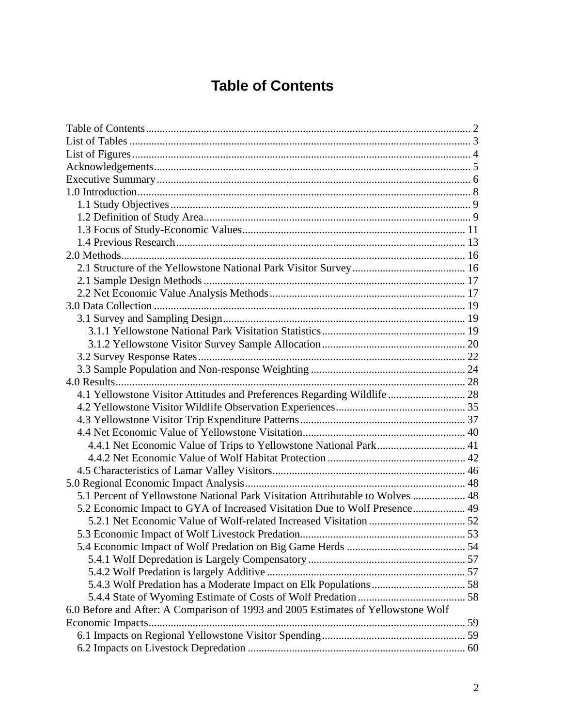# **Table of Contents**

| 4.1 Yellowstone Visitor Attitudes and Preferences Regarding Wildlife  28          |  |
|-----------------------------------------------------------------------------------|--|
|                                                                                   |  |
|                                                                                   |  |
|                                                                                   |  |
| 4.4.1 Net Economic Value of Trips to Yellowstone National Park 41                 |  |
|                                                                                   |  |
|                                                                                   |  |
|                                                                                   |  |
| 5.1 Percent of Yellowstone National Park Visitation Attributable to Wolves  48    |  |
| 5.2 Economic Impact to GYA of Increased Visitation Due to Wolf Presence 49        |  |
|                                                                                   |  |
|                                                                                   |  |
|                                                                                   |  |
|                                                                                   |  |
|                                                                                   |  |
|                                                                                   |  |
|                                                                                   |  |
| 6.0 Before and After: A Comparison of 1993 and 2005 Estimates of Yellowstone Wolf |  |
|                                                                                   |  |
|                                                                                   |  |
|                                                                                   |  |
|                                                                                   |  |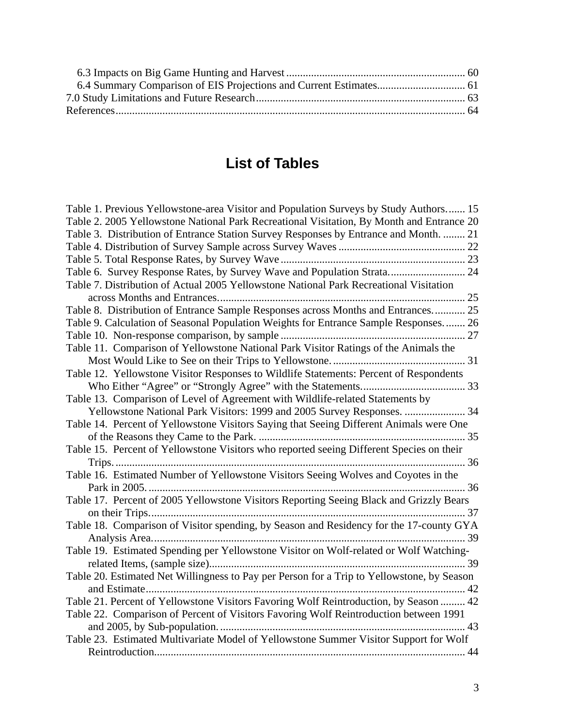# **List of Tables**

| Table 1. Previous Yellowstone-area Visitor and Population Surveys by Study Authors 15      |  |
|--------------------------------------------------------------------------------------------|--|
| Table 2. 2005 Yellowstone National Park Recreational Visitation, By Month and Entrance 20  |  |
| Table 3. Distribution of Entrance Station Survey Responses by Entrance and Month.  21      |  |
|                                                                                            |  |
|                                                                                            |  |
| Table 6. Survey Response Rates, by Survey Wave and Population Strata 24                    |  |
| Table 7. Distribution of Actual 2005 Yellowstone National Park Recreational Visitation     |  |
|                                                                                            |  |
| Table 8. Distribution of Entrance Sample Responses across Months and Entrances 25          |  |
| Table 9. Calculation of Seasonal Population Weights for Entrance Sample Responses 26       |  |
|                                                                                            |  |
| Table 11. Comparison of Yellowstone National Park Visitor Ratings of the Animals the       |  |
|                                                                                            |  |
| Table 12. Yellowstone Visitor Responses to Wildlife Statements: Percent of Respondents     |  |
|                                                                                            |  |
| Table 13. Comparison of Level of Agreement with Wildlife-related Statements by             |  |
| Yellowstone National Park Visitors: 1999 and 2005 Survey Responses.  34                    |  |
| Table 14. Percent of Yellowstone Visitors Saying that Seeing Different Animals were One    |  |
|                                                                                            |  |
| Table 15. Percent of Yellowstone Visitors who reported seeing Different Species on their   |  |
|                                                                                            |  |
| Table 16. Estimated Number of Yellowstone Visitors Seeing Wolves and Coyotes in the        |  |
|                                                                                            |  |
| Table 17. Percent of 2005 Yellowstone Visitors Reporting Seeing Black and Grizzly Bears    |  |
|                                                                                            |  |
| Table 18. Comparison of Visitor spending, by Season and Residency for the 17-county GYA    |  |
|                                                                                            |  |
| Table 19. Estimated Spending per Yellowstone Visitor on Wolf-related or Wolf Watching-     |  |
|                                                                                            |  |
| Table 20. Estimated Net Willingness to Pay per Person for a Trip to Yellowstone, by Season |  |
| Table 21. Percent of Yellowstone Visitors Favoring Wolf Reintroduction, by Season  42      |  |
|                                                                                            |  |
| Table 22. Comparison of Percent of Visitors Favoring Wolf Reintroduction between 1991      |  |
| Table 23. Estimated Multivariate Model of Yellowstone Summer Visitor Support for Wolf      |  |
|                                                                                            |  |
|                                                                                            |  |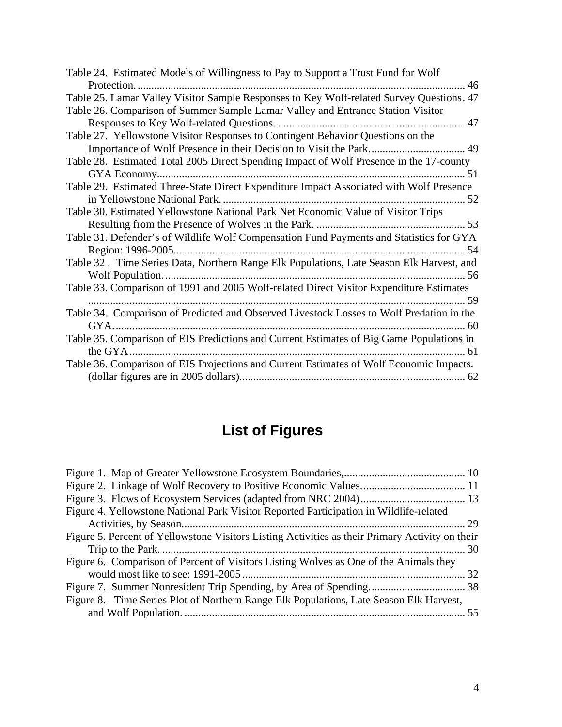| Table 24. Estimated Models of Willingness to Pay to Support a Trust Fund for Wolf        |
|------------------------------------------------------------------------------------------|
|                                                                                          |
| Table 25. Lamar Valley Visitor Sample Responses to Key Wolf-related Survey Questions. 47 |
| Table 26. Comparison of Summer Sample Lamar Valley and Entrance Station Visitor          |
|                                                                                          |
| Table 27. Yellowstone Visitor Responses to Contingent Behavior Questions on the          |
|                                                                                          |
| Table 28. Estimated Total 2005 Direct Spending Impact of Wolf Presence in the 17-county  |
|                                                                                          |
| Table 29. Estimated Three-State Direct Expenditure Impact Associated with Wolf Presence  |
|                                                                                          |
| Table 30. Estimated Yellowstone National Park Net Economic Value of Visitor Trips        |
|                                                                                          |
| Table 31. Defender's of Wildlife Wolf Compensation Fund Payments and Statistics for GYA  |
|                                                                                          |
| Table 32. Time Series Data, Northern Range Elk Populations, Late Season Elk Harvest, and |
|                                                                                          |
| Table 33. Comparison of 1991 and 2005 Wolf-related Direct Visitor Expenditure Estimates  |
|                                                                                          |
| Table 34. Comparison of Predicted and Observed Livestock Losses to Wolf Predation in the |
|                                                                                          |
| Table 35. Comparison of EIS Predictions and Current Estimates of Big Game Populations in |
|                                                                                          |
| Table 36. Comparison of EIS Projections and Current Estimates of Wolf Economic Impacts.  |
|                                                                                          |

# **List of Figures**

| Figure 4. Yellowstone National Park Visitor Reported Participation in Wildlife-related          |  |
|-------------------------------------------------------------------------------------------------|--|
|                                                                                                 |  |
| Figure 5. Percent of Yellowstone Visitors Listing Activities as their Primary Activity on their |  |
|                                                                                                 |  |
| Figure 6. Comparison of Percent of Visitors Listing Wolves as One of the Animals they           |  |
|                                                                                                 |  |
|                                                                                                 |  |
| Figure 8. Time Series Plot of Northern Range Elk Populations, Late Season Elk Harvest,          |  |
|                                                                                                 |  |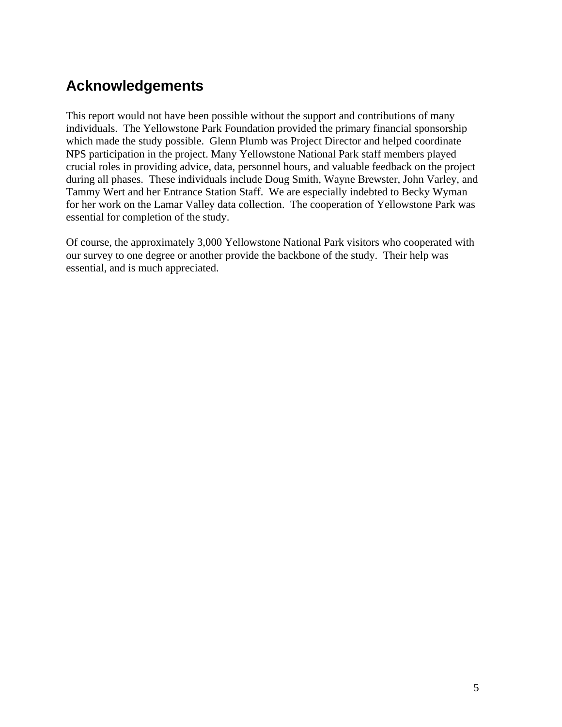# **Acknowledgements**

This report would not have been possible without the support and contributions of many individuals. The Yellowstone Park Foundation provided the primary financial sponsorship which made the study possible. Glenn Plumb was Project Director and helped coordinate NPS participation in the project. Many Yellowstone National Park staff members played crucial roles in providing advice, data, personnel hours, and valuable feedback on the project during all phases. These individuals include Doug Smith, Wayne Brewster, John Varley, and Tammy Wert and her Entrance Station Staff. We are especially indebted to Becky Wyman for her work on the Lamar Valley data collection. The cooperation of Yellowstone Park was essential for completion of the study.

Of course, the approximately 3,000 Yellowstone National Park visitors who cooperated with our survey to one degree or another provide the backbone of the study. Their help was essential, and is much appreciated.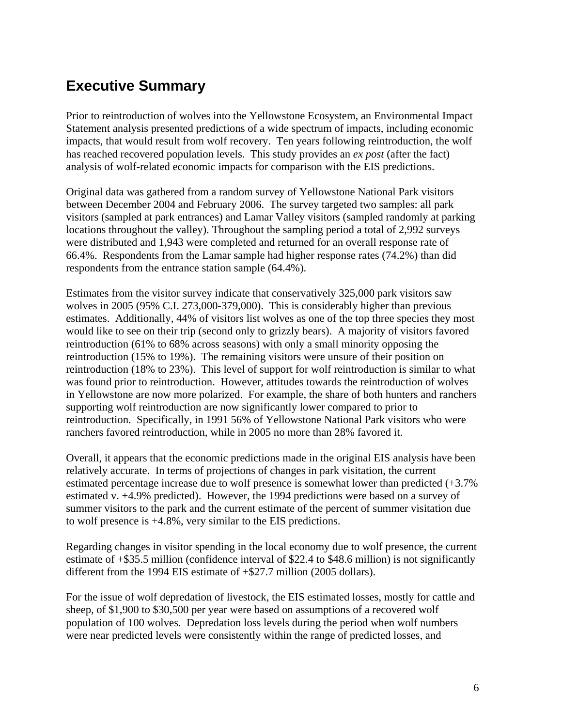# **Executive Summary**

Prior to reintroduction of wolves into the Yellowstone Ecosystem, an Environmental Impact Statement analysis presented predictions of a wide spectrum of impacts, including economic impacts, that would result from wolf recovery. Ten years following reintroduction, the wolf has reached recovered population levels. This study provides an *ex post* (after the fact) analysis of wolf-related economic impacts for comparison with the EIS predictions.

Original data was gathered from a random survey of Yellowstone National Park visitors between December 2004 and February 2006. The survey targeted two samples: all park visitors (sampled at park entrances) and Lamar Valley visitors (sampled randomly at parking locations throughout the valley). Throughout the sampling period a total of 2,992 surveys were distributed and 1,943 were completed and returned for an overall response rate of 66.4%. Respondents from the Lamar sample had higher response rates (74.2%) than did respondents from the entrance station sample (64.4%).

Estimates from the visitor survey indicate that conservatively 325,000 park visitors saw wolves in 2005 (95% C.I. 273,000-379,000). This is considerably higher than previous estimates. Additionally, 44% of visitors list wolves as one of the top three species they most would like to see on their trip (second only to grizzly bears). A majority of visitors favored reintroduction (61% to 68% across seasons) with only a small minority opposing the reintroduction (15% to 19%). The remaining visitors were unsure of their position on reintroduction (18% to 23%). This level of support for wolf reintroduction is similar to what was found prior to reintroduction. However, attitudes towards the reintroduction of wolves in Yellowstone are now more polarized. For example, the share of both hunters and ranchers supporting wolf reintroduction are now significantly lower compared to prior to reintroduction. Specifically, in 1991 56% of Yellowstone National Park visitors who were ranchers favored reintroduction, while in 2005 no more than 28% favored it.

Overall, it appears that the economic predictions made in the original EIS analysis have been relatively accurate. In terms of projections of changes in park visitation, the current estimated percentage increase due to wolf presence is somewhat lower than predicted (+3.7% estimated v. +4.9% predicted). However, the 1994 predictions were based on a survey of summer visitors to the park and the current estimate of the percent of summer visitation due to wolf presence is +4.8%, very similar to the EIS predictions.

Regarding changes in visitor spending in the local economy due to wolf presence, the current estimate of +\$35.5 million (confidence interval of \$22.4 to \$48.6 million) is not significantly different from the 1994 EIS estimate of +\$27.7 million (2005 dollars).

For the issue of wolf depredation of livestock, the EIS estimated losses, mostly for cattle and sheep, of \$1,900 to \$30,500 per year were based on assumptions of a recovered wolf population of 100 wolves. Depredation loss levels during the period when wolf numbers were near predicted levels were consistently within the range of predicted losses, and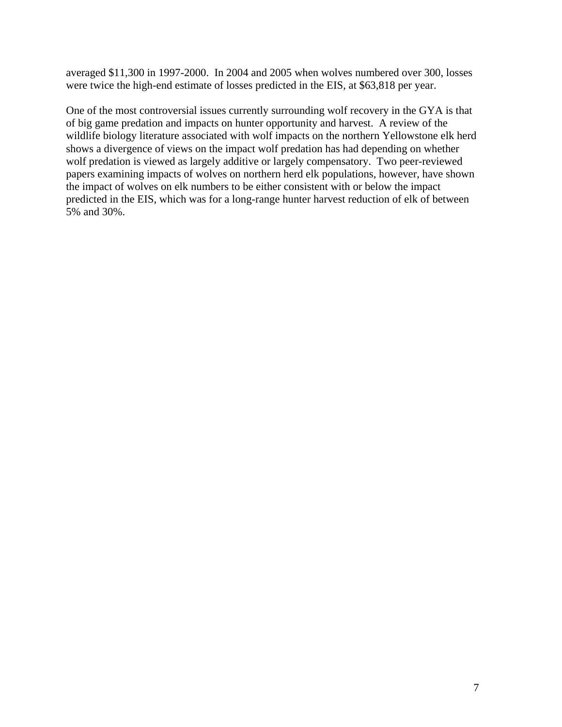averaged \$11,300 in 1997-2000. In 2004 and 2005 when wolves numbered over 300, losses were twice the high-end estimate of losses predicted in the EIS, at \$63,818 per year.

One of the most controversial issues currently surrounding wolf recovery in the GYA is that of big game predation and impacts on hunter opportunity and harvest. A review of the wildlife biology literature associated with wolf impacts on the northern Yellowstone elk herd shows a divergence of views on the impact wolf predation has had depending on whether wolf predation is viewed as largely additive or largely compensatory. Two peer-reviewed papers examining impacts of wolves on northern herd elk populations, however, have shown the impact of wolves on elk numbers to be either consistent with or below the impact predicted in the EIS, which was for a long-range hunter harvest reduction of elk of between 5% and 30%.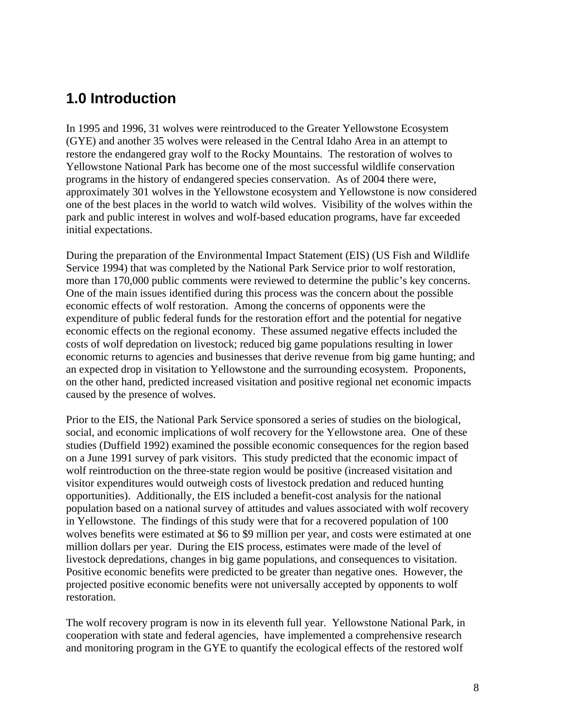# **1.0 Introduction**

In 1995 and 1996, 31 wolves were reintroduced to the Greater Yellowstone Ecosystem (GYE) and another 35 wolves were released in the Central Idaho Area in an attempt to restore the endangered gray wolf to the Rocky Mountains. The restoration of wolves to Yellowstone National Park has become one of the most successful wildlife conservation programs in the history of endangered species conservation. As of 2004 there were, approximately 301 wolves in the Yellowstone ecosystem and Yellowstone is now considered one of the best places in the world to watch wild wolves. Visibility of the wolves within the park and public interest in wolves and wolf-based education programs, have far exceeded initial expectations.

During the preparation of the Environmental Impact Statement (EIS) (US Fish and Wildlife Service 1994) that was completed by the National Park Service prior to wolf restoration, more than 170,000 public comments were reviewed to determine the public's key concerns. One of the main issues identified during this process was the concern about the possible economic effects of wolf restoration. Among the concerns of opponents were the expenditure of public federal funds for the restoration effort and the potential for negative economic effects on the regional economy. These assumed negative effects included the costs of wolf depredation on livestock; reduced big game populations resulting in lower economic returns to agencies and businesses that derive revenue from big game hunting; and an expected drop in visitation to Yellowstone and the surrounding ecosystem. Proponents, on the other hand, predicted increased visitation and positive regional net economic impacts caused by the presence of wolves.

Prior to the EIS, the National Park Service sponsored a series of studies on the biological, social, and economic implications of wolf recovery for the Yellowstone area. One of these studies (Duffield 1992) examined the possible economic consequences for the region based on a June 1991 survey of park visitors. This study predicted that the economic impact of wolf reintroduction on the three-state region would be positive (increased visitation and visitor expenditures would outweigh costs of livestock predation and reduced hunting opportunities). Additionally, the EIS included a benefit-cost analysis for the national population based on a national survey of attitudes and values associated with wolf recovery in Yellowstone. The findings of this study were that for a recovered population of 100 wolves benefits were estimated at \$6 to \$9 million per year, and costs were estimated at one million dollars per year. During the EIS process, estimates were made of the level of livestock depredations, changes in big game populations, and consequences to visitation. Positive economic benefits were predicted to be greater than negative ones. However, the projected positive economic benefits were not universally accepted by opponents to wolf restoration.

The wolf recovery program is now in its eleventh full year. Yellowstone National Park, in cooperation with state and federal agencies, have implemented a comprehensive research and monitoring program in the GYE to quantify the ecological effects of the restored wolf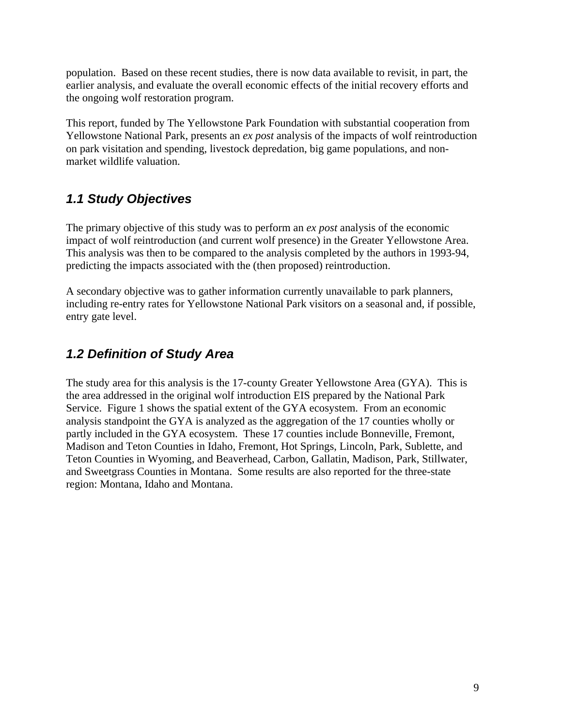population. Based on these recent studies, there is now data available to revisit, in part, the earlier analysis, and evaluate the overall economic effects of the initial recovery efforts and the ongoing wolf restoration program.

This report, funded by The Yellowstone Park Foundation with substantial cooperation from Yellowstone National Park, presents an *ex post* analysis of the impacts of wolf reintroduction on park visitation and spending, livestock depredation, big game populations, and nonmarket wildlife valuation.

# *1.1 Study Objectives*

The primary objective of this study was to perform an *ex post* analysis of the economic impact of wolf reintroduction (and current wolf presence) in the Greater Yellowstone Area. This analysis was then to be compared to the analysis completed by the authors in 1993-94, predicting the impacts associated with the (then proposed) reintroduction.

A secondary objective was to gather information currently unavailable to park planners, including re-entry rates for Yellowstone National Park visitors on a seasonal and, if possible, entry gate level.

# *1.2 Definition of Study Area*

The study area for this analysis is the 17-county Greater Yellowstone Area (GYA). This is the area addressed in the original wolf introduction EIS prepared by the National Park Service. Figure 1 shows the spatial extent of the GYA ecosystem. From an economic analysis standpoint the GYA is analyzed as the aggregation of the 17 counties wholly or partly included in the GYA ecosystem. These 17 counties include Bonneville, Fremont, Madison and Teton Counties in Idaho, Fremont, Hot Springs, Lincoln, Park, Sublette, and Teton Counties in Wyoming, and Beaverhead, Carbon, Gallatin, Madison, Park, Stillwater, and Sweetgrass Counties in Montana. Some results are also reported for the three-state region: Montana, Idaho and Montana.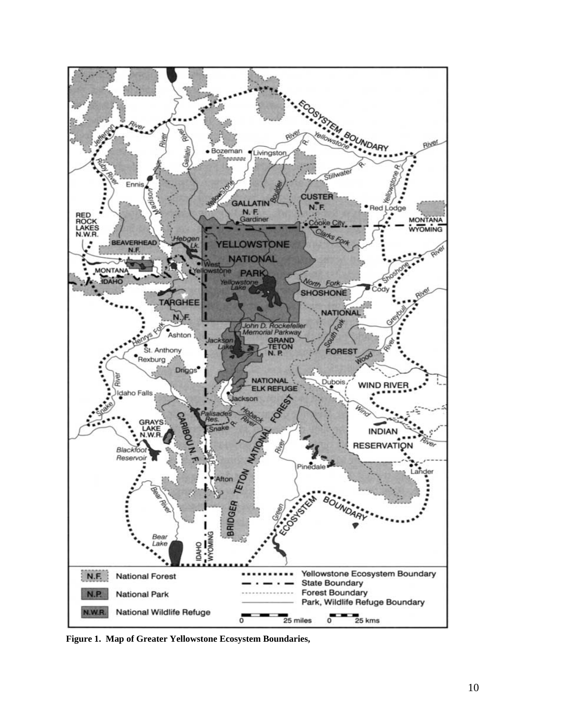

**Figure 1. Map of Greater Yellowstone Ecosystem Boundaries,**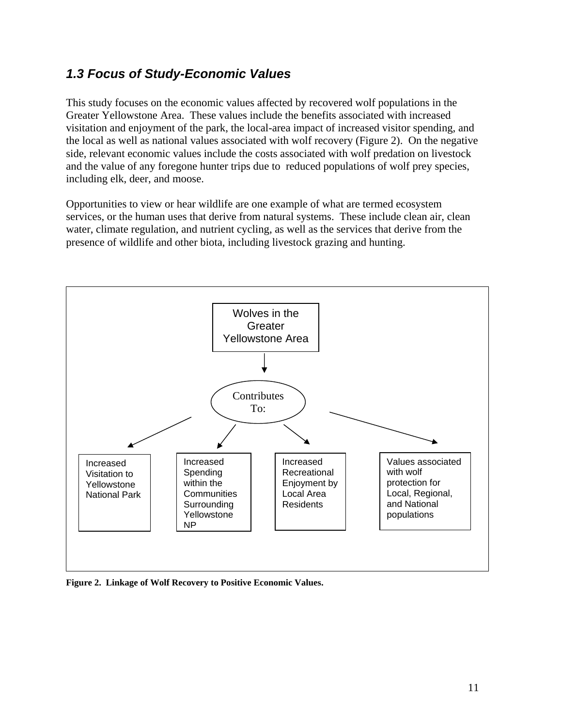# *1.3 Focus of Study-Economic Values*

This study focuses on the economic values affected by recovered wolf populations in the Greater Yellowstone Area. These values include the benefits associated with increased visitation and enjoyment of the park, the local-area impact of increased visitor spending, and the local as well as national values associated with wolf recovery (Figure 2). On the negative side, relevant economic values include the costs associated with wolf predation on livestock and the value of any foregone hunter trips due to reduced populations of wolf prey species, including elk, deer, and moose.

Opportunities to view or hear wildlife are one example of what are termed ecosystem services, or the human uses that derive from natural systems. These include clean air, clean water, climate regulation, and nutrient cycling, as well as the services that derive from the presence of wildlife and other biota, including livestock grazing and hunting.



**Figure 2. Linkage of Wolf Recovery to Positive Economic Values.**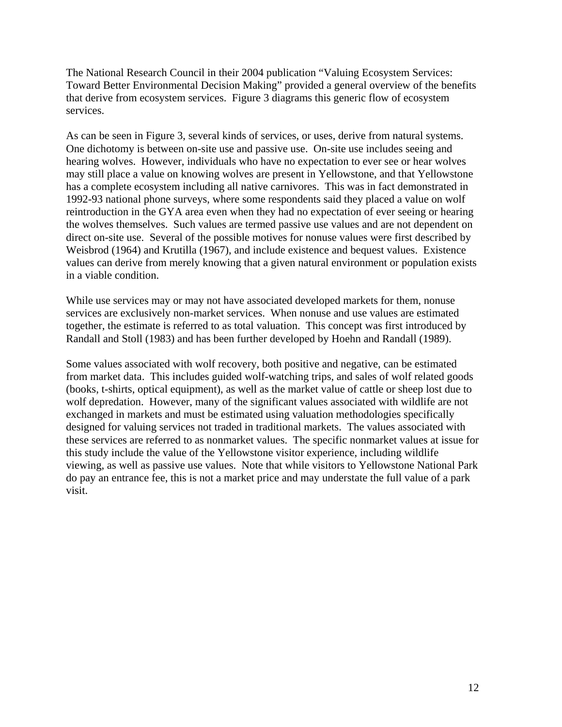The National Research Council in their 2004 publication "Valuing Ecosystem Services: Toward Better Environmental Decision Making" provided a general overview of the benefits that derive from ecosystem services. Figure 3 diagrams this generic flow of ecosystem services.

As can be seen in Figure 3, several kinds of services, or uses, derive from natural systems. One dichotomy is between on-site use and passive use. On-site use includes seeing and hearing wolves. However, individuals who have no expectation to ever see or hear wolves may still place a value on knowing wolves are present in Yellowstone, and that Yellowstone has a complete ecosystem including all native carnivores. This was in fact demonstrated in 1992-93 national phone surveys, where some respondents said they placed a value on wolf reintroduction in the GYA area even when they had no expectation of ever seeing or hearing the wolves themselves. Such values are termed passive use values and are not dependent on direct on-site use. Several of the possible motives for nonuse values were first described by Weisbrod (1964) and Krutilla (1967), and include existence and bequest values. Existence values can derive from merely knowing that a given natural environment or population exists in a viable condition.

While use services may or may not have associated developed markets for them, nonuse services are exclusively non-market services. When nonuse and use values are estimated together, the estimate is referred to as total valuation. This concept was first introduced by Randall and Stoll (1983) and has been further developed by Hoehn and Randall (1989).

Some values associated with wolf recovery, both positive and negative, can be estimated from market data. This includes guided wolf-watching trips, and sales of wolf related goods (books, t-shirts, optical equipment), as well as the market value of cattle or sheep lost due to wolf depredation. However, many of the significant values associated with wildlife are not exchanged in markets and must be estimated using valuation methodologies specifically designed for valuing services not traded in traditional markets. The values associated with these services are referred to as nonmarket values. The specific nonmarket values at issue for this study include the value of the Yellowstone visitor experience, including wildlife viewing, as well as passive use values. Note that while visitors to Yellowstone National Park do pay an entrance fee, this is not a market price and may understate the full value of a park visit.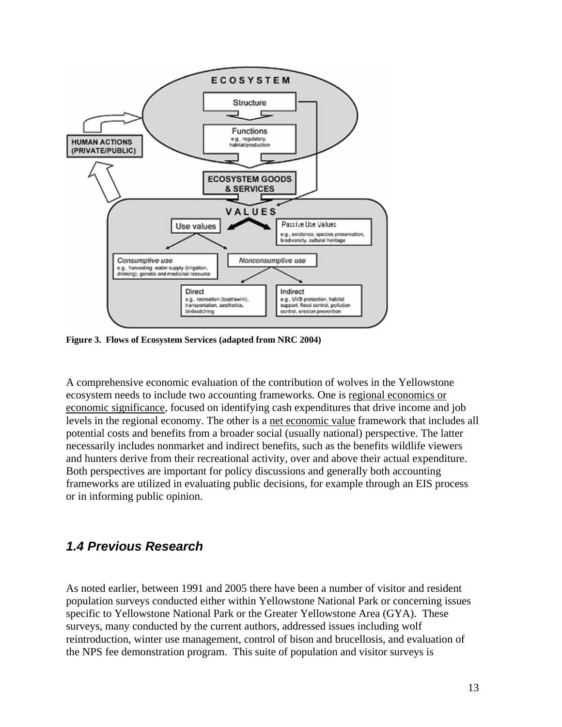

**Figure 3. Flows of Ecosystem Services (adapted from NRC 2004)** 

A comprehensive economic evaluation of the contribution of wolves in the Yellowstone ecosystem needs to include two accounting frameworks. One is regional economics or economic significance, focused on identifying cash expenditures that drive income and job levels in the regional economy. The other is a net economic value framework that includes all potential costs and benefits from a broader social (usually national) perspective. The latter necessarily includes nonmarket and indirect benefits, such as the benefits wildlife viewers and hunters derive from their recreational activity, over and above their actual expenditure. Both perspectives are important for policy discussions and generally both accounting frameworks are utilized in evaluating public decisions, for example through an EIS process or in informing public opinion.

### *1.4 Previous Research*

As noted earlier, between 1991 and 2005 there have been a number of visitor and resident population surveys conducted either within Yellowstone National Park or concerning issues specific to Yellowstone National Park or the Greater Yellowstone Area (GYA). These surveys, many conducted by the current authors, addressed issues including wolf reintroduction, winter use management, control of bison and brucellosis, and evaluation of the NPS fee demonstration program. This suite of population and visitor surveys is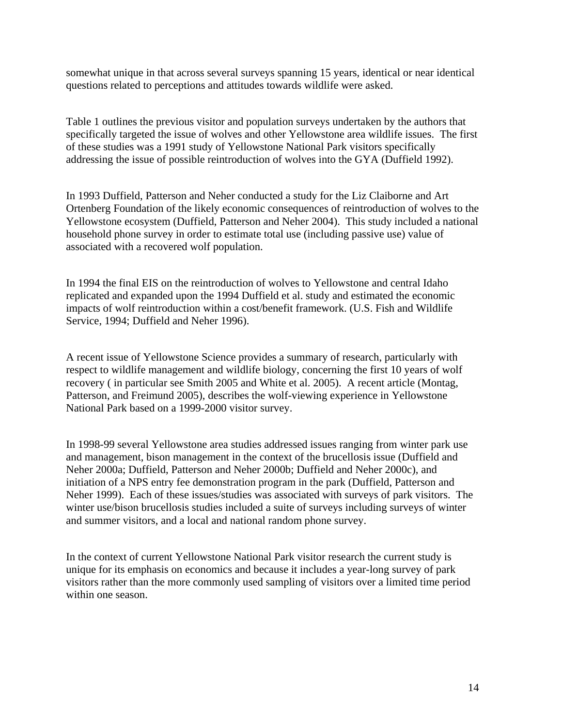somewhat unique in that across several surveys spanning 15 years, identical or near identical questions related to perceptions and attitudes towards wildlife were asked.

Table 1 outlines the previous visitor and population surveys undertaken by the authors that specifically targeted the issue of wolves and other Yellowstone area wildlife issues. The first of these studies was a 1991 study of Yellowstone National Park visitors specifically addressing the issue of possible reintroduction of wolves into the GYA (Duffield 1992).

In 1993 Duffield, Patterson and Neher conducted a study for the Liz Claiborne and Art Ortenberg Foundation of the likely economic consequences of reintroduction of wolves to the Yellowstone ecosystem (Duffield, Patterson and Neher 2004). This study included a national household phone survey in order to estimate total use (including passive use) value of associated with a recovered wolf population.

In 1994 the final EIS on the reintroduction of wolves to Yellowstone and central Idaho replicated and expanded upon the 1994 Duffield et al. study and estimated the economic impacts of wolf reintroduction within a cost/benefit framework. (U.S. Fish and Wildlife Service, 1994; Duffield and Neher 1996).

A recent issue of Yellowstone Science provides a summary of research, particularly with respect to wildlife management and wildlife biology, concerning the first 10 years of wolf recovery ( in particular see Smith 2005 and White et al. 2005). A recent article (Montag, Patterson, and Freimund 2005), describes the wolf-viewing experience in Yellowstone National Park based on a 1999-2000 visitor survey.

In 1998-99 several Yellowstone area studies addressed issues ranging from winter park use and management, bison management in the context of the brucellosis issue (Duffield and Neher 2000a; Duffield, Patterson and Neher 2000b; Duffield and Neher 2000c), and initiation of a NPS entry fee demonstration program in the park (Duffield, Patterson and Neher 1999). Each of these issues/studies was associated with surveys of park visitors. The winter use/bison brucellosis studies included a suite of surveys including surveys of winter and summer visitors, and a local and national random phone survey.

In the context of current Yellowstone National Park visitor research the current study is unique for its emphasis on economics and because it includes a year-long survey of park visitors rather than the more commonly used sampling of visitors over a limited time period within one season.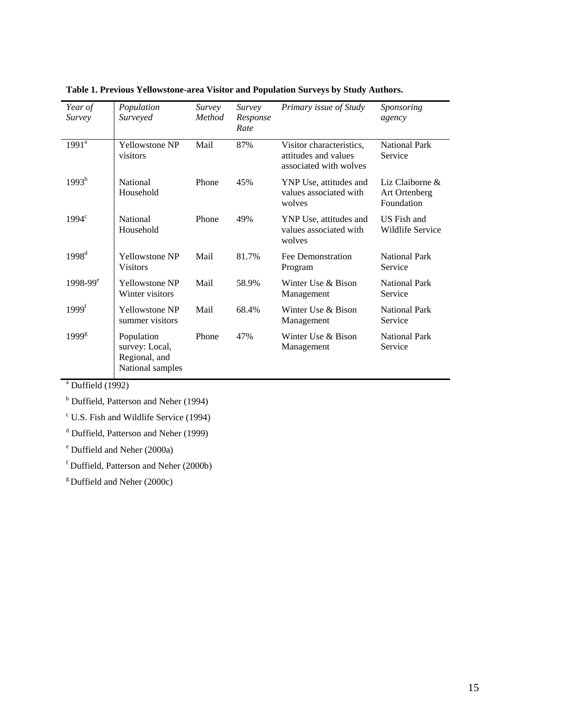| Year of<br><i>Survey</i> | Population<br>Surveyed                                            | Survey<br><b>Method</b> | Survey<br>Response<br>Rate | Primary issue of Study                                                     | Sponsoring<br>agency                              |
|--------------------------|-------------------------------------------------------------------|-------------------------|----------------------------|----------------------------------------------------------------------------|---------------------------------------------------|
| $1991^{\rm a}$           | <b>Yellowstone NP</b><br>visitors                                 | Mail                    | 87%                        | Visitor characteristics,<br>attitudes and values<br>associated with wolves | <b>National Park</b><br>Service                   |
| $1993^b$                 | <b>National</b><br>Household                                      | Phone                   | 45%                        | YNP Use, attitudes and<br>values associated with<br>wolves                 | Liz Claiborne $\&$<br>Art Ortenberg<br>Foundation |
| 1994 <sup>c</sup>        | <b>National</b><br>Household                                      | Phone                   | 49%                        | YNP Use, attitudes and<br>values associated with<br>wolves                 | US Fish and<br>Wildlife Service                   |
| $1998^{\rm d}$           | <b>Yellowstone NP</b><br><b>Visitors</b>                          | Mail                    | 81.7%                      | Fee Demonstration<br>Program                                               | <b>National Park</b><br>Service                   |
| $1998-99^e$              | <b>Yellowstone NP</b><br>Winter visitors                          | Mail                    | 58.9%                      | Winter Use & Bison<br>Management                                           | <b>National Park</b><br>Service                   |
| 1999 <sup>f</sup>        | <b>Yellowstone NP</b><br>summer visitors                          | Mail                    | 68.4%                      | Winter Use & Bison<br>Management                                           | <b>National Park</b><br>Service                   |
| 1999 <sup>g</sup>        | Population<br>survey: Local,<br>Regional, and<br>National samples | Phone                   | 47%                        | Winter Use $\&$ Bison<br>Management                                        | <b>National Park</b><br>Service                   |

#### **Table 1. Previous Yellowstone-area Visitor and Population Surveys by Study Authors.**

 $a$  Duffield (1992)

<sup>b</sup> Duffield, Patterson and Neher (1994)

c U.S. Fish and Wildlife Service (1994)

<sup>d</sup> Duffield, Patterson and Neher (1999)

<sup>e</sup> Duffield and Neher (2000a)

f Duffield, Patterson and Neher (2000b)

 $g$  Duffield and Neher (2000c)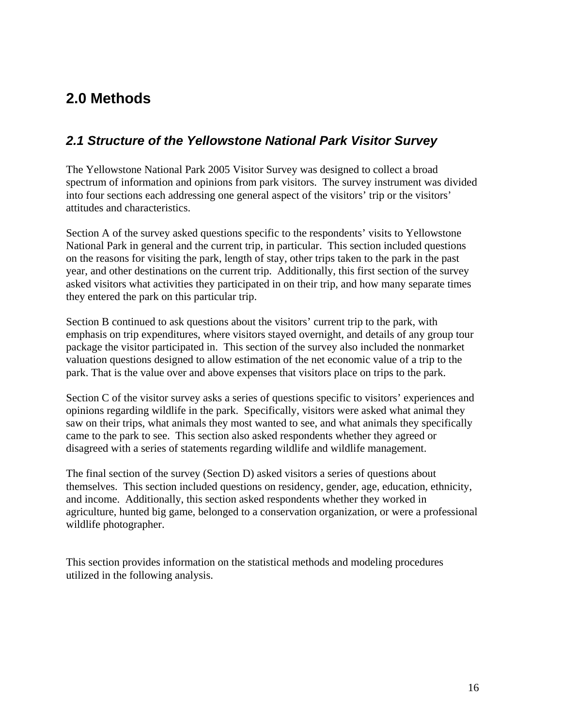# **2.0 Methods**

# *2.1 Structure of the Yellowstone National Park Visitor Survey*

The Yellowstone National Park 2005 Visitor Survey was designed to collect a broad spectrum of information and opinions from park visitors. The survey instrument was divided into four sections each addressing one general aspect of the visitors' trip or the visitors' attitudes and characteristics.

Section A of the survey asked questions specific to the respondents' visits to Yellowstone National Park in general and the current trip, in particular. This section included questions on the reasons for visiting the park, length of stay, other trips taken to the park in the past year, and other destinations on the current trip. Additionally, this first section of the survey asked visitors what activities they participated in on their trip, and how many separate times they entered the park on this particular trip.

Section B continued to ask questions about the visitors' current trip to the park, with emphasis on trip expenditures, where visitors stayed overnight, and details of any group tour package the visitor participated in. This section of the survey also included the nonmarket valuation questions designed to allow estimation of the net economic value of a trip to the park. That is the value over and above expenses that visitors place on trips to the park.

Section C of the visitor survey asks a series of questions specific to visitors' experiences and opinions regarding wildlife in the park. Specifically, visitors were asked what animal they saw on their trips, what animals they most wanted to see, and what animals they specifically came to the park to see. This section also asked respondents whether they agreed or disagreed with a series of statements regarding wildlife and wildlife management.

The final section of the survey (Section D) asked visitors a series of questions about themselves. This section included questions on residency, gender, age, education, ethnicity, and income. Additionally, this section asked respondents whether they worked in agriculture, hunted big game, belonged to a conservation organization, or were a professional wildlife photographer.

This section provides information on the statistical methods and modeling procedures utilized in the following analysis.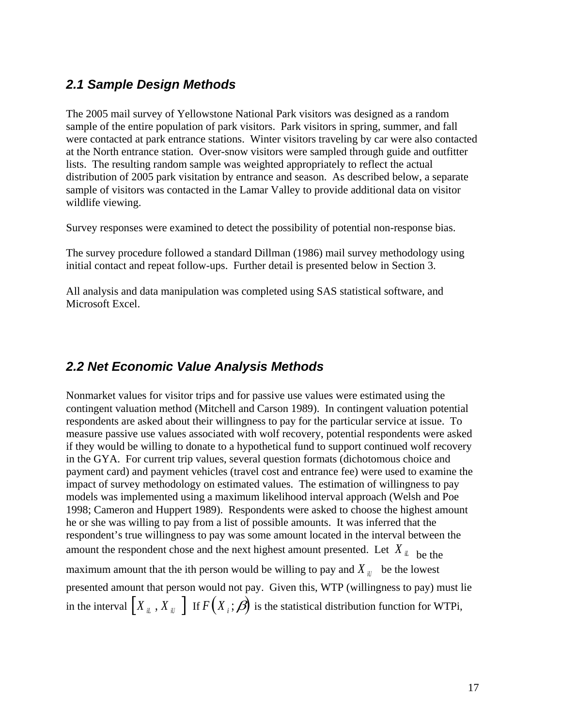## *2.1 Sample Design Methods*

The 2005 mail survey of Yellowstone National Park visitors was designed as a random sample of the entire population of park visitors. Park visitors in spring, summer, and fall were contacted at park entrance stations. Winter visitors traveling by car were also contacted at the North entrance station. Over-snow visitors were sampled through guide and outfitter lists. The resulting random sample was weighted appropriately to reflect the actual distribution of 2005 park visitation by entrance and season. As described below, a separate sample of visitors was contacted in the Lamar Valley to provide additional data on visitor wildlife viewing.

Survey responses were examined to detect the possibility of potential non-response bias.

The survey procedure followed a standard Dillman (1986) mail survey methodology using initial contact and repeat follow-ups. Further detail is presented below in Section 3.

All analysis and data manipulation was completed using SAS statistical software, and Microsoft Excel.

### *2.2 Net Economic Value Analysis Methods*

Nonmarket values for visitor trips and for passive use values were estimated using the contingent valuation method (Mitchell and Carson 1989). In contingent valuation potential respondents are asked about their willingness to pay for the particular service at issue. To measure passive use values associated with wolf recovery, potential respondents were asked if they would be willing to donate to a hypothetical fund to support continued wolf recovery in the GYA. For current trip values, several question formats (dichotomous choice and payment card) and payment vehicles (travel cost and entrance fee) were used to examine the impact of survey methodology on estimated values. The estimation of willingness to pay models was implemented using a maximum likelihood interval approach (Welsh and Poe 1998; Cameron and Huppert 1989). Respondents were asked to choose the highest amount he or she was willing to pay from a list of possible amounts. It was inferred that the respondent's true willingness to pay was some amount located in the interval between the amount the respondent chose and the next highest amount presented. Let  $X_{il}$  be the maximum amount that the ith person would be willing to pay and  $X_{\mu\nu}$  be the lowest presented amount that person would not pay. Given this, WTP (willingness to pay) must lie in the interval  $\begin{bmatrix} X_{iL}^T, X_{iR}^T \end{bmatrix}$  if  $F(X_i;\boldsymbol{\beta})$  is the statistical distribution function for WTPi,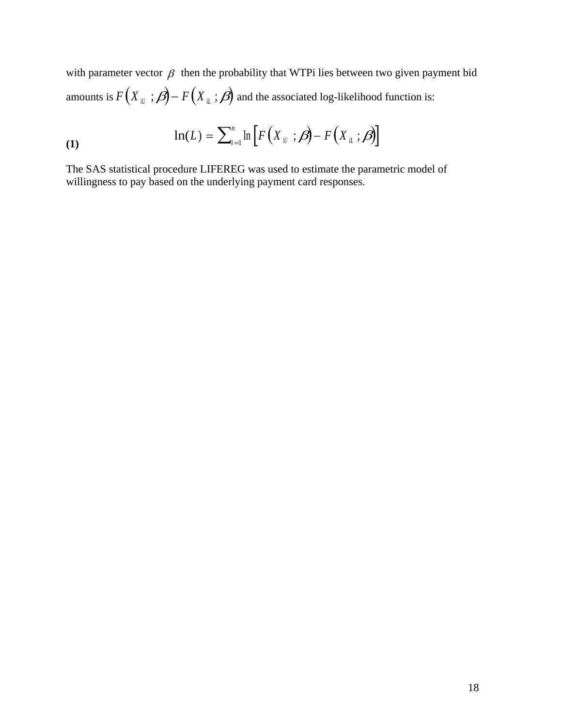with parameter vector  $\beta$  then the probability that WTPi lies between two given payment bid amounts is  $F(X_{ii} ; \beta) - F(X_{ii} ; \beta)$  and the associated log-likelihood function is:

$$
\ln(L) = \sum_{i=1}^{n} \ln \left[ F\left(X_{ii} \ ; \beta\right) - F\left(X_{ii} \ ; \beta\right) \right]
$$

The SAS statistical procedure LIFEREG was used to estimate the parametric model of willingness to pay based on the underlying payment card responses.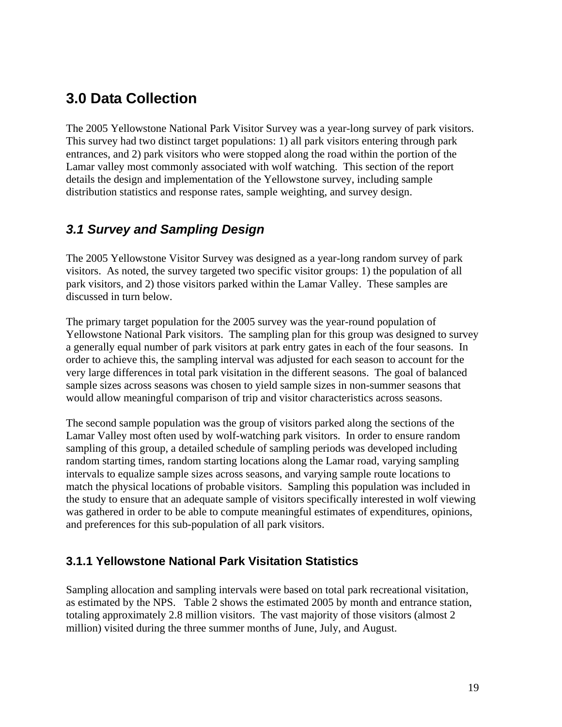# **3.0 Data Collection**

The 2005 Yellowstone National Park Visitor Survey was a year-long survey of park visitors. This survey had two distinct target populations: 1) all park visitors entering through park entrances, and 2) park visitors who were stopped along the road within the portion of the Lamar valley most commonly associated with wolf watching. This section of the report details the design and implementation of the Yellowstone survey, including sample distribution statistics and response rates, sample weighting, and survey design.

# *3.1 Survey and Sampling Design*

The 2005 Yellowstone Visitor Survey was designed as a year-long random survey of park visitors. As noted, the survey targeted two specific visitor groups: 1) the population of all park visitors, and 2) those visitors parked within the Lamar Valley. These samples are discussed in turn below.

The primary target population for the 2005 survey was the year-round population of Yellowstone National Park visitors. The sampling plan for this group was designed to survey a generally equal number of park visitors at park entry gates in each of the four seasons. In order to achieve this, the sampling interval was adjusted for each season to account for the very large differences in total park visitation in the different seasons. The goal of balanced sample sizes across seasons was chosen to yield sample sizes in non-summer seasons that would allow meaningful comparison of trip and visitor characteristics across seasons.

The second sample population was the group of visitors parked along the sections of the Lamar Valley most often used by wolf-watching park visitors. In order to ensure random sampling of this group, a detailed schedule of sampling periods was developed including random starting times, random starting locations along the Lamar road, varying sampling intervals to equalize sample sizes across seasons, and varying sample route locations to match the physical locations of probable visitors. Sampling this population was included in the study to ensure that an adequate sample of visitors specifically interested in wolf viewing was gathered in order to be able to compute meaningful estimates of expenditures, opinions, and preferences for this sub-population of all park visitors.

### **3.1.1 Yellowstone National Park Visitation Statistics**

Sampling allocation and sampling intervals were based on total park recreational visitation, as estimated by the NPS. Table 2 shows the estimated 2005 by month and entrance station, totaling approximately 2.8 million visitors. The vast majority of those visitors (almost 2 million) visited during the three summer months of June, July, and August.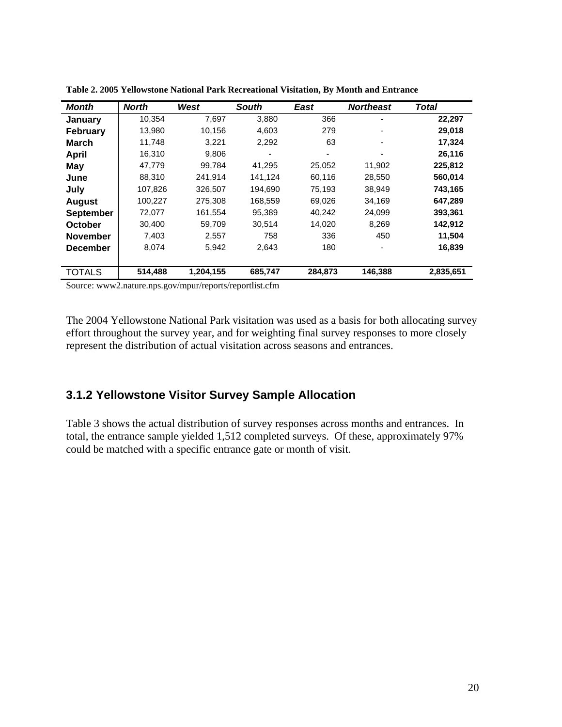| <b>Month</b>     | <b>North</b> | West      | <b>South</b> | East    | <b>Northeast</b> | <b>Total</b> |  |  |  |
|------------------|--------------|-----------|--------------|---------|------------------|--------------|--|--|--|
| January          | 10,354       | 7,697     | 3,880        | 366     |                  | 22,297       |  |  |  |
| <b>February</b>  | 13,980       | 10,156    | 4,603        | 279     |                  | 29,018       |  |  |  |
| March            | 11,748       | 3,221     | 2,292        | 63      |                  | 17,324       |  |  |  |
| April            | 16,310       | 9.806     |              | ۰       |                  | 26,116       |  |  |  |
| May              | 47,779       | 99,784    | 41,295       | 25,052  | 11,902           | 225,812      |  |  |  |
| June             | 88,310       | 241,914   | 141,124      | 60,116  | 28,550           | 560,014      |  |  |  |
| July             | 107,826      | 326.507   | 194.690      | 75,193  | 38,949           | 743,165      |  |  |  |
| <b>August</b>    | 100,227      | 275,308   | 168,559      | 69,026  | 34,169           | 647,289      |  |  |  |
| <b>September</b> | 72,077       | 161,554   | 95,389       | 40,242  | 24,099           | 393,361      |  |  |  |
| <b>October</b>   | 30,400       | 59,709    | 30,514       | 14,020  | 8,269            | 142,912      |  |  |  |
| <b>November</b>  | 7,403        | 2,557     | 758          | 336     | 450              | 11,504       |  |  |  |
| <b>December</b>  | 8,074        | 5,942     | 2,643        | 180     |                  | 16,839       |  |  |  |
|                  |              |           |              |         |                  |              |  |  |  |
| <b>TOTALS</b>    | 514,488      | 1,204,155 | 685,747      | 284,873 | 146,388          | 2,835,651    |  |  |  |
| $\mathbf{C}$     |              |           |              |         |                  |              |  |  |  |

**Table 2. 2005 Yellowstone National Park Recreational Visitation, By Month and Entrance** 

Source: www2.nature.nps.gov/mpur/reports/reportlist.cfm

The 2004 Yellowstone National Park visitation was used as a basis for both allocating survey effort throughout the survey year, and for weighting final survey responses to more closely represent the distribution of actual visitation across seasons and entrances.

#### **3.1.2 Yellowstone Visitor Survey Sample Allocation**

Table 3 shows the actual distribution of survey responses across months and entrances. In total, the entrance sample yielded 1,512 completed surveys. Of these, approximately 97% could be matched with a specific entrance gate or month of visit.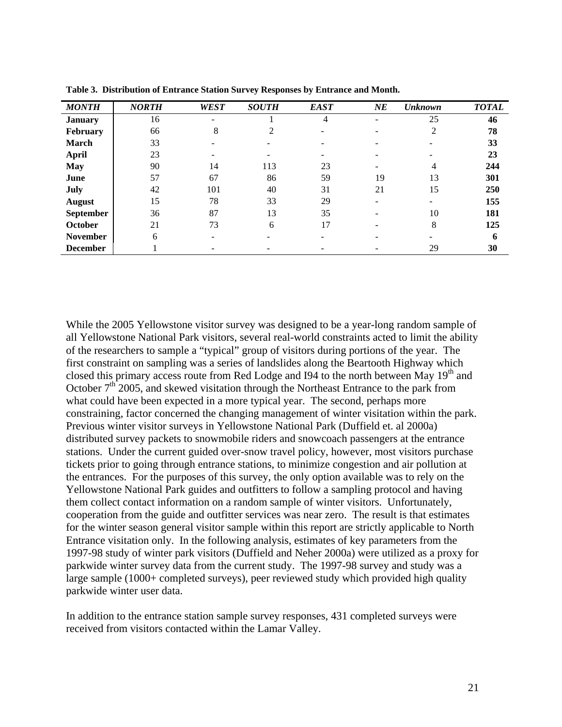| <b>MONTH</b>     | <b>NORTH</b> | <b>WEST</b> | <b>SOUTH</b> | <b>EAST</b> | NE | <b>Unknown</b> | <b>TOTAL</b> |
|------------------|--------------|-------------|--------------|-------------|----|----------------|--------------|
| <b>January</b>   | 16           |             |              | 4           |    | 25             | 46           |
| February         | 66           | 8           | 2            |             |    | 2              | 78           |
| <b>March</b>     | 33           |             |              |             |    |                | 33           |
| <b>April</b>     | 23           |             |              |             |    |                | 23           |
| <b>May</b>       | 90           | 14          | 113          | 23          |    | 4              | 244          |
| June             | 57           | 67          | 86           | 59          | 19 | 13             | 301          |
| July             | 42           | 101         | 40           | 31          | 21 | 15             | 250          |
| <b>August</b>    | 15           | 78          | 33           | 29          |    |                | 155          |
| <b>September</b> | 36           | 87          | 13           | 35          |    | 10             | 181          |
| October          | 21           | 73          | 6            | 17          |    | 8              | 125          |
| <b>November</b>  | 6            |             |              |             |    |                | 6            |
| <b>December</b>  |              |             |              |             |    | 29             | 30           |

**Table 3. Distribution of Entrance Station Survey Responses by Entrance and Month.** 

While the 2005 Yellowstone visitor survey was designed to be a year-long random sample of all Yellowstone National Park visitors, several real-world constraints acted to limit the ability of the researchers to sample a "typical" group of visitors during portions of the year. The first constraint on sampling was a series of landslides along the Beartooth Highway which closed this primary access route from Red Lodge and I94 to the north between May  $19<sup>th</sup>$  and October  $7<sup>th</sup>$  2005, and skewed visitation through the Northeast Entrance to the park from what could have been expected in a more typical year. The second, perhaps more constraining, factor concerned the changing management of winter visitation within the park. Previous winter visitor surveys in Yellowstone National Park (Duffield et. al 2000a) distributed survey packets to snowmobile riders and snowcoach passengers at the entrance stations. Under the current guided over-snow travel policy, however, most visitors purchase tickets prior to going through entrance stations, to minimize congestion and air pollution at the entrances. For the purposes of this survey, the only option available was to rely on the Yellowstone National Park guides and outfitters to follow a sampling protocol and having them collect contact information on a random sample of winter visitors. Unfortunately, cooperation from the guide and outfitter services was near zero. The result is that estimates for the winter season general visitor sample within this report are strictly applicable to North Entrance visitation only. In the following analysis, estimates of key parameters from the 1997-98 study of winter park visitors (Duffield and Neher 2000a) were utilized as a proxy for parkwide winter survey data from the current study. The 1997-98 survey and study was a large sample (1000+ completed surveys), peer reviewed study which provided high quality parkwide winter user data.

In addition to the entrance station sample survey responses, 431 completed surveys were received from visitors contacted within the Lamar Valley.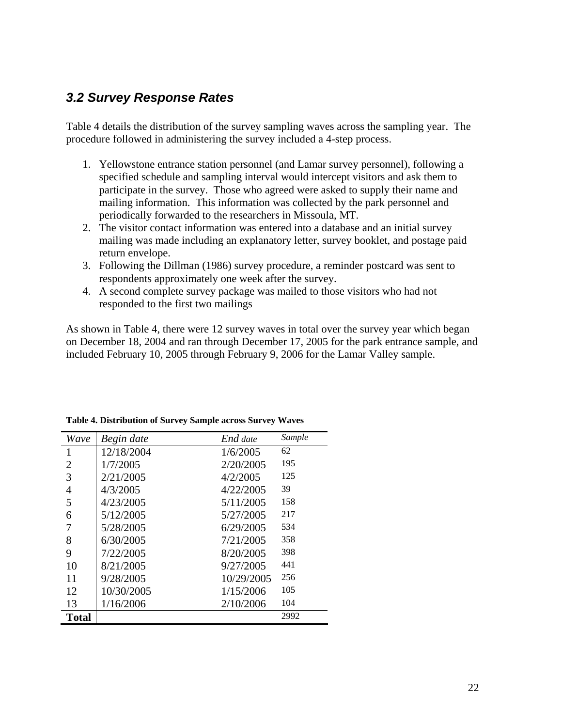# *3.2 Survey Response Rates*

Table 4 details the distribution of the survey sampling waves across the sampling year. The procedure followed in administering the survey included a 4-step process.

- 1. Yellowstone entrance station personnel (and Lamar survey personnel), following a specified schedule and sampling interval would intercept visitors and ask them to participate in the survey. Those who agreed were asked to supply their name and mailing information. This information was collected by the park personnel and periodically forwarded to the researchers in Missoula, MT.
- 2. The visitor contact information was entered into a database and an initial survey mailing was made including an explanatory letter, survey booklet, and postage paid return envelope.
- 3. Following the Dillman (1986) survey procedure, a reminder postcard was sent to respondents approximately one week after the survey.
- 4. A second complete survey package was mailed to those visitors who had not responded to the first two mailings

As shown in Table 4, there were 12 survey waves in total over the survey year which began on December 18, 2004 and ran through December 17, 2005 for the park entrance sample, and included February 10, 2005 through February 9, 2006 for the Lamar Valley sample.

| Wave           | Begin date | End date   | Sample |
|----------------|------------|------------|--------|
| 1              | 12/18/2004 | 1/6/2005   | 62     |
| $\overline{2}$ | 1/7/2005   | 2/20/2005  | 195    |
| 3              | 2/21/2005  | 4/2/2005   | 125    |
| $\overline{4}$ | 4/3/2005   | 4/22/2005  | 39     |
| 5              | 4/23/2005  | 5/11/2005  | 158    |
| 6              | 5/12/2005  | 5/27/2005  | 217    |
| 7              | 5/28/2005  | 6/29/2005  | 534    |
| 8              | 6/30/2005  | 7/21/2005  | 358    |
| 9              | 7/22/2005  | 8/20/2005  | 398    |
| 10             | 8/21/2005  | 9/27/2005  | 441    |
| 11             | 9/28/2005  | 10/29/2005 | 256    |
| 12             | 10/30/2005 | 1/15/2006  | 105    |
| 13             | 1/16/2006  | 2/10/2006  | 104    |
| <b>Total</b>   |            |            | 2992   |

**Table 4. Distribution of Survey Sample across Survey Waves**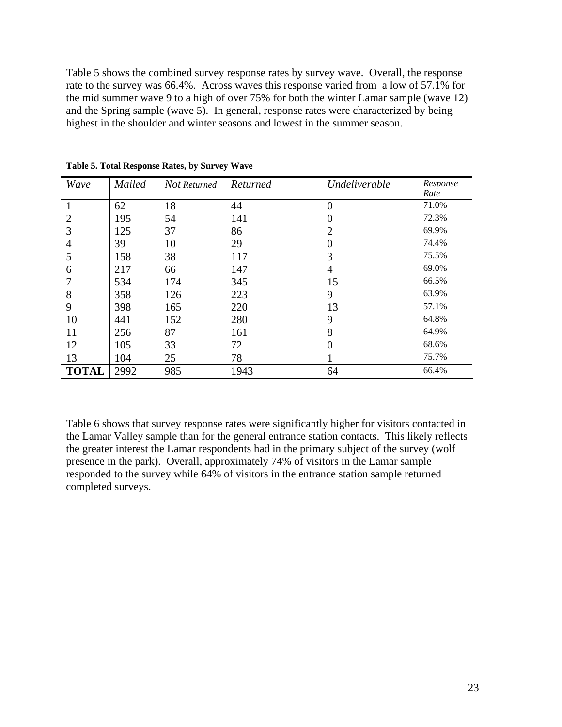Table 5 shows the combined survey response rates by survey wave. Overall, the response rate to the survey was 66.4%. Across waves this response varied from a low of 57.1% for the mid summer wave 9 to a high of over 75% for both the winter Lamar sample (wave 12) and the Spring sample (wave 5). In general, response rates were characterized by being highest in the shoulder and winter seasons and lowest in the summer season.

| Wave         | Mailed | Not Returned | Returned | Undeliverable  | Response<br>Rate |
|--------------|--------|--------------|----------|----------------|------------------|
|              | 62     | 18           | 44       | $\overline{0}$ | 71.0%            |
| 2            | 195    | 54           | 141      | $\theta$       | 72.3%            |
| 3            | 125    | 37           | 86       | $\overline{2}$ | 69.9%            |
| 4            | 39     | 10           | 29       | $\overline{0}$ | 74.4%            |
| 5            | 158    | 38           | 117      | 3              | 75.5%            |
| 6            | 217    | 66           | 147      | 4              | 69.0%            |
|              | 534    | 174          | 345      | 15             | 66.5%            |
| 8            | 358    | 126          | 223      | 9              | 63.9%            |
| 9            | 398    | 165          | 220      | 13             | 57.1%            |
| 10           | 441    | 152          | 280      | 9              | 64.8%            |
| 11           | 256    | 87           | 161      | 8              | 64.9%            |
| 12           | 105    | 33           | 72       | $\overline{0}$ | 68.6%            |
| 13           | 104    | 25           | 78       |                | 75.7%            |
| <b>TOTAL</b> | 2992   | 985          | 1943     | 64             | 66.4%            |

**Table 5. Total Response Rates, by Survey Wave** 

Table 6 shows that survey response rates were significantly higher for visitors contacted in the Lamar Valley sample than for the general entrance station contacts. This likely reflects the greater interest the Lamar respondents had in the primary subject of the survey (wolf presence in the park). Overall, approximately 74% of visitors in the Lamar sample responded to the survey while 64% of visitors in the entrance station sample returned completed surveys.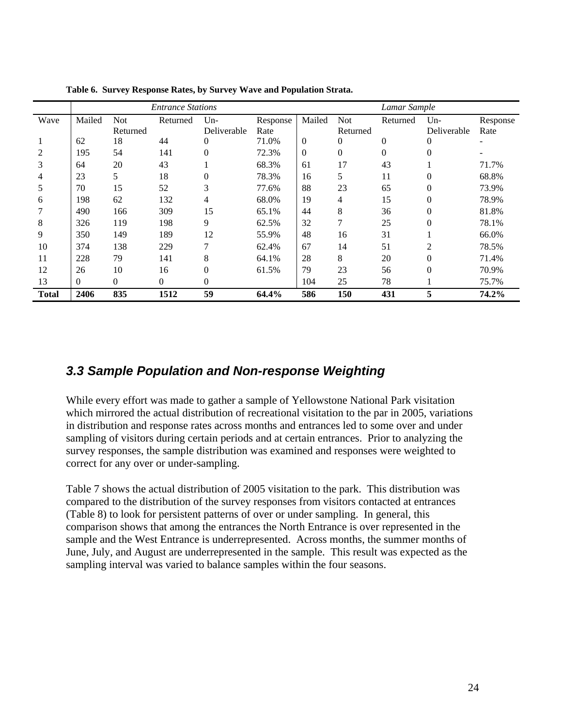|       |          |                | <b>Entrance Stations</b> | Lamar Sample |          |                  |                |                |                |          |
|-------|----------|----------------|--------------------------|--------------|----------|------------------|----------------|----------------|----------------|----------|
| Wave  | Mailed   | <b>Not</b>     | Returned                 | $Un-$        | Response | Mailed           | <b>Not</b>     | Returned       | $Un-$          | Response |
|       |          | Returned       |                          | Deliverable  | Rate     |                  | Returned       |                | Deliverable    | Rate     |
|       | 62       | 18             | 44                       | $\theta$     | 71.0%    | $\boldsymbol{0}$ | $\overline{0}$ | 0              | 0              |          |
| 2     | 195      | 54             | 141                      | $\Omega$     | 72.3%    | $\mathbf{0}$     | $\overline{0}$ | $\overline{0}$ | $\Omega$       |          |
| 3     | 64       | 20             | 43                       |              | 68.3%    | 61               | 17             | 43             |                | 71.7%    |
| 4     | 23       | 5              | 18                       | $\Omega$     | 78.3%    | 16               | 5              | 11             | $\theta$       | 68.8%    |
| 5     | 70       | 15             | 52                       | 3            | 77.6%    | 88               | 23             | 65             | $\theta$       | 73.9%    |
| 6     | 198      | 62             | 132                      | 4            | 68.0%    | 19               | 4              | 15             | $\theta$       | 78.9%    |
|       | 490      | 166            | 309                      | 15           | 65.1%    | 44               | 8              | 36             | $\overline{0}$ | 81.8%    |
| 8     | 326      | 119            | 198                      | 9            | 62.5%    | 32               | 7              | 25             | $\theta$       | 78.1%    |
| 9     | 350      | 149            | 189                      | 12           | 55.9%    | 48               | 16             | 31             |                | 66.0%    |
| 10    | 374      | 138            | 229                      | 7            | 62.4%    | 67               | 14             | 51             | $\overline{2}$ | 78.5%    |
| 11    | 228      | 79             | 141                      | 8            | 64.1%    | 28               | 8              | 20             | $\theta$       | 71.4%    |
| 12    | 26       | 10             | 16                       | $\Omega$     | 61.5%    | 79               | 23             | 56             | $\theta$       | 70.9%    |
| 13    | $\Omega$ | $\overline{0}$ | $\overline{0}$           | $\theta$     |          | 104              | 25             | 78             |                | 75.7%    |
| Total | 2406     | 835            | 1512                     | 59           | 64.4%    | 586              | 150            | 431            | 5              | 74.2%    |

**Table 6. Survey Response Rates, by Survey Wave and Population Strata.** 

### *3.3 Sample Population and Non-response Weighting*

While every effort was made to gather a sample of Yellowstone National Park visitation which mirrored the actual distribution of recreational visitation to the par in 2005, variations in distribution and response rates across months and entrances led to some over and under sampling of visitors during certain periods and at certain entrances. Prior to analyzing the survey responses, the sample distribution was examined and responses were weighted to correct for any over or under-sampling.

Table 7 shows the actual distribution of 2005 visitation to the park. This distribution was compared to the distribution of the survey responses from visitors contacted at entrances (Table 8) to look for persistent patterns of over or under sampling. In general, this comparison shows that among the entrances the North Entrance is over represented in the sample and the West Entrance is underrepresented. Across months, the summer months of June, July, and August are underrepresented in the sample. This result was expected as the sampling interval was varied to balance samples within the four seasons.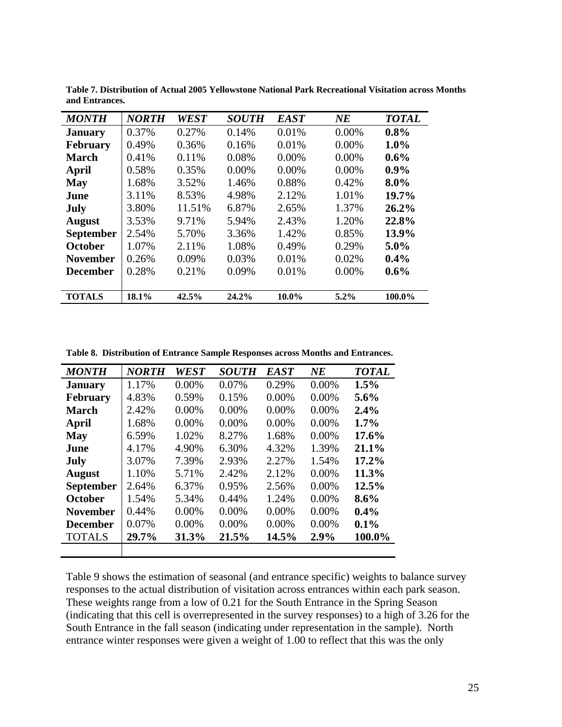| <b>MONTH</b>     | <b>NORTH</b> | <b>WEST</b> | <b>SOUTH</b> | <b>EAST</b> | $N\!E$   | <b>TOTAL</b> |
|------------------|--------------|-------------|--------------|-------------|----------|--------------|
| <b>January</b>   | 0.37%        | 0.27%       | 0.14%        | 0.01%       | 0.00%    | 0.8%         |
| <b>February</b>  | 0.49%        | 0.36%       | 0.16%        | 0.01%       | 0.00%    | $1.0\%$      |
| <b>March</b>     | 0.41%        | 0.11%       | 0.08%        | $0.00\%$    | 0.00%    | $0.6\%$      |
| April            | 0.58%        | 0.35%       | $0.00\%$     | 0.00%       | $0.00\%$ | $0.9\%$      |
| <b>May</b>       | 1.68%        | 3.52%       | 1.46%        | 0.88%       | 0.42%    | $8.0\%$      |
| June             | 3.11%        | 8.53%       | 4.98%        | 2.12%       | 1.01%    | 19.7%        |
| <b>July</b>      | 3.80%        | 11.51%      | 6.87%        | 2.65%       | 1.37%    | 26.2%        |
| <b>August</b>    | 3.53%        | 9.71%       | 5.94%        | 2.43%       | 1.20%    | 22.8%        |
| <b>September</b> | 2.54%        | 5.70%       | 3.36%        | 1.42%       | 0.85%    | 13.9%        |
| October          | 1.07%        | 2.11%       | 1.08%        | 0.49%       | 0.29%    | $5.0\%$      |
| <b>November</b>  | 0.26%        | 0.09%       | 0.03%        | 0.01%       | 0.02%    | 0.4%         |
| <b>December</b>  | 0.28%        | 0.21%       | 0.09%        | 0.01%       | 0.00%    | $0.6\%$      |
|                  |              |             |              |             |          |              |
| <b>TOTALS</b>    | 18.1%        | 42.5%       | 24.2%        | 10.0%       | $5.2\%$  | 100.0%       |

**Table 7. Distribution of Actual 2005 Yellowstone National Park Recreational Visitation across Months and Entrances.** 

**Table 8. Distribution of Entrance Sample Responses across Months and Entrances.** 

| <b>MONTH</b>     | <b>NORTH</b> | WEST     | <b>SOUTH</b> | <b>EAST</b> | $N\!E$   | <b>TOTAL</b> |
|------------------|--------------|----------|--------------|-------------|----------|--------------|
| <b>January</b>   | 1.17%        | $0.00\%$ | 0.07%        | 0.29%       | $0.00\%$ | 1.5%         |
| <b>February</b>  | 4.83%        | 0.59%    | 0.15%        | 0.00%       | 0.00%    | $5.6\%$      |
| <b>March</b>     | 2.42%        | $0.00\%$ | 0.00%        | 0.00%       | 0.00%    | 2.4%         |
| <b>April</b>     | 1.68%        | $0.00\%$ | $0.00\%$     | $0.00\%$    | $0.00\%$ | $1.7\%$      |
| May              | 6.59%        | 1.02%    | 8.27%        | 1.68%       | $0.00\%$ | 17.6%        |
| June             | 4.17%        | 4.90%    | 6.30%        | 4.32%       | 1.39%    | 21.1%        |
| July             | 3.07%        | 7.39%    | 2.93%        | 2.27%       | 1.54%    | 17.2%        |
| <b>August</b>    | 1.10%        | 5.71%    | 2.42%        | 2.12%       | $0.00\%$ | 11.3%        |
| <b>September</b> | 2.64%        | 6.37%    | 0.95%        | 2.56%       | $0.00\%$ | 12.5%        |
| October          | 1.54%        | 5.34%    | 0.44%        | 1.24%       | 0.00%    | $8.6\%$      |
| <b>November</b>  | 0.44%        | $0.00\%$ | $0.00\%$     | 0.00%       | 0.00%    | $0.4\%$      |
| <b>December</b>  | 0.07%        | $0.00\%$ | $0.00\%$     | 0.00%       | $0.00\%$ | 0.1%         |
| <b>TOTALS</b>    | 29.7%        | 31.3%    | 21.5%        | 14.5%       | 2.9%     | 100.0%       |
|                  |              |          |              |             |          |              |

Table 9 shows the estimation of seasonal (and entrance specific) weights to balance survey responses to the actual distribution of visitation across entrances within each park season. These weights range from a low of 0.21 for the South Entrance in the Spring Season (indicating that this cell is overrepresented in the survey responses) to a high of 3.26 for the South Entrance in the fall season (indicating under representation in the sample). North entrance winter responses were given a weight of 1.00 to reflect that this was the only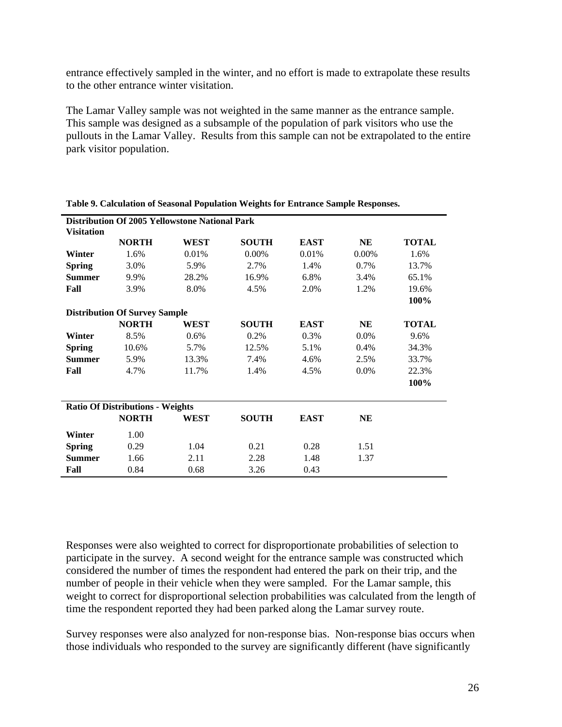entrance effectively sampled in the winter, and no effort is made to extrapolate these results to the other entrance winter visitation.

The Lamar Valley sample was not weighted in the same manner as the entrance sample. This sample was designed as a subsample of the population of park visitors who use the pullouts in the Lamar Valley. Results from this sample can not be extrapolated to the entire park visitor population.

|                   |                                         | <b>Distribution Of 2005 Yellowstone National Park</b> |              |             |           |              |
|-------------------|-----------------------------------------|-------------------------------------------------------|--------------|-------------|-----------|--------------|
| <b>Visitation</b> |                                         |                                                       |              |             |           |              |
|                   | <b>NORTH</b>                            | WEST                                                  | <b>SOUTH</b> | <b>EAST</b> | NE        | <b>TOTAL</b> |
| Winter            | 1.6%                                    | 0.01%                                                 | $0.00\%$     | 0.01%       | $0.00\%$  | 1.6%         |
| <b>Spring</b>     | 3.0%                                    | 5.9%                                                  | 2.7%         | 1.4%        | 0.7%      | 13.7%        |
| <b>Summer</b>     | 9.9%                                    | 28.2%                                                 | 16.9%        | 6.8%        | 3.4%      | 65.1%        |
| Fall              | 3.9%                                    | 8.0%                                                  | 4.5%         | 2.0%        | 1.2%      | 19.6%        |
|                   |                                         |                                                       |              |             |           | 100%         |
|                   | <b>Distribution Of Survey Sample</b>    |                                                       |              |             |           |              |
|                   | <b>NORTH</b>                            | WEST                                                  | <b>SOUTH</b> | <b>EAST</b> | NE        | <b>TOTAL</b> |
| Winter            | 8.5%                                    | 0.6%                                                  | 0.2%         | 0.3%        | 0.0%      | 9.6%         |
| <b>Spring</b>     | 10.6%                                   | 5.7%                                                  | 12.5%        | 5.1%        | 0.4%      | 34.3%        |
| <b>Summer</b>     | 5.9%                                    | 13.3%                                                 | 7.4%         | 4.6%        | 2.5%      | 33.7%        |
| Fall              | 4.7%                                    | 11.7%                                                 | 1.4%         | 4.5%        | 0.0%      | 22.3%        |
|                   |                                         |                                                       |              |             |           | 100%         |
|                   | <b>Ratio Of Distributions - Weights</b> |                                                       |              |             |           |              |
|                   | <b>NORTH</b>                            | WEST                                                  | <b>SOUTH</b> | <b>EAST</b> | <b>NE</b> |              |
| Winter            | 1.00                                    |                                                       |              |             |           |              |
| <b>Spring</b>     | 0.29                                    | 1.04                                                  | 0.21         | 0.28        | 1.51      |              |
| <b>Summer</b>     | 1.66                                    | 2.11                                                  | 2.28         | 1.48        | 1.37      |              |
| Fall              | 0.84                                    | 0.68                                                  | 3.26         | 0.43        |           |              |

|  |  |  | Table 9. Calculation of Seasonal Population Weights for Entrance Sample Responses. |
|--|--|--|------------------------------------------------------------------------------------|
|  |  |  |                                                                                    |

Responses were also weighted to correct for disproportionate probabilities of selection to participate in the survey. A second weight for the entrance sample was constructed which considered the number of times the respondent had entered the park on their trip, and the number of people in their vehicle when they were sampled. For the Lamar sample, this weight to correct for disproportional selection probabilities was calculated from the length of time the respondent reported they had been parked along the Lamar survey route.

Survey responses were also analyzed for non-response bias. Non-response bias occurs when those individuals who responded to the survey are significantly different (have significantly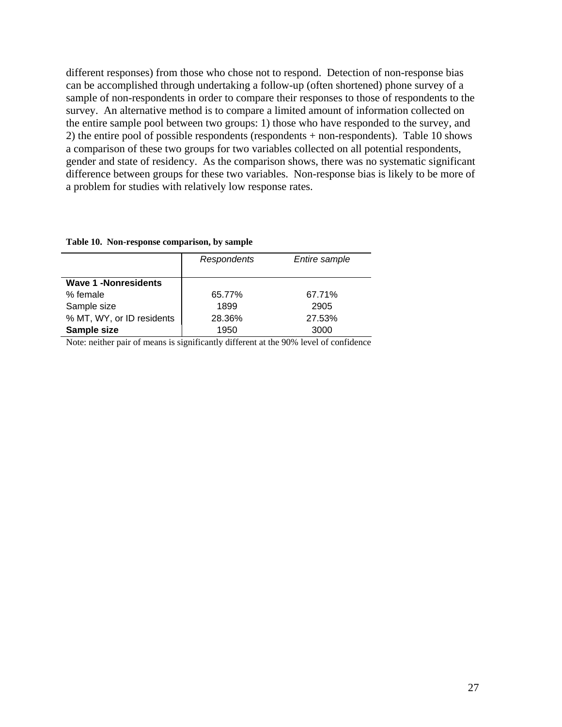different responses) from those who chose not to respond. Detection of non-response bias can be accomplished through undertaking a follow-up (often shortened) phone survey of a sample of non-respondents in order to compare their responses to those of respondents to the survey. An alternative method is to compare a limited amount of information collected on the entire sample pool between two groups: 1) those who have responded to the survey, and 2) the entire pool of possible respondents (respondents + non-respondents). Table 10 shows a comparison of these two groups for two variables collected on all potential respondents, gender and state of residency. As the comparison shows, there was no systematic significant difference between groups for these two variables. Non-response bias is likely to be more of a problem for studies with relatively low response rates.

|  | Table 10. Non-response comparison, by sample |  |  |  |
|--|----------------------------------------------|--|--|--|
|--|----------------------------------------------|--|--|--|

|                             | Respondents | Entire sample |
|-----------------------------|-------------|---------------|
|                             |             |               |
| <b>Wave 1 -Nonresidents</b> |             |               |
| % female                    | 65.77%      | 67.71%        |
| Sample size                 | 1899        | 2905          |
| % MT, WY, or ID residents   | 28.36%      | 27.53%        |
| Sample size                 | 1950        | 3000          |

Note: neither pair of means is significantly different at the 90% level of confidence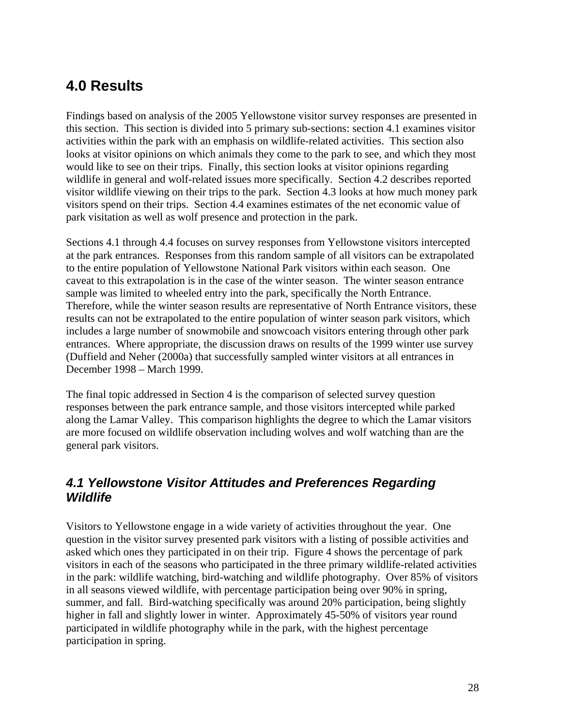# **4.0 Results**

Findings based on analysis of the 2005 Yellowstone visitor survey responses are presented in this section. This section is divided into 5 primary sub-sections: section 4.1 examines visitor activities within the park with an emphasis on wildlife-related activities. This section also looks at visitor opinions on which animals they come to the park to see, and which they most would like to see on their trips. Finally, this section looks at visitor opinions regarding wildlife in general and wolf-related issues more specifically. Section 4.2 describes reported visitor wildlife viewing on their trips to the park. Section 4.3 looks at how much money park visitors spend on their trips. Section 4.4 examines estimates of the net economic value of park visitation as well as wolf presence and protection in the park.

Sections 4.1 through 4.4 focuses on survey responses from Yellowstone visitors intercepted at the park entrances. Responses from this random sample of all visitors can be extrapolated to the entire population of Yellowstone National Park visitors within each season. One caveat to this extrapolation is in the case of the winter season. The winter season entrance sample was limited to wheeled entry into the park, specifically the North Entrance. Therefore, while the winter season results are representative of North Entrance visitors, these results can not be extrapolated to the entire population of winter season park visitors, which includes a large number of snowmobile and snowcoach visitors entering through other park entrances. Where appropriate, the discussion draws on results of the 1999 winter use survey (Duffield and Neher (2000a) that successfully sampled winter visitors at all entrances in December 1998 – March 1999.

The final topic addressed in Section 4 is the comparison of selected survey question responses between the park entrance sample, and those visitors intercepted while parked along the Lamar Valley. This comparison highlights the degree to which the Lamar visitors are more focused on wildlife observation including wolves and wolf watching than are the general park visitors.

## *4.1 Yellowstone Visitor Attitudes and Preferences Regarding Wildlife*

Visitors to Yellowstone engage in a wide variety of activities throughout the year. One question in the visitor survey presented park visitors with a listing of possible activities and asked which ones they participated in on their trip. Figure 4 shows the percentage of park visitors in each of the seasons who participated in the three primary wildlife-related activities in the park: wildlife watching, bird-watching and wildlife photography. Over 85% of visitors in all seasons viewed wildlife, with percentage participation being over 90% in spring, summer, and fall. Bird-watching specifically was around 20% participation, being slightly higher in fall and slightly lower in winter. Approximately 45-50% of visitors year round participated in wildlife photography while in the park, with the highest percentage participation in spring.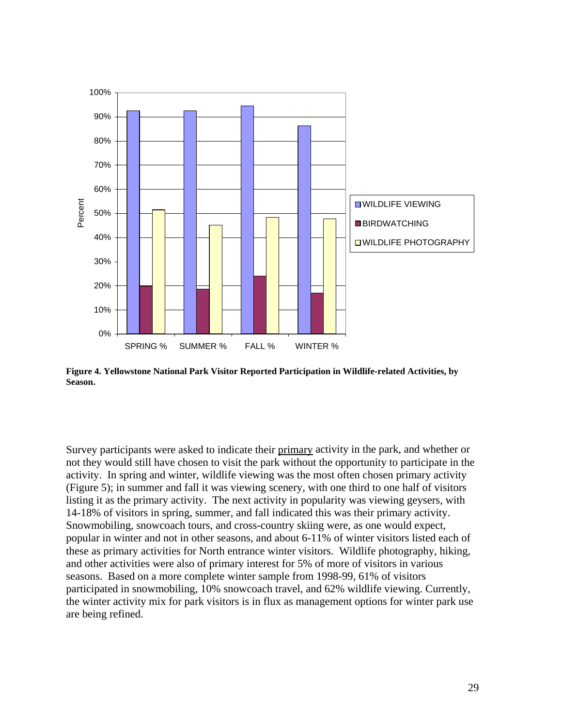

**Figure 4. Yellowstone National Park Visitor Reported Participation in Wildlife-related Activities, by Season.** 

Survey participants were asked to indicate their primary activity in the park, and whether or not they would still have chosen to visit the park without the opportunity to participate in the activity. In spring and winter, wildlife viewing was the most often chosen primary activity (Figure 5); in summer and fall it was viewing scenery, with one third to one half of visitors listing it as the primary activity. The next activity in popularity was viewing geysers, with 14-18% of visitors in spring, summer, and fall indicated this was their primary activity. Snowmobiling, snowcoach tours, and cross-country skiing were, as one would expect, popular in winter and not in other seasons, and about 6-11% of winter visitors listed each of these as primary activities for North entrance winter visitors. Wildlife photography, hiking, and other activities were also of primary interest for 5% of more of visitors in various seasons. Based on a more complete winter sample from 1998-99, 61% of visitors participated in snowmobiling, 10% snowcoach travel, and 62% wildlife viewing. Currently, the winter activity mix for park visitors is in flux as management options for winter park use are being refined.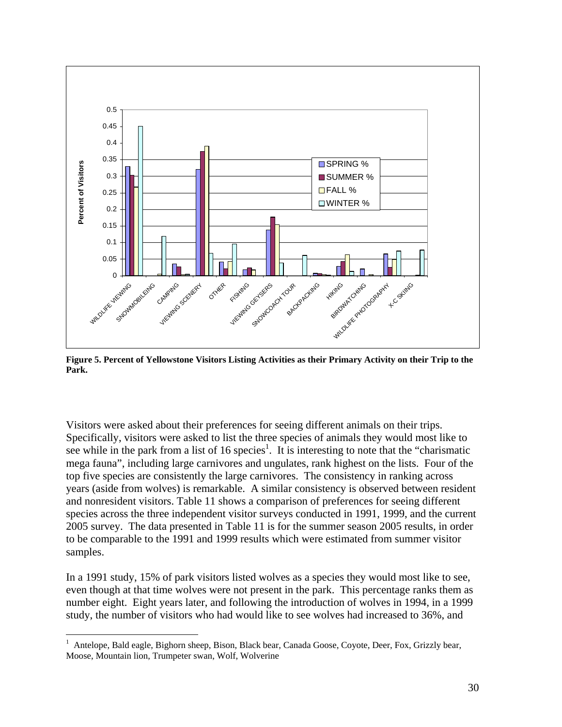

**Figure 5. Percent of Yellowstone Visitors Listing Activities as their Primary Activity on their Trip to the Park.** 

Visitors were asked about their preferences for seeing different animals on their trips. Specifically, visitors were asked to list the three species of animals they would most like to see while in the park from a list of 16 species<sup>1</sup>. It is interesting to note that the "charismatic" mega fauna", including large carnivores and ungulates, rank highest on the lists. Four of the top five species are consistently the large carnivores. The consistency in ranking across years (aside from wolves) is remarkable. A similar consistency is observed between resident and nonresident visitors. Table 11 shows a comparison of preferences for seeing different species across the three independent visitor surveys conducted in 1991, 1999, and the current 2005 survey. The data presented in Table 11 is for the summer season 2005 results, in order to be comparable to the 1991 and 1999 results which were estimated from summer visitor samples.

In a 1991 study, 15% of park visitors listed wolves as a species they would most like to see, even though at that time wolves were not present in the park. This percentage ranks them as number eight. Eight years later, and following the introduction of wolves in 1994, in a 1999 study, the number of visitors who had would like to see wolves had increased to 36%, and

 $\frac{1}{1}$  Antelope, Bald eagle, Bighorn sheep, Bison, Black bear, Canada Goose, Coyote, Deer, Fox, Grizzly bear, Moose, Mountain lion, Trumpeter swan, Wolf, Wolverine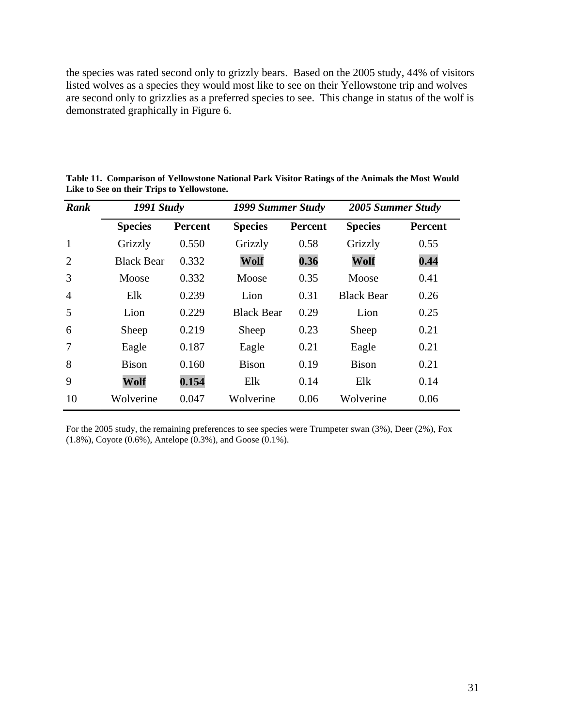the species was rated second only to grizzly bears. Based on the 2005 study, 44% of visitors listed wolves as a species they would most like to see on their Yellowstone trip and wolves are second only to grizzlies as a preferred species to see. This change in status of the wolf is demonstrated graphically in Figure 6.

| Rank           | <b>1991 Study</b> |                |                   | 1999 Summer Study |                   | 2005 Summer Study |  |
|----------------|-------------------|----------------|-------------------|-------------------|-------------------|-------------------|--|
|                | <b>Species</b>    | <b>Percent</b> | <b>Species</b>    | <b>Percent</b>    | <b>Species</b>    | <b>Percent</b>    |  |
| $\mathbf{1}$   | Grizzly           | 0.550          | Grizzly           | 0.58              | Grizzly           | 0.55              |  |
| 2              | <b>Black Bear</b> | 0.332          | Wolf              | 0.36              | Wolf              | 0.44              |  |
| 3              | Moose             | 0.332          | Moose             | 0.35              | Moose             | 0.41              |  |
| $\overline{4}$ | Elk               | 0.239          | Lion              | 0.31              | <b>Black Bear</b> | 0.26              |  |
| 5              | Lion              | 0.229          | <b>Black Bear</b> | 0.29              | Lion              | 0.25              |  |
| 6              | Sheep             | 0.219          | Sheep             | 0.23              | Sheep             | 0.21              |  |
| $\overline{7}$ | Eagle             | 0.187          | Eagle             | 0.21              | Eagle             | 0.21              |  |
| 8              | <b>Bison</b>      | 0.160          | <b>Bison</b>      | 0.19              | <b>Bison</b>      | 0.21              |  |
| 9              | Wolf              | 0.154          | Elk               | 0.14              | Elk               | 0.14              |  |
| 10             | Wolverine         | 0.047          | Wolverine         | 0.06              | Wolverine         | 0.06              |  |

**Table 11. Comparison of Yellowstone National Park Visitor Ratings of the Animals the Most Would Like to See on their Trips to Yellowstone.** 

For the 2005 study, the remaining preferences to see species were Trumpeter swan (3%), Deer (2%), Fox (1.8%), Coyote (0.6%), Antelope (0.3%), and Goose (0.1%).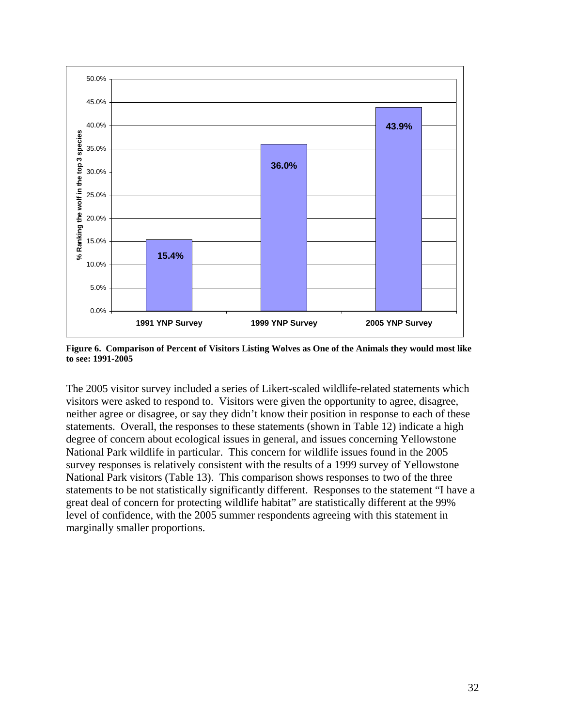

**Figure 6. Comparison of Percent of Visitors Listing Wolves as One of the Animals they would most like to see: 1991-2005** 

The 2005 visitor survey included a series of Likert-scaled wildlife-related statements which visitors were asked to respond to. Visitors were given the opportunity to agree, disagree, neither agree or disagree, or say they didn't know their position in response to each of these statements. Overall, the responses to these statements (shown in Table 12) indicate a high degree of concern about ecological issues in general, and issues concerning Yellowstone National Park wildlife in particular. This concern for wildlife issues found in the 2005 survey responses is relatively consistent with the results of a 1999 survey of Yellowstone National Park visitors (Table 13). This comparison shows responses to two of the three statements to be not statistically significantly different. Responses to the statement "I have a great deal of concern for protecting wildlife habitat" are statistically different at the 99% level of confidence, with the 2005 summer respondents agreeing with this statement in marginally smaller proportions.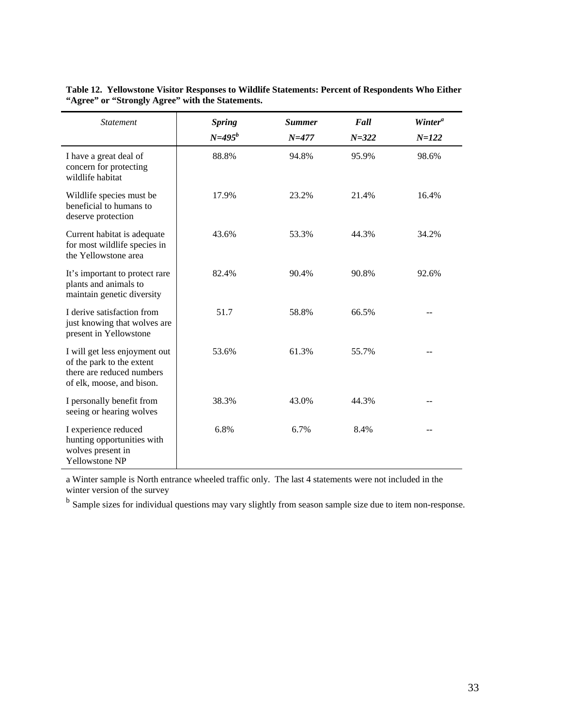| <b>Statement</b>                                                                                                     | <b>Spring</b><br>$N = 495^b$ | <b>Summer</b><br>$N = 477$ | Fall<br>$N = 322$ | Winter <sup>a</sup><br>$N = 122$ |
|----------------------------------------------------------------------------------------------------------------------|------------------------------|----------------------------|-------------------|----------------------------------|
| I have a great deal of<br>concern for protecting<br>wildlife habitat                                                 | 88.8%                        | 94.8%                      | 95.9%             | 98.6%                            |
| Wildlife species must be<br>beneficial to humans to<br>deserve protection                                            | 17.9%                        | 23.2%                      | 21.4%             | 16.4%                            |
| Current habitat is adequate<br>for most wildlife species in<br>the Yellowstone area                                  | 43.6%                        | 53.3%                      | 44.3%             | 34.2%                            |
| It's important to protect rare<br>plants and animals to<br>maintain genetic diversity                                | 82.4%                        | 90.4%                      | 90.8%             | 92.6%                            |
| I derive satisfaction from<br>just knowing that wolves are<br>present in Yellowstone                                 | 51.7                         | 58.8%                      | 66.5%             |                                  |
| I will get less enjoyment out<br>of the park to the extent<br>there are reduced numbers<br>of elk, moose, and bison. | 53.6%                        | 61.3%                      | 55.7%             |                                  |
| I personally benefit from<br>seeing or hearing wolves                                                                | 38.3%                        | 43.0%                      | 44.3%             |                                  |
| I experience reduced<br>hunting opportunities with<br>wolves present in<br>Yellowstone NP                            | 6.8%                         | 6.7%                       | 8.4%              |                                  |

**Table 12. Yellowstone Visitor Responses to Wildlife Statements: Percent of Respondents Who Either "Agree" or "Strongly Agree" with the Statements.** 

a Winter sample is North entrance wheeled traffic only. The last 4 statements were not included in the winter version of the survey

<sup>b</sup> Sample sizes for individual questions may vary slightly from season sample size due to item non-response.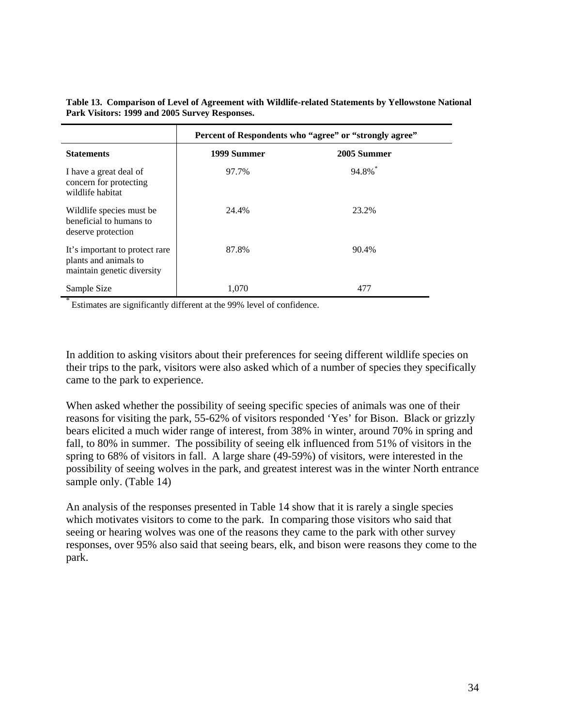|                                                                                       | Percent of Respondents who "agree" or "strongly agree" |             |  |  |
|---------------------------------------------------------------------------------------|--------------------------------------------------------|-------------|--|--|
| <b>Statements</b>                                                                     | 1999 Summer                                            | 2005 Summer |  |  |
| I have a great deal of<br>concern for protecting<br>wildlife habitat                  | 97.7%                                                  | 94.8%*      |  |  |
| Wildlife species must be.<br>beneficial to humans to<br>deserve protection            | 24.4%                                                  | 23.2%       |  |  |
| It's important to protect rare<br>plants and animals to<br>maintain genetic diversity | 87.8%                                                  | 90.4%       |  |  |
| Sample Size                                                                           | 1,070                                                  | 477         |  |  |

**Table 13. Comparison of Level of Agreement with Wildlife-related Statements by Yellowstone National Park Visitors: 1999 and 2005 Survey Responses.** 

Estimates are significantly different at the 99% level of confidence.

In addition to asking visitors about their preferences for seeing different wildlife species on their trips to the park, visitors were also asked which of a number of species they specifically came to the park to experience.

When asked whether the possibility of seeing specific species of animals was one of their reasons for visiting the park, 55-62% of visitors responded 'Yes' for Bison. Black or grizzly bears elicited a much wider range of interest, from 38% in winter, around 70% in spring and fall, to 80% in summer. The possibility of seeing elk influenced from 51% of visitors in the spring to 68% of visitors in fall. A large share (49-59%) of visitors, were interested in the possibility of seeing wolves in the park, and greatest interest was in the winter North entrance sample only. (Table 14)

An analysis of the responses presented in Table 14 show that it is rarely a single species which motivates visitors to come to the park. In comparing those visitors who said that seeing or hearing wolves was one of the reasons they came to the park with other survey responses, over 95% also said that seeing bears, elk, and bison were reasons they come to the park.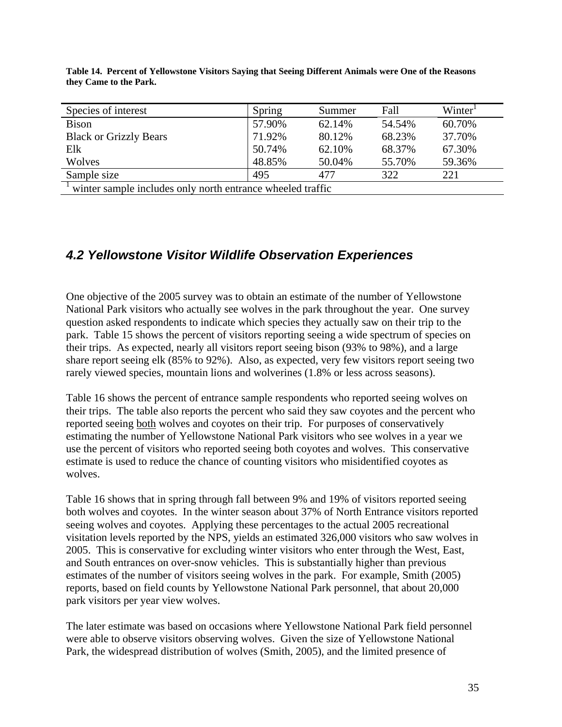| Species of interest                                        | Spring | Summer | Fall   | Winter <sup>1</sup> |  |  |
|------------------------------------------------------------|--------|--------|--------|---------------------|--|--|
| <b>Bison</b>                                               | 57.90% | 62.14% | 54.54% | 60.70%              |  |  |
| <b>Black or Grizzly Bears</b>                              | 71.92% | 80.12% | 68.23% | 37.70%              |  |  |
| Elk                                                        | 50.74% | 62.10% | 68.37% | 67.30%              |  |  |
| Wolves                                                     | 48.85% | 50.04% | 55.70% | 59.36%              |  |  |
| Sample size                                                | 495    | 477    | 322    | 221                 |  |  |
| winter sample includes only north entrance wheeled traffic |        |        |        |                     |  |  |

**Table 14. Percent of Yellowstone Visitors Saying that Seeing Different Animals were One of the Reasons they Came to the Park.** 

# *4.2 Yellowstone Visitor Wildlife Observation Experiences*

One objective of the 2005 survey was to obtain an estimate of the number of Yellowstone National Park visitors who actually see wolves in the park throughout the year. One survey question asked respondents to indicate which species they actually saw on their trip to the park. Table 15 shows the percent of visitors reporting seeing a wide spectrum of species on their trips. As expected, nearly all visitors report seeing bison (93% to 98%), and a large share report seeing elk (85% to 92%). Also, as expected, very few visitors report seeing two rarely viewed species, mountain lions and wolverines (1.8% or less across seasons).

Table 16 shows the percent of entrance sample respondents who reported seeing wolves on their trips. The table also reports the percent who said they saw coyotes and the percent who reported seeing both wolves and coyotes on their trip. For purposes of conservatively estimating the number of Yellowstone National Park visitors who see wolves in a year we use the percent of visitors who reported seeing both coyotes and wolves. This conservative estimate is used to reduce the chance of counting visitors who misidentified coyotes as wolves.

Table 16 shows that in spring through fall between 9% and 19% of visitors reported seeing both wolves and coyotes. In the winter season about 37% of North Entrance visitors reported seeing wolves and coyotes. Applying these percentages to the actual 2005 recreational visitation levels reported by the NPS, yields an estimated 326,000 visitors who saw wolves in 2005. This is conservative for excluding winter visitors who enter through the West, East, and South entrances on over-snow vehicles. This is substantially higher than previous estimates of the number of visitors seeing wolves in the park. For example, Smith (2005) reports, based on field counts by Yellowstone National Park personnel, that about 20,000 park visitors per year view wolves.

The later estimate was based on occasions where Yellowstone National Park field personnel were able to observe visitors observing wolves. Given the size of Yellowstone National Park, the widespread distribution of wolves (Smith, 2005), and the limited presence of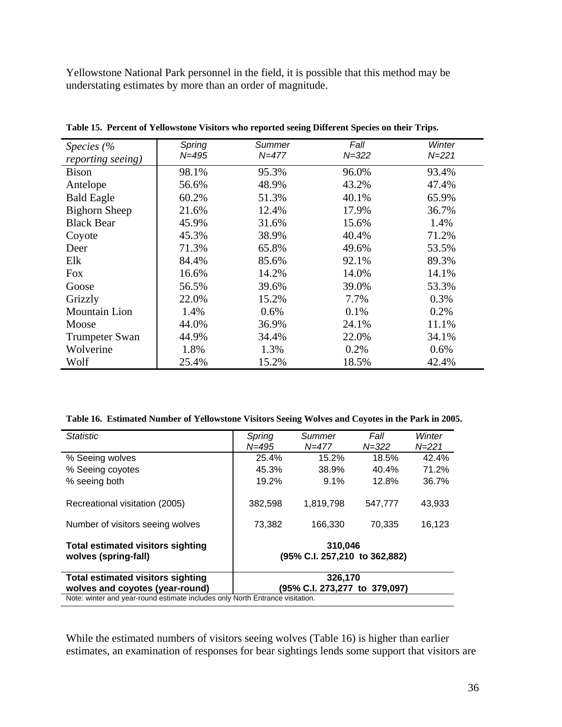Yellowstone National Park personnel in the field, it is possible that this method may be understating estimates by more than an order of magnitude.

| Species $\frac{6}{6}$<br>reporting seeing) | Spring<br>$N = 495$ | Summer<br>$N = 477$ | Fall<br>$N = 322$ | Winter<br>$N = 221$ |
|--------------------------------------------|---------------------|---------------------|-------------------|---------------------|
| Bison                                      | 98.1%               | 95.3%               | 96.0%             | 93.4%               |
| Antelope                                   | 56.6%               | 48.9%               | 43.2%             | 47.4%               |
| <b>Bald Eagle</b>                          | 60.2%               | 51.3%               | 40.1%             | 65.9%               |
| <b>Bighorn Sheep</b>                       | 21.6%               | 12.4%               | 17.9%             | 36.7%               |
| <b>Black Bear</b>                          | 45.9%               | 31.6%               | 15.6%             | 1.4%                |
| Coyote                                     | 45.3%               | 38.9%               | 40.4%             | 71.2%               |
| Deer                                       | 71.3%               | 65.8%               | 49.6%             | 53.5%               |
| Elk                                        | 84.4%               | 85.6%               | 92.1%             | 89.3%               |
| Fox                                        | 16.6%               | 14.2%               | 14.0%             | 14.1%               |
| Goose                                      | 56.5%               | 39.6%               | 39.0%             | 53.3%               |
| Grizzly                                    | 22.0%               | 15.2%               | 7.7%              | 0.3%                |
| <b>Mountain Lion</b>                       | 1.4%                | 0.6%                | 0.1%              | 0.2%                |
| Moose                                      | 44.0%               | 36.9%               | 24.1%             | 11.1%               |
| <b>Trumpeter Swan</b>                      | 44.9%               | 34.4%               | 22.0%             | 34.1%               |
| Wolverine                                  | 1.8%                | 1.3%                | 0.2%              | 0.6%                |
| Wolf                                       | 25.4%               | 15.2%               | 18.5%             | 42.4%               |

**Table 15. Percent of Yellowstone Visitors who reported seeing Different Species on their Trips.** 

| Table 16. Estimated Number of Yellowstone Visitors Seeing Wolves and Coyotes in the Park in 2005. |  |  |  |
|---------------------------------------------------------------------------------------------------|--|--|--|
|                                                                                                   |  |  |  |

| <b>Statistic</b>                                                              | Spring                                   | Summer    | Fall      | Winter    |  |  |  |
|-------------------------------------------------------------------------------|------------------------------------------|-----------|-----------|-----------|--|--|--|
|                                                                               | $N = 495$                                | $N = 477$ | $N = 322$ | $N = 221$ |  |  |  |
| % Seeing wolves                                                               | 25.4%                                    | 15.2%     | 18.5%     | 42.4%     |  |  |  |
| % Seeing coyotes                                                              | 45.3%                                    | 38.9%     | 40.4%     | 71.2%     |  |  |  |
| % seeing both                                                                 | 19.2%                                    | $9.1\%$   | 12.8%     | 36.7%     |  |  |  |
| Recreational visitation (2005)                                                | 382,598                                  | 1,819,798 | 547,777   | 43,933    |  |  |  |
| Number of visitors seeing wolves                                              | 73.382                                   | 166.330   | 70.335    | 16,123    |  |  |  |
| <b>Total estimated visitors sighting</b><br>wolves (spring-fall)              | 310,046<br>(95% C.I. 257,210 to 362,882) |           |           |           |  |  |  |
| <b>Total estimated visitors sighting</b>                                      |                                          | 326,170   |           |           |  |  |  |
| wolves and coyotes (year-round)                                               | (95% C.I. 273,277 to 379,097)            |           |           |           |  |  |  |
| Note: winter and year-round estimate includes only North Entrance visitation. |                                          |           |           |           |  |  |  |

While the estimated numbers of visitors seeing wolves (Table 16) is higher than earlier estimates, an examination of responses for bear sightings lends some support that visitors are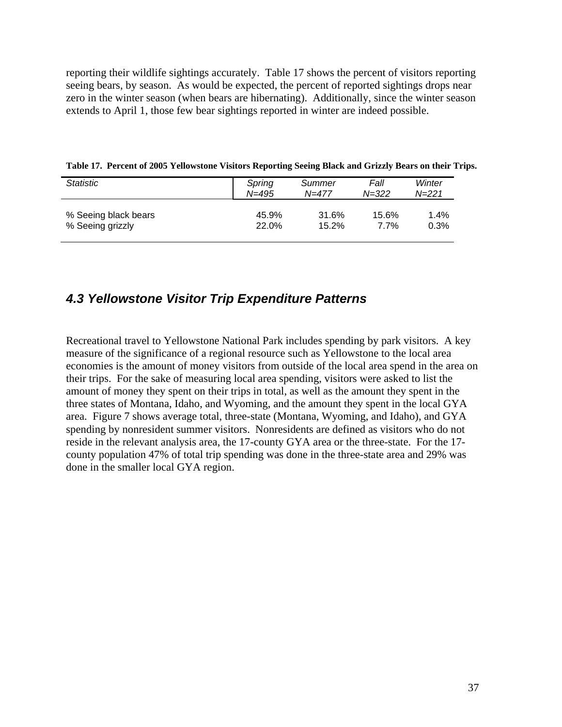reporting their wildlife sightings accurately. Table 17 shows the percent of visitors reporting seeing bears, by season. As would be expected, the percent of reported sightings drops near zero in the winter season (when bears are hibernating). Additionally, since the winter season extends to April 1, those few bear sightings reported in winter are indeed possible.

| <b>Statistic</b>     | Spring    | Summer | Fall      | Winter |
|----------------------|-----------|--------|-----------|--------|
|                      | $N = 495$ | N=477  | $N = 322$ | N=221  |
| % Seeing black bears | 45.9%     | 31.6%  | 15.6%     | 1.4%   |
| % Seeing grizzly     | 22.0%     | 15.2%  | 7.7%      | 0.3%   |

**Table 17. Percent of 2005 Yellowstone Visitors Reporting Seeing Black and Grizzly Bears on their Trips.** 

### *4.3 Yellowstone Visitor Trip Expenditure Patterns*

Recreational travel to Yellowstone National Park includes spending by park visitors. A key measure of the significance of a regional resource such as Yellowstone to the local area economies is the amount of money visitors from outside of the local area spend in the area on their trips. For the sake of measuring local area spending, visitors were asked to list the amount of money they spent on their trips in total, as well as the amount they spent in the three states of Montana, Idaho, and Wyoming, and the amount they spent in the local GYA area. Figure 7 shows average total, three-state (Montana, Wyoming, and Idaho), and GYA spending by nonresident summer visitors. Nonresidents are defined as visitors who do not reside in the relevant analysis area, the 17-county GYA area or the three-state. For the 17 county population 47% of total trip spending was done in the three-state area and 29% was done in the smaller local GYA region.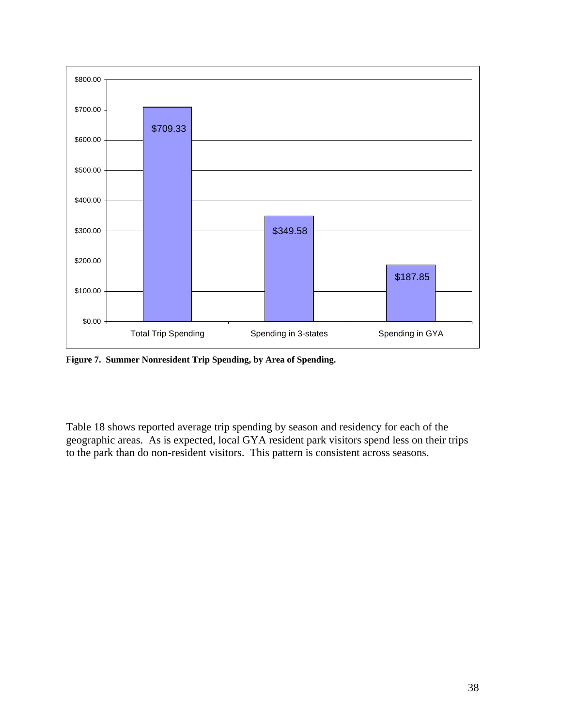

**Figure 7. Summer Nonresident Trip Spending, by Area of Spending.** 

Table 18 shows reported average trip spending by season and residency for each of the geographic areas. As is expected, local GYA resident park visitors spend less on their trips to the park than do non-resident visitors. This pattern is consistent across seasons.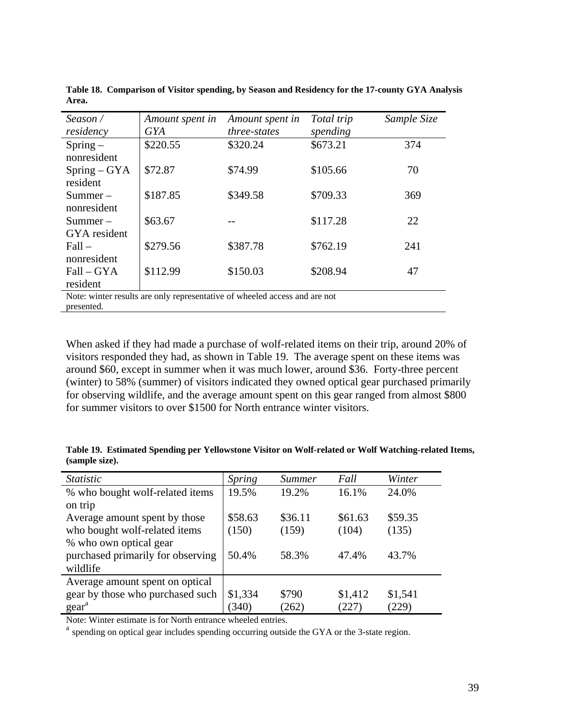| Season/<br>residency          | Amount spent in<br><b>GYA</b>                                              | Amount spent in<br>three-states | Total trip<br>spending | Sample Size |
|-------------------------------|----------------------------------------------------------------------------|---------------------------------|------------------------|-------------|
| $Spring-$                     | \$220.55                                                                   | \$320.24                        | \$673.21               | 374         |
| nonresident<br>$Spring - GYA$ | \$72.87                                                                    | \$74.99                         | \$105.66               | 70          |
| resident                      |                                                                            |                                 |                        |             |
| $Summer -$                    | \$187.85                                                                   | \$349.58                        | \$709.33               | 369         |
| nonresident                   |                                                                            |                                 |                        |             |
| $Summer -$                    | \$63.67                                                                    |                                 | \$117.28               | 22          |
| GYA resident                  |                                                                            |                                 |                        |             |
| $Fall -$                      | \$279.56                                                                   | \$387.78                        | \$762.19               | 241         |
| nonresident                   |                                                                            |                                 |                        |             |
| $Fall - GYA$                  | \$112.99                                                                   | \$150.03                        | \$208.94               | 47          |
| resident                      |                                                                            |                                 |                        |             |
|                               | Note: winter results are only representative of wheeled access and are not |                                 |                        |             |

**Table 18. Comparison of Visitor spending, by Season and Residency for the 17-county GYA Analysis Area.** 

presented.

When asked if they had made a purchase of wolf-related items on their trip, around 20% of visitors responded they had, as shown in Table 19. The average spent on these items was around \$60, except in summer when it was much lower, around \$36. Forty-three percent (winter) to 58% (summer) of visitors indicated they owned optical gear purchased primarily for observing wildlife, and the average amount spent on this gear ranged from almost \$800 for summer visitors to over \$1500 for North entrance winter visitors.

| <i>Statistic</i>                  | Spring  | Summer  | Fall    | Winter  |
|-----------------------------------|---------|---------|---------|---------|
| % who bought wolf-related items   | 19.5%   | 19.2%   | 16.1%   | 24.0%   |
| on trip                           |         |         |         |         |
| Average amount spent by those     | \$58.63 | \$36.11 | \$61.63 | \$59.35 |
| who bought wolf-related items     | (150)   | (159)   | (104)   | (135)   |
| % who own optical gear            |         |         |         |         |
| purchased primarily for observing | 50.4%   | 58.3%   | 47.4%   | 43.7%   |
| wildlife                          |         |         |         |         |
| Average amount spent on optical   |         |         |         |         |
| gear by those who purchased such  | \$1,334 | \$790   | \$1,412 | \$1,541 |
| $\text{gear}^a$                   | (340)   | (262)   | 227)    | (229)   |

**Table 19. Estimated Spending per Yellowstone Visitor on Wolf-related or Wolf Watching-related Items, (sample size).** 

Note: Winter estimate is for North entrance wheeled entries.

<sup>a</sup> spending on optical gear includes spending occurring outside the GYA or the 3-state region.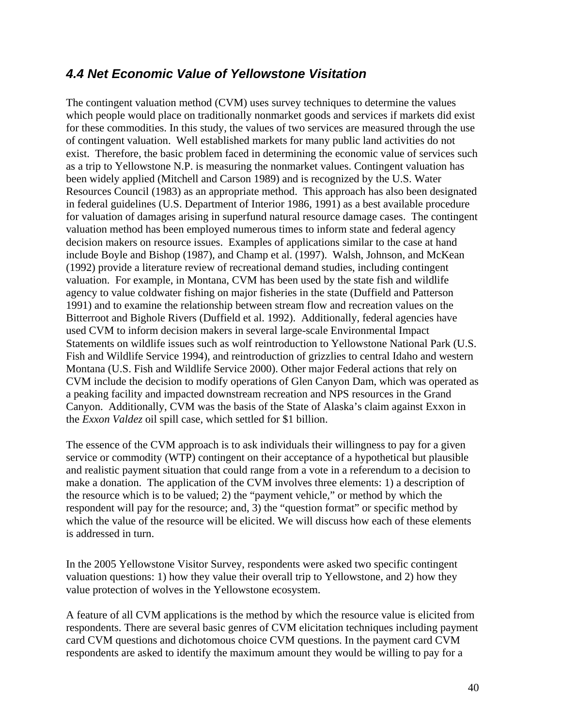## *4.4 Net Economic Value of Yellowstone Visitation*

The contingent valuation method (CVM) uses survey techniques to determine the values which people would place on traditionally nonmarket goods and services if markets did exist for these commodities. In this study, the values of two services are measured through the use of contingent valuation. Well established markets for many public land activities do not exist. Therefore, the basic problem faced in determining the economic value of services such as a trip to Yellowstone N.P. is measuring the nonmarket values. Contingent valuation has been widely applied (Mitchell and Carson 1989) and is recognized by the U.S. Water Resources Council (1983) as an appropriate method. This approach has also been designated in federal guidelines (U.S. Department of Interior 1986, 1991) as a best available procedure for valuation of damages arising in superfund natural resource damage cases. The contingent valuation method has been employed numerous times to inform state and federal agency decision makers on resource issues. Examples of applications similar to the case at hand include Boyle and Bishop (1987), and Champ et al. (1997). Walsh, Johnson, and McKean (1992) provide a literature review of recreational demand studies, including contingent valuation. For example, in Montana, CVM has been used by the state fish and wildlife agency to value coldwater fishing on major fisheries in the state (Duffield and Patterson 1991) and to examine the relationship between stream flow and recreation values on the Bitterroot and Bighole Rivers (Duffield et al. 1992). Additionally, federal agencies have used CVM to inform decision makers in several large-scale Environmental Impact Statements on wildlife issues such as wolf reintroduction to Yellowstone National Park (U.S. Fish and Wildlife Service 1994), and reintroduction of grizzlies to central Idaho and western Montana (U.S. Fish and Wildlife Service 2000). Other major Federal actions that rely on CVM include the decision to modify operations of Glen Canyon Dam, which was operated as a peaking facility and impacted downstream recreation and NPS resources in the Grand Canyon. Additionally, CVM was the basis of the State of Alaska's claim against Exxon in the *Exxon Valdez* oil spill case, which settled for \$1 billion.

The essence of the CVM approach is to ask individuals their willingness to pay for a given service or commodity (WTP) contingent on their acceptance of a hypothetical but plausible and realistic payment situation that could range from a vote in a referendum to a decision to make a donation. The application of the CVM involves three elements: 1) a description of the resource which is to be valued; 2) the "payment vehicle," or method by which the respondent will pay for the resource; and, 3) the "question format" or specific method by which the value of the resource will be elicited. We will discuss how each of these elements is addressed in turn.

In the 2005 Yellowstone Visitor Survey, respondents were asked two specific contingent valuation questions: 1) how they value their overall trip to Yellowstone, and 2) how they value protection of wolves in the Yellowstone ecosystem.

A feature of all CVM applications is the method by which the resource value is elicited from respondents. There are several basic genres of CVM elicitation techniques including payment card CVM questions and dichotomous choice CVM questions. In the payment card CVM respondents are asked to identify the maximum amount they would be willing to pay for a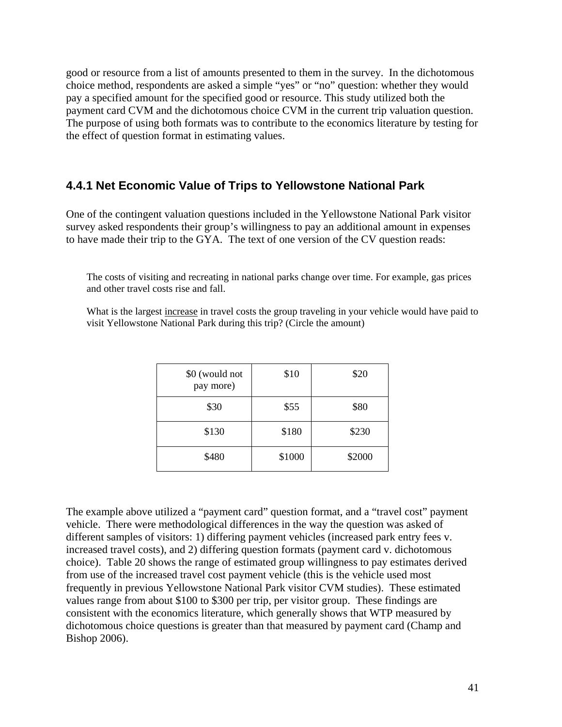good or resource from a list of amounts presented to them in the survey. In the dichotomous choice method, respondents are asked a simple "yes" or "no" question: whether they would pay a specified amount for the specified good or resource. This study utilized both the payment card CVM and the dichotomous choice CVM in the current trip valuation question. The purpose of using both formats was to contribute to the economics literature by testing for the effect of question format in estimating values.

#### **4.4.1 Net Economic Value of Trips to Yellowstone National Park**

One of the contingent valuation questions included in the Yellowstone National Park visitor survey asked respondents their group's willingness to pay an additional amount in expenses to have made their trip to the GYA. The text of one version of the CV question reads:

The costs of visiting and recreating in national parks change over time. For example, gas prices and other travel costs rise and fall.

What is the largest increase in travel costs the group traveling in your vehicle would have paid to visit Yellowstone National Park during this trip? (Circle the amount)

| \$0 (would not<br>pay more) | \$10   | \$20   |
|-----------------------------|--------|--------|
| \$30                        | \$55   | \$80   |
| \$130                       | \$180  | \$230  |
| \$480                       | \$1000 | \$2000 |

The example above utilized a "payment card" question format, and a "travel cost" payment vehicle. There were methodological differences in the way the question was asked of different samples of visitors: 1) differing payment vehicles (increased park entry fees v. increased travel costs), and 2) differing question formats (payment card v. dichotomous choice). Table 20 shows the range of estimated group willingness to pay estimates derived from use of the increased travel cost payment vehicle (this is the vehicle used most frequently in previous Yellowstone National Park visitor CVM studies). These estimated values range from about \$100 to \$300 per trip, per visitor group. These findings are consistent with the economics literature, which generally shows that WTP measured by dichotomous choice questions is greater than that measured by payment card (Champ and Bishop 2006).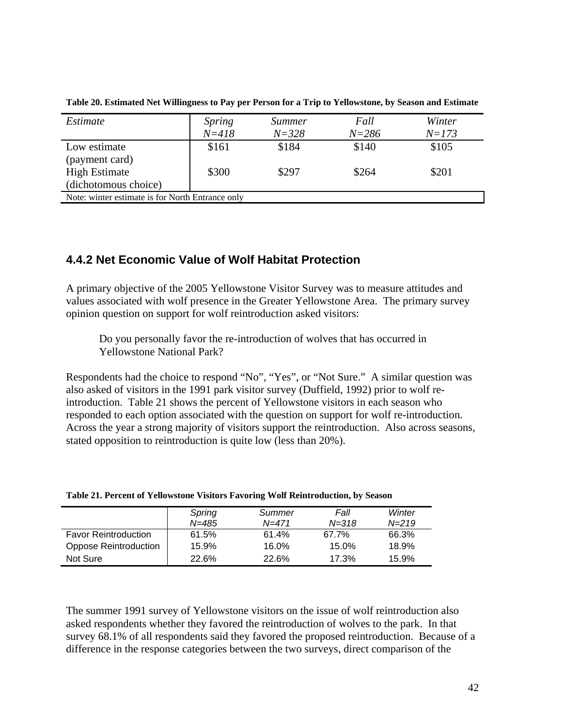| Estimate                                         | <i>Spring</i> | <i>Summer</i> | Fall      | Winter    |  |  |
|--------------------------------------------------|---------------|---------------|-----------|-----------|--|--|
|                                                  | $N = 418$     | $N = 328$     | $N = 286$ | $N = 173$ |  |  |
| Low estimate                                     | \$161         | \$184         | \$140     | \$105     |  |  |
| (payment card)                                   |               |               |           |           |  |  |
| <b>High Estimate</b>                             | \$300         | \$297         | \$264     | \$201     |  |  |
| (dichotomous choice)                             |               |               |           |           |  |  |
| Note: winter estimate is for North Entrance only |               |               |           |           |  |  |

**Table 20. Estimated Net Willingness to Pay per Person for a Trip to Yellowstone, by Season and Estimate** 

#### **4.4.2 Net Economic Value of Wolf Habitat Protection**

A primary objective of the 2005 Yellowstone Visitor Survey was to measure attitudes and values associated with wolf presence in the Greater Yellowstone Area. The primary survey opinion question on support for wolf reintroduction asked visitors:

 Do you personally favor the re-introduction of wolves that has occurred in Yellowstone National Park?

Respondents had the choice to respond "No", "Yes", or "Not Sure." A similar question was also asked of visitors in the 1991 park visitor survey (Duffield, 1992) prior to wolf reintroduction. Table 21 shows the percent of Yellowstone visitors in each season who responded to each option associated with the question on support for wolf re-introduction. Across the year a strong majority of visitors support the reintroduction. Also across seasons, stated opposition to reintroduction is quite low (less than 20%).

|                              | Spring<br>N=485 | Summer<br>$N = 471$ | Fall<br>$N = 318$ | Winter<br>$N = 219$ |
|------------------------------|-----------------|---------------------|-------------------|---------------------|
| <b>Favor Reintroduction</b>  | 61.5%           | 61.4%               | 67.7%             | 66.3%               |
| <b>Oppose Reintroduction</b> | 15.9%           | 16.0%               | 15.0%             | 18.9%               |
| Not Sure                     | 22.6%           | 22.6%               | 17.3%             | 15.9%               |

**Table 21. Percent of Yellowstone Visitors Favoring Wolf Reintroduction, by Season** 

The summer 1991 survey of Yellowstone visitors on the issue of wolf reintroduction also asked respondents whether they favored the reintroduction of wolves to the park. In that survey 68.1% of all respondents said they favored the proposed reintroduction. Because of a difference in the response categories between the two surveys, direct comparison of the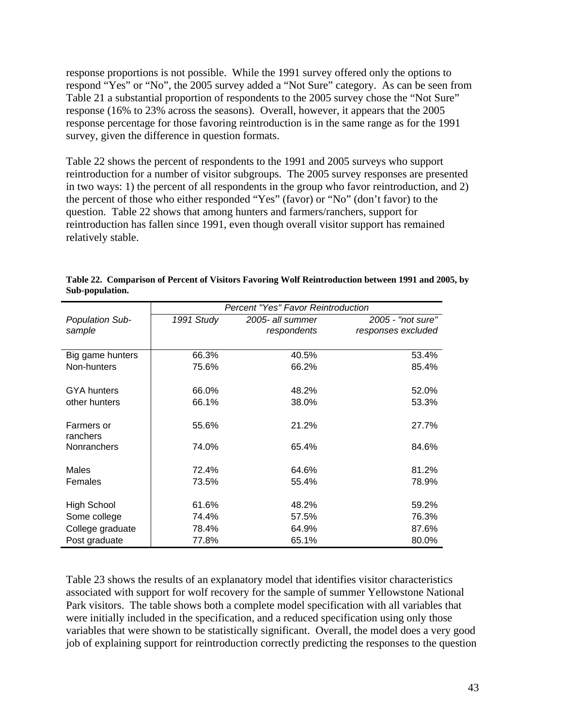response proportions is not possible. While the 1991 survey offered only the options to respond "Yes" or "No", the 2005 survey added a "Not Sure" category. As can be seen from Table 21 a substantial proportion of respondents to the 2005 survey chose the "Not Sure" response (16% to 23% across the seasons). Overall, however, it appears that the 2005 response percentage for those favoring reintroduction is in the same range as for the 1991 survey, given the difference in question formats.

Table 22 shows the percent of respondents to the 1991 and 2005 surveys who support reintroduction for a number of visitor subgroups. The 2005 survey responses are presented in two ways: 1) the percent of all respondents in the group who favor reintroduction, and 2) the percent of those who either responded "Yes" (favor) or "No" (don't favor) to the question. Table 22 shows that among hunters and farmers/ranchers, support for reintroduction has fallen since 1991, even though overall visitor support has remained relatively stable.

|                        | <b>Percent "Yes" Favor Reintroduction</b> |                  |                    |  |  |  |
|------------------------|-------------------------------------------|------------------|--------------------|--|--|--|
| <b>Population Sub-</b> | 1991 Study                                | 2005- all summer | 2005 - "not sure"  |  |  |  |
| sample                 |                                           | respondents      | responses excluded |  |  |  |
|                        |                                           |                  |                    |  |  |  |
| Big game hunters       | 66.3%                                     | 40.5%            | 53.4%              |  |  |  |
| Non-hunters            | 75.6%                                     | 66.2%            | 85.4%              |  |  |  |
|                        |                                           |                  |                    |  |  |  |
| <b>GYA hunters</b>     | 66.0%                                     | 48.2%            | 52.0%              |  |  |  |
| other hunters          | 66.1%                                     | 38.0%            | 53.3%              |  |  |  |
|                        |                                           |                  |                    |  |  |  |
| Farmers or             | 55.6%                                     | 21.2%            | 27.7%              |  |  |  |
| ranchers               |                                           |                  |                    |  |  |  |
| Nonranchers            | 74.0%                                     | 65.4%            | 84.6%              |  |  |  |
|                        |                                           |                  |                    |  |  |  |
| Males                  | 72.4%                                     | 64.6%            | 81.2%              |  |  |  |
| Females                | 73.5%                                     | 55.4%            | 78.9%              |  |  |  |
|                        |                                           |                  |                    |  |  |  |
| <b>High School</b>     | 61.6%                                     | 48.2%            | 59.2%              |  |  |  |
| Some college           | 74.4%                                     | 57.5%            | 76.3%              |  |  |  |
| College graduate       | 78.4%                                     | 64.9%            | 87.6%              |  |  |  |
| Post graduate          | 77.8%                                     | 65.1%            | 80.0%              |  |  |  |

**Table 22. Comparison of Percent of Visitors Favoring Wolf Reintroduction between 1991 and 2005, by Sub-population.** 

Table 23 shows the results of an explanatory model that identifies visitor characteristics associated with support for wolf recovery for the sample of summer Yellowstone National Park visitors. The table shows both a complete model specification with all variables that were initially included in the specification, and a reduced specification using only those variables that were shown to be statistically significant. Overall, the model does a very good job of explaining support for reintroduction correctly predicting the responses to the question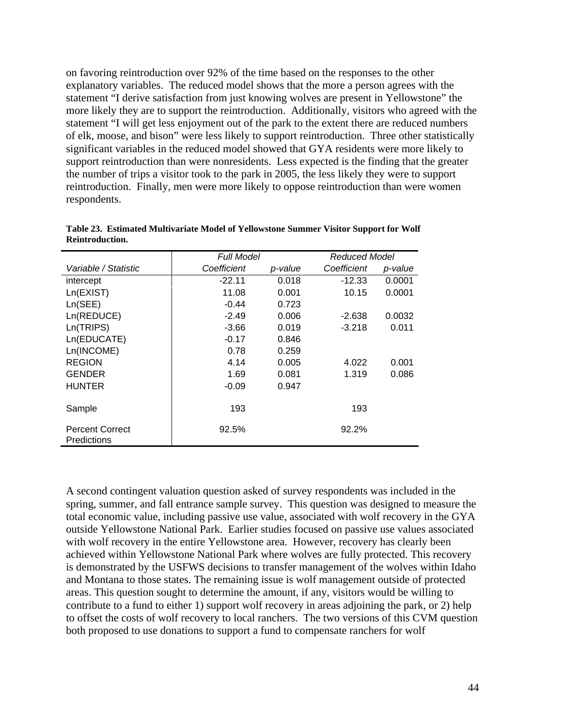on favoring reintroduction over 92% of the time based on the responses to the other explanatory variables. The reduced model shows that the more a person agrees with the statement "I derive satisfaction from just knowing wolves are present in Yellowstone" the more likely they are to support the reintroduction. Additionally, visitors who agreed with the statement "I will get less enjoyment out of the park to the extent there are reduced numbers of elk, moose, and bison" were less likely to support reintroduction. Three other statistically significant variables in the reduced model showed that GYA residents were more likely to support reintroduction than were nonresidents. Less expected is the finding that the greater the number of trips a visitor took to the park in 2005, the less likely they were to support reintroduction. Finally, men were more likely to oppose reintroduction than were women respondents.

|                                       | <b>Full Model</b> | Reduced Model |             |         |
|---------------------------------------|-------------------|---------------|-------------|---------|
| Variable / Statistic                  | Coefficient       | p-value       | Coefficient | p-value |
| intercept                             | $-22.11$          | 0.018         | $-12.33$    | 0.0001  |
| Ln(EXIST)                             | 11.08             | 0.001         | 10.15       | 0.0001  |
| Ln(SEE)                               | $-0.44$           | 0.723         |             |         |
| Ln(REDUCE)                            | $-2.49$           | 0.006         | $-2.638$    | 0.0032  |
| Ln(TRIPS)                             | $-3.66$           | 0.019         | $-3.218$    | 0.011   |
| Ln(EDUCATE)                           | $-0.17$           | 0.846         |             |         |
| Ln(INCOME)                            | 0.78              | 0.259         |             |         |
| <b>REGION</b>                         | 4.14              | 0.005         | 4.022       | 0.001   |
| <b>GENDER</b>                         | 1.69              | 0.081         | 1.319       | 0.086   |
| <b>HUNTER</b>                         | $-0.09$           | 0.947         |             |         |
| Sample                                | 193               |               | 193         |         |
| <b>Percent Correct</b><br>Predictions | 92.5%             |               | 92.2%       |         |

**Table 23. Estimated Multivariate Model of Yellowstone Summer Visitor Support for Wolf Reintroduction.** 

A second contingent valuation question asked of survey respondents was included in the spring, summer, and fall entrance sample survey. This question was designed to measure the total economic value, including passive use value, associated with wolf recovery in the GYA outside Yellowstone National Park. Earlier studies focused on passive use values associated with wolf recovery in the entire Yellowstone area. However, recovery has clearly been achieved within Yellowstone National Park where wolves are fully protected. This recovery is demonstrated by the USFWS decisions to transfer management of the wolves within Idaho and Montana to those states. The remaining issue is wolf management outside of protected areas. This question sought to determine the amount, if any, visitors would be willing to contribute to a fund to either 1) support wolf recovery in areas adjoining the park, or 2) help to offset the costs of wolf recovery to local ranchers. The two versions of this CVM question both proposed to use donations to support a fund to compensate ranchers for wolf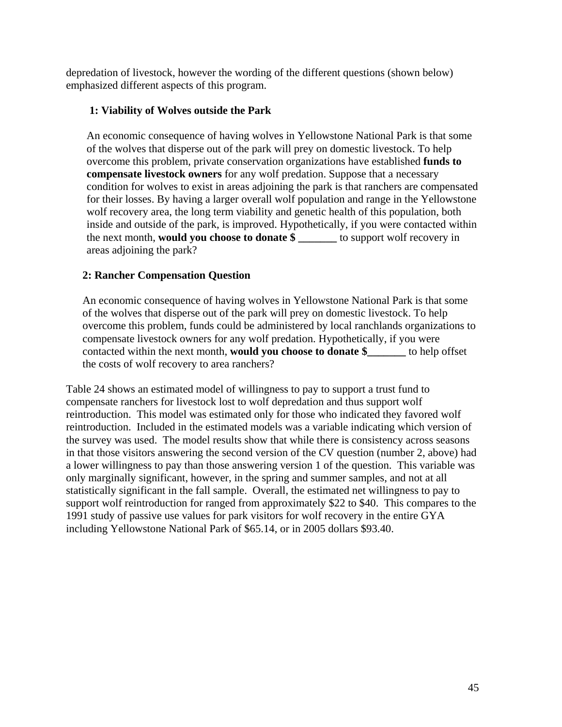depredation of livestock, however the wording of the different questions (shown below) emphasized different aspects of this program.

#### **1: Viability of Wolves outside the Park**

An economic consequence of having wolves in Yellowstone National Park is that some of the wolves that disperse out of the park will prey on domestic livestock. To help overcome this problem, private conservation organizations have established **funds to compensate livestock owners** for any wolf predation. Suppose that a necessary condition for wolves to exist in areas adjoining the park is that ranchers are compensated for their losses. By having a larger overall wolf population and range in the Yellowstone wolf recovery area, the long term viability and genetic health of this population, both inside and outside of the park, is improved. Hypothetically, if you were contacted within the next month, **would you choose to donate \$ \_\_\_\_\_\_\_** to support wolf recovery in areas adjoining the park?

#### **2: Rancher Compensation Question**

An economic consequence of having wolves in Yellowstone National Park is that some of the wolves that disperse out of the park will prey on domestic livestock. To help overcome this problem, funds could be administered by local ranchlands organizations to compensate livestock owners for any wolf predation. Hypothetically, if you were contacted within the next month, **would you choose to donate \$\_\_\_\_\_\_\_** to help offset the costs of wolf recovery to area ranchers?

Table 24 shows an estimated model of willingness to pay to support a trust fund to compensate ranchers for livestock lost to wolf depredation and thus support wolf reintroduction. This model was estimated only for those who indicated they favored wolf reintroduction. Included in the estimated models was a variable indicating which version of the survey was used. The model results show that while there is consistency across seasons in that those visitors answering the second version of the CV question (number 2, above) had a lower willingness to pay than those answering version 1 of the question. This variable was only marginally significant, however, in the spring and summer samples, and not at all statistically significant in the fall sample. Overall, the estimated net willingness to pay to support wolf reintroduction for ranged from approximately \$22 to \$40. This compares to the 1991 study of passive use values for park visitors for wolf recovery in the entire GYA including Yellowstone National Park of \$65.14, or in 2005 dollars \$93.40.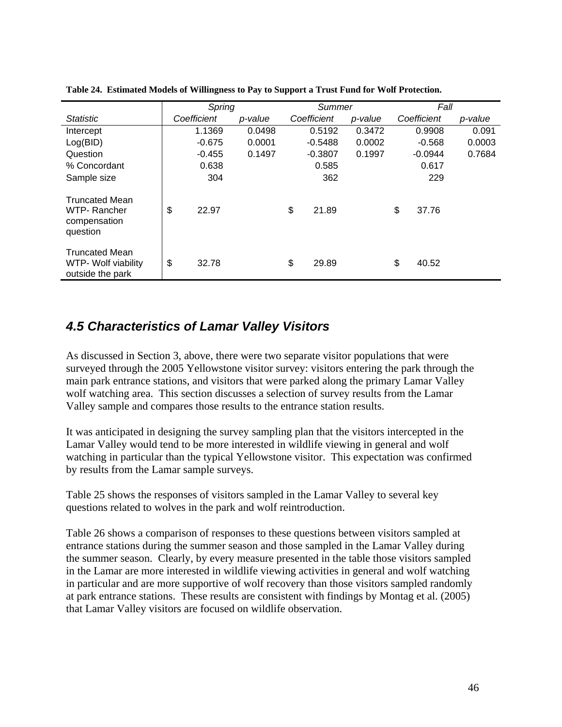|                                                                  |             | Spring  |             | Summer    |         |    | Fall        |         |
|------------------------------------------------------------------|-------------|---------|-------------|-----------|---------|----|-------------|---------|
| <b>Statistic</b>                                                 | Coefficient | p-value | Coefficient |           | p-value |    | Coefficient | p-value |
| Intercept                                                        | 1.1369      | 0.0498  |             | 0.5192    | 0.3472  |    | 0.9908      | 0.091   |
| Log(BID)                                                         | $-0.675$    | 0.0001  |             | $-0.5488$ | 0.0002  |    | $-0.568$    | 0.0003  |
| Question                                                         | $-0.455$    | 0.1497  |             | $-0.3807$ | 0.1997  |    | $-0.0944$   | 0.7684  |
| % Concordant                                                     | 0.638       |         |             | 0.585     |         |    | 0.617       |         |
| Sample size                                                      | 304         |         |             | 362       |         |    | 229         |         |
| <b>Truncated Mean</b><br>WTP-Rancher<br>compensation<br>question | \$<br>22.97 |         | \$          | 21.89     |         | \$ | 37.76       |         |
| <b>Truncated Mean</b><br>WTP- Wolf viability<br>outside the park | \$<br>32.78 |         | \$          | 29.89     |         | \$ | 40.52       |         |

**Table 24. Estimated Models of Willingness to Pay to Support a Trust Fund for Wolf Protection.** 

# *4.5 Characteristics of Lamar Valley Visitors*

As discussed in Section 3, above, there were two separate visitor populations that were surveyed through the 2005 Yellowstone visitor survey: visitors entering the park through the main park entrance stations, and visitors that were parked along the primary Lamar Valley wolf watching area. This section discusses a selection of survey results from the Lamar Valley sample and compares those results to the entrance station results.

It was anticipated in designing the survey sampling plan that the visitors intercepted in the Lamar Valley would tend to be more interested in wildlife viewing in general and wolf watching in particular than the typical Yellowstone visitor. This expectation was confirmed by results from the Lamar sample surveys.

Table 25 shows the responses of visitors sampled in the Lamar Valley to several key questions related to wolves in the park and wolf reintroduction.

Table 26 shows a comparison of responses to these questions between visitors sampled at entrance stations during the summer season and those sampled in the Lamar Valley during the summer season. Clearly, by every measure presented in the table those visitors sampled in the Lamar are more interested in wildlife viewing activities in general and wolf watching in particular and are more supportive of wolf recovery than those visitors sampled randomly at park entrance stations. These results are consistent with findings by Montag et al. (2005) that Lamar Valley visitors are focused on wildlife observation.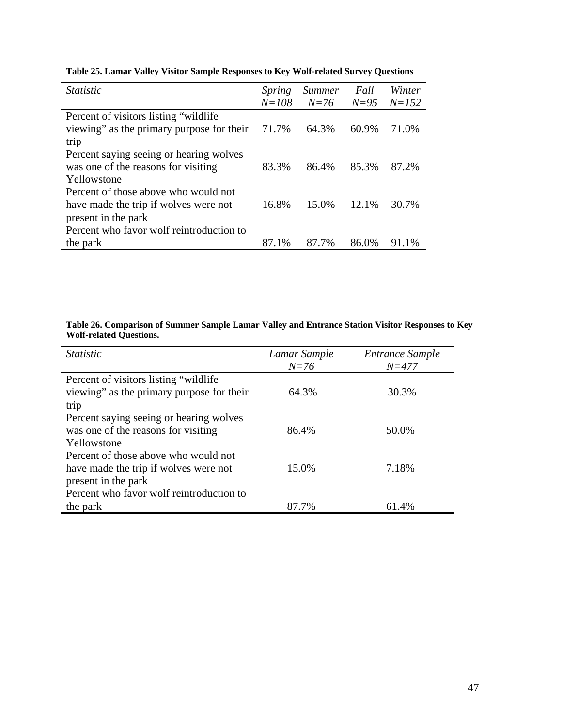| <i>Statistic</i>                          | Spring    | <i>Summer</i> | Fall     | Winter    |
|-------------------------------------------|-----------|---------------|----------|-----------|
|                                           | $N = 108$ | $N=76$        | $N = 95$ | $N = 152$ |
| Percent of visitors listing "wildlife"    |           |               |          |           |
| viewing" as the primary purpose for their | 71.7%     | 64.3%         | $60.9\%$ | 71.0%     |
| trip                                      |           |               |          |           |
| Percent saying seeing or hearing wolves   |           |               |          |           |
| was one of the reasons for visiting       | 83.3%     | 86.4%         | 85.3%    | 87.2%     |
| Yellowstone                               |           |               |          |           |
| Percent of those above who would not      |           |               |          |           |
| have made the trip if wolves were not     | 16.8%     | 15.0%         | 12.1%    | 30.7%     |
| present in the park                       |           |               |          |           |
| Percent who favor wolf reintroduction to  |           |               |          |           |
| the park                                  | 87.1%     | 87.7%         | 86.0%    | 91.1%     |

**Table 25. Lamar Valley Visitor Sample Responses to Key Wolf-related Survey Questions** 

#### **Table 26. Comparison of Summer Sample Lamar Valley and Entrance Station Visitor Responses to Key Wolf-related Questions.**

| <i>Statistic</i>                          | Lamar Sample | Entrance Sample |
|-------------------------------------------|--------------|-----------------|
|                                           | $N=76$       | $N = 477$       |
| Percent of visitors listing "wildlife"    |              |                 |
| viewing" as the primary purpose for their | 64.3%        | 30.3%           |
| trip                                      |              |                 |
| Percent saying seeing or hearing wolves   |              |                 |
| was one of the reasons for visiting       | 86.4%        | 50.0%           |
| Yellowstone                               |              |                 |
| Percent of those above who would not      |              |                 |
| have made the trip if wolves were not     | 15.0%        | 7.18%           |
| present in the park                       |              |                 |
| Percent who favor wolf reintroduction to  |              |                 |
| the park                                  | 87.7%        | 61.4%           |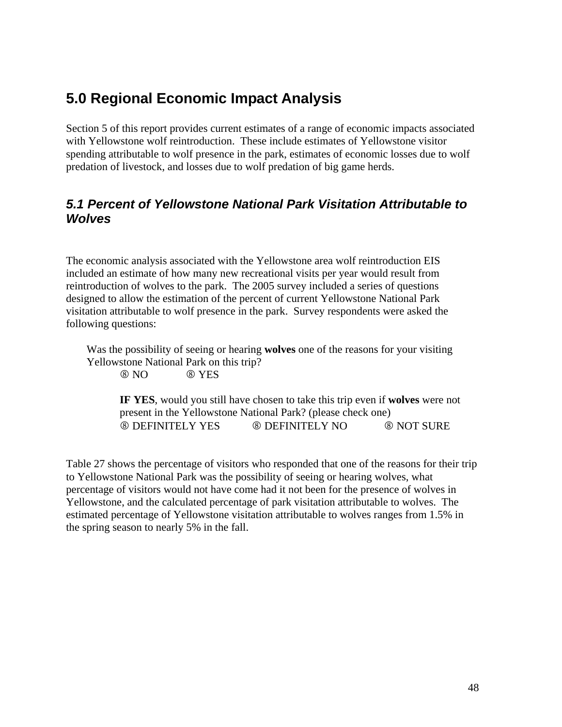# **5.0 Regional Economic Impact Analysis**

Section 5 of this report provides current estimates of a range of economic impacts associated with Yellowstone wolf reintroduction. These include estimates of Yellowstone visitor spending attributable to wolf presence in the park, estimates of economic losses due to wolf predation of livestock, and losses due to wolf predation of big game herds.

### *5.1 Percent of Yellowstone National Park Visitation Attributable to Wolves*

The economic analysis associated with the Yellowstone area wolf reintroduction EIS included an estimate of how many new recreational visits per year would result from reintroduction of wolves to the park. The 2005 survey included a series of questions designed to allow the estimation of the percent of current Yellowstone National Park visitation attributable to wolf presence in the park. Survey respondents were asked the following questions:

Was the possibility of seeing or hearing **wolves** one of the reasons for your visiting Yellowstone National Park on this trip? 8 NO 8 YES

**IF YES**, would you still have chosen to take this trip even if **wolves** were not present in the Yellowstone National Park? (please check one) 8 DEFINITELY YES 8 DEFINITELY NO 8 NOT SURE

Table 27 shows the percentage of visitors who responded that one of the reasons for their trip to Yellowstone National Park was the possibility of seeing or hearing wolves, what percentage of visitors would not have come had it not been for the presence of wolves in Yellowstone, and the calculated percentage of park visitation attributable to wolves. The estimated percentage of Yellowstone visitation attributable to wolves ranges from 1.5% in the spring season to nearly 5% in the fall.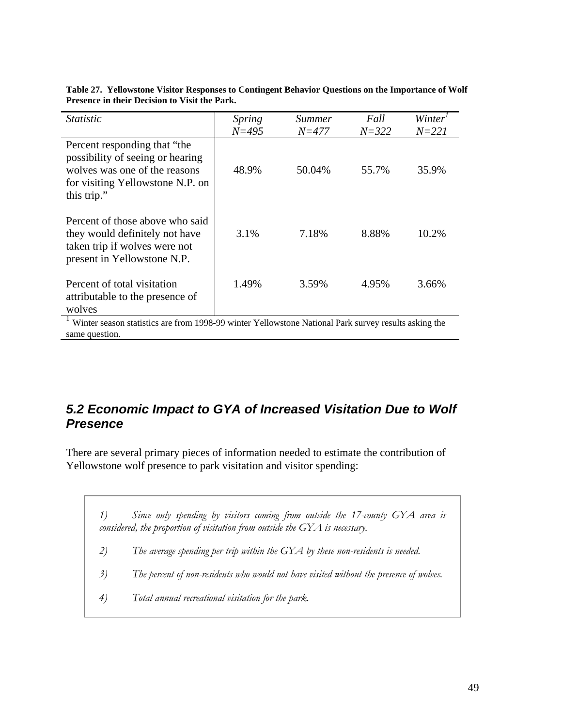| <i>Statistic</i>                                                                                                                                     | Spring<br>$N = 495$ | <i>Summer</i><br>$N = 477$ | Fall<br>$N = 322$ | Winter <sup>*</sup><br>$N = 221$ |
|------------------------------------------------------------------------------------------------------------------------------------------------------|---------------------|----------------------------|-------------------|----------------------------------|
| Percent responding that "the<br>possibility of seeing or hearing<br>wolves was one of the reasons<br>for visiting Yellowstone N.P. on<br>this trip." | 48.9%               | 50.04%                     | 55.7%             | 35.9%                            |
| Percent of those above who said<br>they would definitely not have<br>taken trip if wolves were not<br>present in Yellowstone N.P.                    | 3.1%                | 7.18%                      | 8.88%             | 10.2%                            |
| Percent of total visitation<br>attributable to the presence of<br>wolves                                                                             | 1.49%               | 3.59%                      | 4.95%             | 3.66%                            |

**Table 27. Yellowstone Visitor Responses to Contingent Behavior Questions on the Importance of Wolf Presence in their Decision to Visit the Park.** 

<sup>1</sup> Winter season statistics are from 1998-99 winter Yellowstone National Park survey results asking the same question.

# *5.2 Economic Impact to GYA of Increased Visitation Due to Wolf Presence*

There are several primary pieces of information needed to estimate the contribution of Yellowstone wolf presence to park visitation and visitor spending:

*1) Since only spending by visitors coming from outside the 17-county GYA area is considered, the proportion of visitation from outside the GYA is necessary. 2) The average spending per trip within the GYA by these non-residents is needed. 3) The percent of non-residents who would not have visited without the presence of wolves. 4) Total annual recreational visitation for the park.*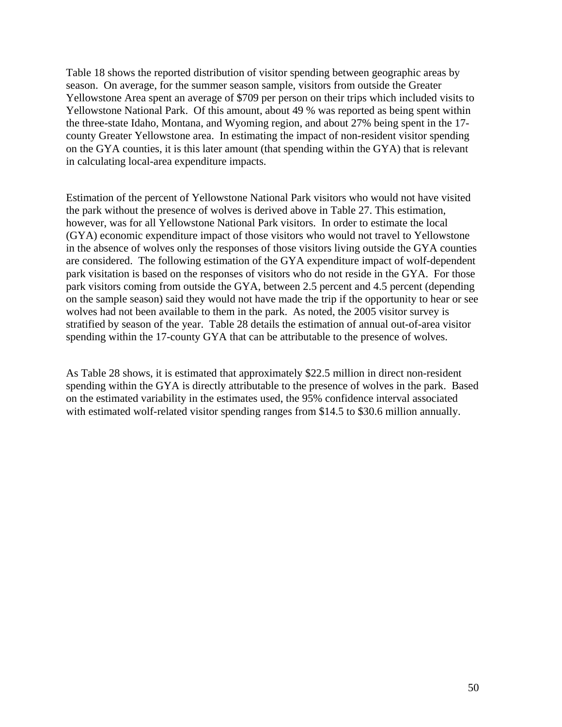Table 18 shows the reported distribution of visitor spending between geographic areas by season. On average, for the summer season sample, visitors from outside the Greater Yellowstone Area spent an average of \$709 per person on their trips which included visits to Yellowstone National Park. Of this amount, about 49 % was reported as being spent within the three-state Idaho, Montana, and Wyoming region, and about 27% being spent in the 17 county Greater Yellowstone area. In estimating the impact of non-resident visitor spending on the GYA counties, it is this later amount (that spending within the GYA) that is relevant in calculating local-area expenditure impacts.

Estimation of the percent of Yellowstone National Park visitors who would not have visited the park without the presence of wolves is derived above in Table 27. This estimation, however, was for all Yellowstone National Park visitors. In order to estimate the local (GYA) economic expenditure impact of those visitors who would not travel to Yellowstone in the absence of wolves only the responses of those visitors living outside the GYA counties are considered. The following estimation of the GYA expenditure impact of wolf-dependent park visitation is based on the responses of visitors who do not reside in the GYA. For those park visitors coming from outside the GYA, between 2.5 percent and 4.5 percent (depending on the sample season) said they would not have made the trip if the opportunity to hear or see wolves had not been available to them in the park. As noted, the 2005 visitor survey is stratified by season of the year. Table 28 details the estimation of annual out-of-area visitor spending within the 17-county GYA that can be attributable to the presence of wolves.

As Table 28 shows, it is estimated that approximately \$22.5 million in direct non-resident spending within the GYA is directly attributable to the presence of wolves in the park. Based on the estimated variability in the estimates used, the 95% confidence interval associated with estimated wolf-related visitor spending ranges from \$14.5 to \$30.6 million annually.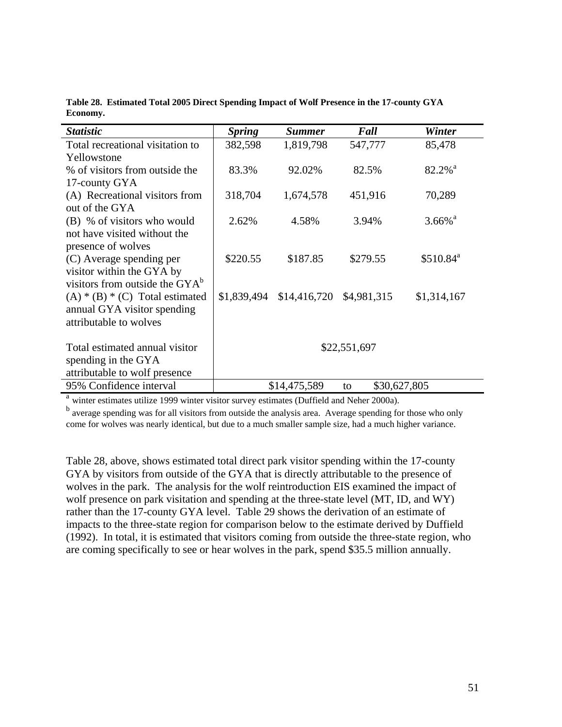| <b>Statistic</b>                           | <b>Spring</b> | <b>Summer</b> | Fall               | <b>Winter</b>         |
|--------------------------------------------|---------------|---------------|--------------------|-----------------------|
| Total recreational visitation to           | 382,598       | 1,819,798     | 547,777            | 85,478                |
| Yellowstone                                |               |               |                    |                       |
| % of visitors from outside the             | 83.3%         | 92.02%        | 82.5%              | $82.2\%$ <sup>a</sup> |
| 17-county GYA                              |               |               |                    |                       |
| (A) Recreational visitors from             | 318,704       | 1,674,578     | 451,916            | 70,289                |
| out of the GYA                             |               |               |                    |                       |
| (B) % of visitors who would                | 2.62%         | 4.58%         | 3.94%              | $3.66\%$ <sup>a</sup> |
| not have visited without the               |               |               |                    |                       |
| presence of wolves                         |               |               |                    |                       |
| (C) Average spending per                   | \$220.55      | \$187.85      | \$279.55           | \$510.84 <sup>a</sup> |
| visitor within the GYA by                  |               |               |                    |                       |
| visitors from outside the GYA <sup>b</sup> |               |               |                    |                       |
| $(A) * (B) * (C)$ Total estimated          | \$1,839,494   | \$14,416,720  | \$4,981,315        | \$1,314,167           |
| annual GYA visitor spending                |               |               |                    |                       |
| attributable to wolves                     |               |               |                    |                       |
|                                            |               |               |                    |                       |
| Total estimated annual visitor             | \$22,551,697  |               |                    |                       |
| spending in the GYA                        |               |               |                    |                       |
| attributable to wolf presence              |               |               |                    |                       |
| 95% Confidence interval                    |               | \$14,475,589  | \$30,627,805<br>to |                       |

**Table 28. Estimated Total 2005 Direct Spending Impact of Wolf Presence in the 17-county GYA Economy.** 

<sup>a</sup> winter estimates utilize 1999 winter visitor survey estimates (Duffield and Neher 2000a).

<sup>b</sup> average spending was for all visitors from outside the analysis area. Average spending for those who only come for wolves was nearly identical, but due to a much smaller sample size, had a much higher variance.

Table 28, above, shows estimated total direct park visitor spending within the 17-county GYA by visitors from outside of the GYA that is directly attributable to the presence of wolves in the park. The analysis for the wolf reintroduction EIS examined the impact of wolf presence on park visitation and spending at the three-state level (MT, ID, and WY) rather than the 17-county GYA level. Table 29 shows the derivation of an estimate of impacts to the three-state region for comparison below to the estimate derived by Duffield (1992). In total, it is estimated that visitors coming from outside the three-state region, who are coming specifically to see or hear wolves in the park, spend \$35.5 million annually.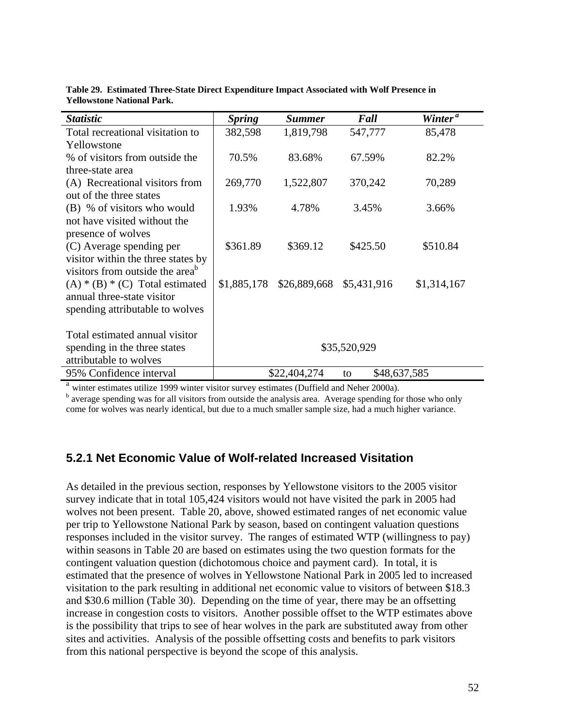| <b>Statistic</b>                            | <b>Spring</b> | <b>Summer</b> | Fall               | Winter <sup>a</sup> |
|---------------------------------------------|---------------|---------------|--------------------|---------------------|
| Total recreational visitation to            | 382,598       | 1,819,798     | 547,777            | 85,478              |
| Yellowstone                                 |               |               |                    |                     |
| % of visitors from outside the              | 70.5%         | 83.68%        | 67.59%             | 82.2%               |
| three-state area                            |               |               |                    |                     |
| (A) Recreational visitors from              | 269,770       | 1,522,807     | 370,242            | 70,289              |
| out of the three states                     |               |               |                    |                     |
| (B) % of visitors who would                 | 1.93%         | 4.78%         | 3.45%              | 3.66%               |
| not have visited without the                |               |               |                    |                     |
| presence of wolves                          |               |               |                    |                     |
| (C) Average spending per                    | \$361.89      | \$369.12      | \$425.50           | \$510.84            |
| visitor within the three states by          |               |               |                    |                     |
| visitors from outside the area <sup>b</sup> |               |               |                    |                     |
| $(A) * (B) * (C)$ Total estimated           | \$1,885,178   | \$26,889,668  | \$5,431,916        | \$1,314,167         |
| annual three-state visitor                  |               |               |                    |                     |
| spending attributable to wolves             |               |               |                    |                     |
|                                             |               |               |                    |                     |
| Total estimated annual visitor              |               |               |                    |                     |
| spending in the three states                | \$35,520,929  |               |                    |                     |
| attributable to wolves                      |               |               |                    |                     |
| 95% Confidence interval                     |               | \$22,404,274  | \$48,637,585<br>to |                     |

**Table 29. Estimated Three-State Direct Expenditure Impact Associated with Wolf Presence in Yellowstone National Park.** 

<sup>a</sup> winter estimates utilize 1999 winter visitor survey estimates (Duffield and Neher 2000a).

<sup>b</sup> average spending was for all visitors from outside the analysis area. Average spending for those who only come for wolves was nearly identical, but due to a much smaller sample size, had a much higher variance.

#### **5.2.1 Net Economic Value of Wolf-related Increased Visitation**

As detailed in the previous section, responses by Yellowstone visitors to the 2005 visitor survey indicate that in total 105,424 visitors would not have visited the park in 2005 had wolves not been present. Table 20, above, showed estimated ranges of net economic value per trip to Yellowstone National Park by season, based on contingent valuation questions responses included in the visitor survey. The ranges of estimated WTP (willingness to pay) within seasons in Table 20 are based on estimates using the two question formats for the contingent valuation question (dichotomous choice and payment card). In total, it is estimated that the presence of wolves in Yellowstone National Park in 2005 led to increased visitation to the park resulting in additional net economic value to visitors of between \$18.3 and \$30.6 million (Table 30). Depending on the time of year, there may be an offsetting increase in congestion costs to visitors. Another possible offset to the WTP estimates above is the possibility that trips to see of hear wolves in the park are substituted away from other sites and activities. Analysis of the possible offsetting costs and benefits to park visitors from this national perspective is beyond the scope of this analysis.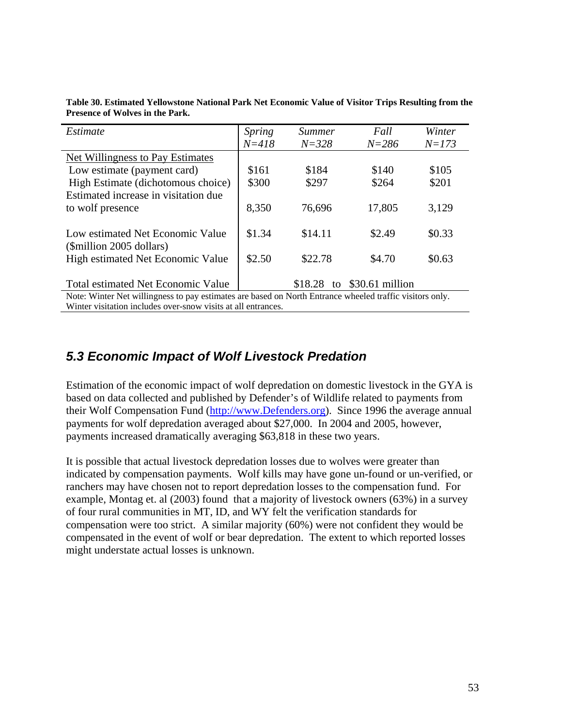| Estimate                                                                                                 | <i>Spring</i> | <i>Summer</i> | Fall            | Winter    |
|----------------------------------------------------------------------------------------------------------|---------------|---------------|-----------------|-----------|
|                                                                                                          | $N = 418$     | $N = 328$     | $N = 286$       | $N = 173$ |
| <b>Net Willingness to Pay Estimates</b>                                                                  |               |               |                 |           |
| Low estimate (payment card)                                                                              | \$161         | \$184         | \$140           | \$105     |
| High Estimate (dichotomous choice)                                                                       | \$300         | \$297         | \$264           | \$201     |
| Estimated increase in visitation due                                                                     |               |               |                 |           |
| to wolf presence                                                                                         | 8,350         | 76,696        | 17,805          | 3,129     |
|                                                                                                          |               |               |                 |           |
| Low estimated Net Economic Value                                                                         | \$1.34        | \$14.11       | \$2.49          | \$0.33    |
| (\$million 2005 dollars)                                                                                 |               |               |                 |           |
| <b>High estimated Net Economic Value</b>                                                                 | \$2.50        | \$22.78       | \$4.70          | \$0.63    |
|                                                                                                          |               |               |                 |           |
| <b>Total estimated Net Economic Value</b>                                                                |               | \$18.28<br>to | \$30.61 million |           |
| Note: Winter Net willingness to pay estimates are based on North Entrance wheeled traffic visitors only. |               |               |                 |           |
| Winter visitation includes over-snow visits at all entrances.                                            |               |               |                 |           |

**Table 30. Estimated Yellowstone National Park Net Economic Value of Visitor Trips Resulting from the Presence of Wolves in the Park.** 

# *5.3 Economic Impact of Wolf Livestock Predation*

Estimation of the economic impact of wolf depredation on domestic livestock in the GYA is based on data collected and published by Defender's of Wildlife related to payments from their Wolf Compensation Fund (http://www.Defenders.org). Since 1996 the average annual payments for wolf depredation averaged about \$27,000. In 2004 and 2005, however, payments increased dramatically averaging \$63,818 in these two years.

It is possible that actual livestock depredation losses due to wolves were greater than indicated by compensation payments. Wolf kills may have gone un-found or un-verified, or ranchers may have chosen not to report depredation losses to the compensation fund. For example, Montag et. al (2003) found that a majority of livestock owners (63%) in a survey of four rural communities in MT, ID, and WY felt the verification standards for compensation were too strict. A similar majority (60%) were not confident they would be compensated in the event of wolf or bear depredation. The extent to which reported losses might understate actual losses is unknown.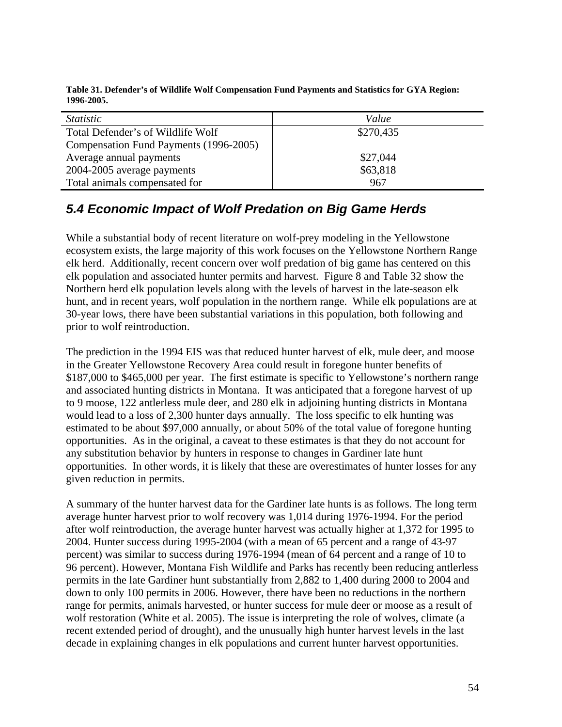| Table 31. Defender's of Wildlife Wolf Compensation Fund Payments and Statistics for GYA Region: |
|-------------------------------------------------------------------------------------------------|
| 1996-2005.                                                                                      |

| <i>Statistic</i>                       | Value     |
|----------------------------------------|-----------|
| Total Defender's of Wildlife Wolf      | \$270,435 |
| Compensation Fund Payments (1996-2005) |           |
| Average annual payments                | \$27,044  |
| 2004-2005 average payments             | \$63,818  |
| Total animals compensated for          | 967       |

# *5.4 Economic Impact of Wolf Predation on Big Game Herds*

While a substantial body of recent literature on wolf-prey modeling in the Yellowstone ecosystem exists, the large majority of this work focuses on the Yellowstone Northern Range elk herd. Additionally, recent concern over wolf predation of big game has centered on this elk population and associated hunter permits and harvest. Figure 8 and Table 32 show the Northern herd elk population levels along with the levels of harvest in the late-season elk hunt, and in recent years, wolf population in the northern range. While elk populations are at 30-year lows, there have been substantial variations in this population, both following and prior to wolf reintroduction.

The prediction in the 1994 EIS was that reduced hunter harvest of elk, mule deer, and moose in the Greater Yellowstone Recovery Area could result in foregone hunter benefits of \$187,000 to \$465,000 per year. The first estimate is specific to Yellowstone's northern range and associated hunting districts in Montana. It was anticipated that a foregone harvest of up to 9 moose, 122 antlerless mule deer, and 280 elk in adjoining hunting districts in Montana would lead to a loss of 2,300 hunter days annually. The loss specific to elk hunting was estimated to be about \$97,000 annually, or about 50% of the total value of foregone hunting opportunities. As in the original, a caveat to these estimates is that they do not account for any substitution behavior by hunters in response to changes in Gardiner late hunt opportunities. In other words, it is likely that these are overestimates of hunter losses for any given reduction in permits.

A summary of the hunter harvest data for the Gardiner late hunts is as follows. The long term average hunter harvest prior to wolf recovery was 1,014 during 1976-1994. For the period after wolf reintroduction, the average hunter harvest was actually higher at 1,372 for 1995 to 2004. Hunter success during 1995-2004 (with a mean of 65 percent and a range of 43-97 percent) was similar to success during 1976-1994 (mean of 64 percent and a range of 10 to 96 percent). However, Montana Fish Wildlife and Parks has recently been reducing antlerless permits in the late Gardiner hunt substantially from 2,882 to 1,400 during 2000 to 2004 and down to only 100 permits in 2006. However, there have been no reductions in the northern range for permits, animals harvested, or hunter success for mule deer or moose as a result of wolf restoration (White et al. 2005). The issue is interpreting the role of wolves, climate (a recent extended period of drought), and the unusually high hunter harvest levels in the last decade in explaining changes in elk populations and current hunter harvest opportunities.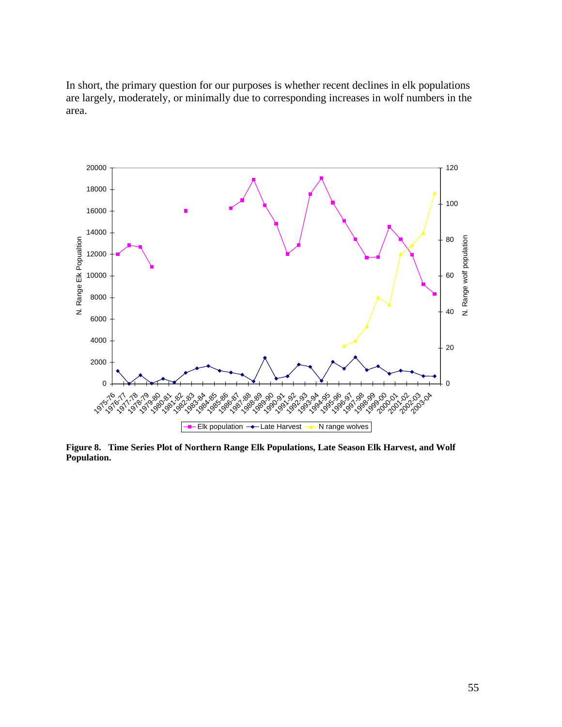In short, the primary question for our purposes is whether recent declines in elk populations are largely, moderately, or minimally due to corresponding increases in wolf numbers in the area.



**Figure 8. Time Series Plot of Northern Range Elk Populations, Late Season Elk Harvest, and Wolf Population.**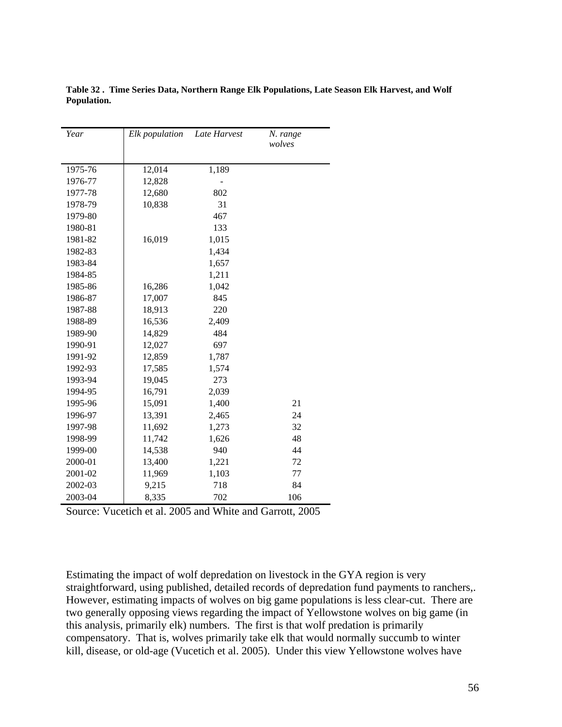| Year    | Elk population | Late Harvest | N. range<br>wolves |
|---------|----------------|--------------|--------------------|
|         |                |              |                    |
| 1975-76 | 12,014         | 1,189        |                    |
| 1976-77 | 12,828         |              |                    |
| 1977-78 | 12,680         | 802          |                    |
| 1978-79 | 10,838         | 31           |                    |
| 1979-80 |                | 467          |                    |
| 1980-81 |                | 133          |                    |
| 1981-82 | 16,019         | 1,015        |                    |
| 1982-83 |                | 1,434        |                    |
| 1983-84 |                | 1,657        |                    |
| 1984-85 |                | 1,211        |                    |
| 1985-86 | 16,286         | 1,042        |                    |
| 1986-87 | 17,007         | 845          |                    |
| 1987-88 | 18,913         | 220          |                    |
| 1988-89 | 16,536         | 2,409        |                    |
| 1989-90 | 14,829         | 484          |                    |
| 1990-91 | 12,027         | 697          |                    |
| 1991-92 | 12,859         | 1,787        |                    |
| 1992-93 | 17,585         | 1,574        |                    |
| 1993-94 | 19,045         | 273          |                    |
| 1994-95 | 16,791         | 2,039        |                    |
| 1995-96 | 15,091         | 1,400        | 21                 |
| 1996-97 | 13,391         | 2,465        | 24                 |
| 1997-98 | 11,692         | 1,273        | 32                 |
| 1998-99 | 11,742         | 1,626        | 48                 |
| 1999-00 | 14,538         | 940          | 44                 |
| 2000-01 | 13,400         | 1,221        | 72                 |
| 2001-02 | 11,969         | 1,103        | 77                 |
| 2002-03 | 9,215          | 718          | 84                 |
| 2003-04 | 8,335          | 702          | 106                |

**Table 32 . Time Series Data, Northern Range Elk Populations, Late Season Elk Harvest, and Wolf Population.** 

Source: Vucetich et al. 2005 and White and Garrott, 2005

Estimating the impact of wolf depredation on livestock in the GYA region is very straightforward, using published, detailed records of depredation fund payments to ranchers,. However, estimating impacts of wolves on big game populations is less clear-cut. There are two generally opposing views regarding the impact of Yellowstone wolves on big game (in this analysis, primarily elk) numbers. The first is that wolf predation is primarily compensatory. That is, wolves primarily take elk that would normally succumb to winter kill, disease, or old-age (Vucetich et al. 2005). Under this view Yellowstone wolves have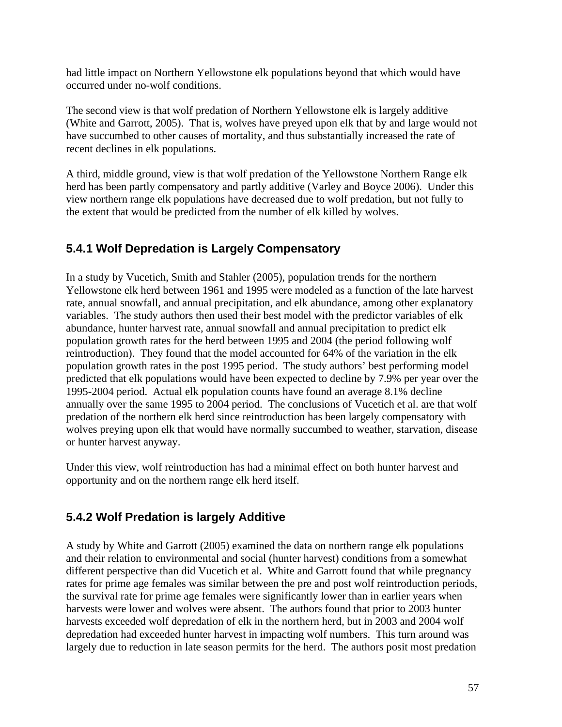had little impact on Northern Yellowstone elk populations beyond that which would have occurred under no-wolf conditions.

The second view is that wolf predation of Northern Yellowstone elk is largely additive (White and Garrott, 2005). That is, wolves have preyed upon elk that by and large would not have succumbed to other causes of mortality, and thus substantially increased the rate of recent declines in elk populations.

A third, middle ground, view is that wolf predation of the Yellowstone Northern Range elk herd has been partly compensatory and partly additive (Varley and Boyce 2006). Under this view northern range elk populations have decreased due to wolf predation, but not fully to the extent that would be predicted from the number of elk killed by wolves.

## **5.4.1 Wolf Depredation is Largely Compensatory**

In a study by Vucetich, Smith and Stahler (2005), population trends for the northern Yellowstone elk herd between 1961 and 1995 were modeled as a function of the late harvest rate, annual snowfall, and annual precipitation, and elk abundance, among other explanatory variables. The study authors then used their best model with the predictor variables of elk abundance, hunter harvest rate, annual snowfall and annual precipitation to predict elk population growth rates for the herd between 1995 and 2004 (the period following wolf reintroduction). They found that the model accounted for 64% of the variation in the elk population growth rates in the post 1995 period. The study authors' best performing model predicted that elk populations would have been expected to decline by 7.9% per year over the 1995-2004 period. Actual elk population counts have found an average 8.1% decline annually over the same 1995 to 2004 period. The conclusions of Vucetich et al. are that wolf predation of the northern elk herd since reintroduction has been largely compensatory with wolves preying upon elk that would have normally succumbed to weather, starvation, disease or hunter harvest anyway.

Under this view, wolf reintroduction has had a minimal effect on both hunter harvest and opportunity and on the northern range elk herd itself.

### **5.4.2 Wolf Predation is largely Additive**

A study by White and Garrott (2005) examined the data on northern range elk populations and their relation to environmental and social (hunter harvest) conditions from a somewhat different perspective than did Vucetich et al. White and Garrott found that while pregnancy rates for prime age females was similar between the pre and post wolf reintroduction periods, the survival rate for prime age females were significantly lower than in earlier years when harvests were lower and wolves were absent. The authors found that prior to 2003 hunter harvests exceeded wolf depredation of elk in the northern herd, but in 2003 and 2004 wolf depredation had exceeded hunter harvest in impacting wolf numbers. This turn around was largely due to reduction in late season permits for the herd. The authors posit most predation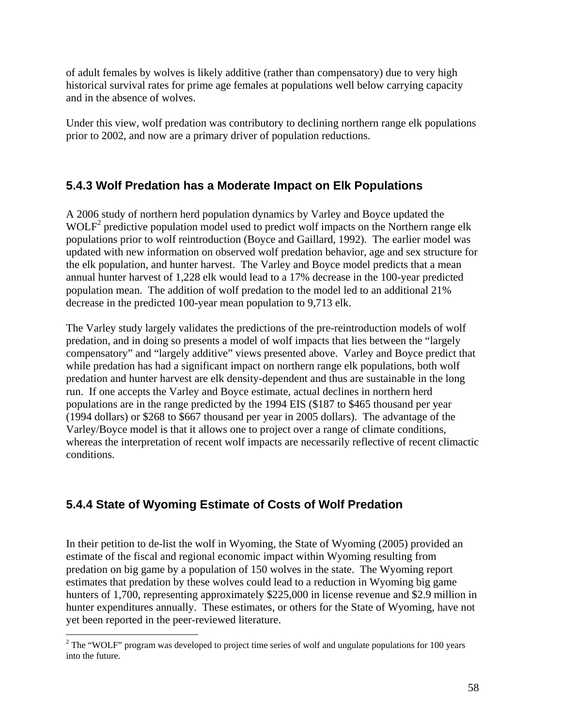of adult females by wolves is likely additive (rather than compensatory) due to very high historical survival rates for prime age females at populations well below carrying capacity and in the absence of wolves.

Under this view, wolf predation was contributory to declining northern range elk populations prior to 2002, and now are a primary driver of population reductions.

## **5.4.3 Wolf Predation has a Moderate Impact on Elk Populations**

A 2006 study of northern herd population dynamics by Varley and Boyce updated the WOLF<sup>2</sup> predictive population model used to predict wolf impacts on the Northern range elk populations prior to wolf reintroduction (Boyce and Gaillard, 1992). The earlier model was updated with new information on observed wolf predation behavior, age and sex structure for the elk population, and hunter harvest. The Varley and Boyce model predicts that a mean annual hunter harvest of 1,228 elk would lead to a 17% decrease in the 100-year predicted population mean. The addition of wolf predation to the model led to an additional 21% decrease in the predicted 100-year mean population to 9,713 elk.

The Varley study largely validates the predictions of the pre-reintroduction models of wolf predation, and in doing so presents a model of wolf impacts that lies between the "largely compensatory" and "largely additive" views presented above. Varley and Boyce predict that while predation has had a significant impact on northern range elk populations, both wolf predation and hunter harvest are elk density-dependent and thus are sustainable in the long run. If one accepts the Varley and Boyce estimate, actual declines in northern herd populations are in the range predicted by the 1994 EIS (\$187 to \$465 thousand per year (1994 dollars) or \$268 to \$667 thousand per year in 2005 dollars). The advantage of the Varley/Boyce model is that it allows one to project over a range of climate conditions, whereas the interpretation of recent wolf impacts are necessarily reflective of recent climactic conditions.

# **5.4.4 State of Wyoming Estimate of Costs of Wolf Predation**

In their petition to de-list the wolf in Wyoming, the State of Wyoming (2005) provided an estimate of the fiscal and regional economic impact within Wyoming resulting from predation on big game by a population of 150 wolves in the state. The Wyoming report estimates that predation by these wolves could lead to a reduction in Wyoming big game hunters of 1,700, representing approximately \$225,000 in license revenue and \$2.9 million in hunter expenditures annually. These estimates, or others for the State of Wyoming, have not yet been reported in the peer-reviewed literature.

<sup>&</sup>lt;sup>2</sup> The "WOLF" program was developed to project time series of wolf and ungulate populations for 100 years into the future.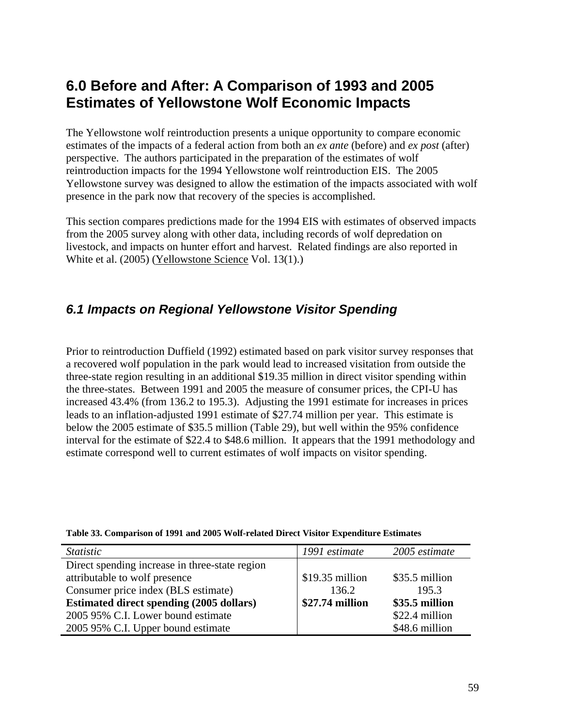# **6.0 Before and After: A Comparison of 1993 and 2005 Estimates of Yellowstone Wolf Economic Impacts**

The Yellowstone wolf reintroduction presents a unique opportunity to compare economic estimates of the impacts of a federal action from both an *ex ante* (before) and *ex post* (after) perspective. The authors participated in the preparation of the estimates of wolf reintroduction impacts for the 1994 Yellowstone wolf reintroduction EIS. The 2005 Yellowstone survey was designed to allow the estimation of the impacts associated with wolf presence in the park now that recovery of the species is accomplished.

This section compares predictions made for the 1994 EIS with estimates of observed impacts from the 2005 survey along with other data, including records of wolf depredation on livestock, and impacts on hunter effort and harvest. Related findings are also reported in White et al. (2005) (Yellowstone Science Vol. 13(1).)

## *6.1 Impacts on Regional Yellowstone Visitor Spending*

Prior to reintroduction Duffield (1992) estimated based on park visitor survey responses that a recovered wolf population in the park would lead to increased visitation from outside the three-state region resulting in an additional \$19.35 million in direct visitor spending within the three-states. Between 1991 and 2005 the measure of consumer prices, the CPI-U has increased 43.4% (from 136.2 to 195.3). Adjusting the 1991 estimate for increases in prices leads to an inflation-adjusted 1991 estimate of \$27.74 million per year. This estimate is below the 2005 estimate of \$35.5 million (Table 29), but well within the 95% confidence interval for the estimate of \$22.4 to \$48.6 million. It appears that the 1991 methodology and estimate correspond well to current estimates of wolf impacts on visitor spending.

| <i>Statistic</i>                                | 1991 estimate    | 2005 estimate  |
|-------------------------------------------------|------------------|----------------|
| Direct spending increase in three-state region  |                  |                |
| attributable to wolf presence                   | $$19.35$ million | \$35.5 million |
| Consumer price index (BLS estimate)             | 136.2            | 195.3          |
| <b>Estimated direct spending (2005 dollars)</b> | \$27.74 million  | \$35.5 million |
| 2005 95% C.I. Lower bound estimate              |                  | \$22.4 million |
| 2005 95% C.I. Upper bound estimate              |                  | \$48.6 million |

#### **Table 33. Comparison of 1991 and 2005 Wolf-related Direct Visitor Expenditure Estimates**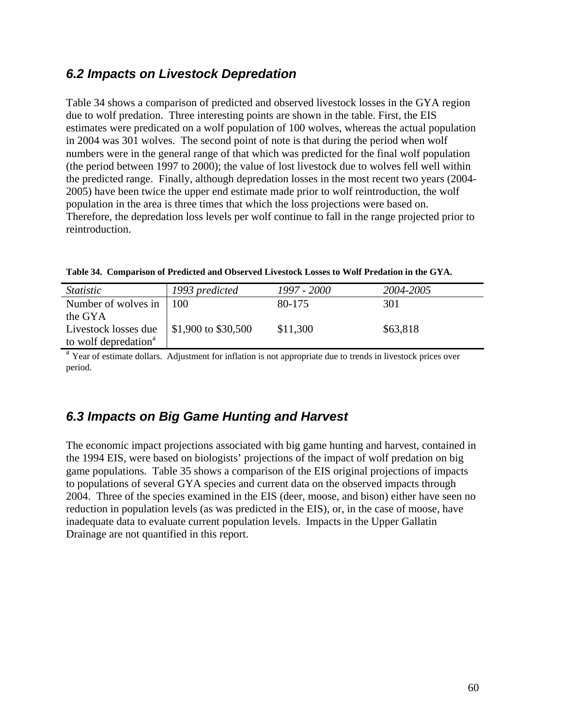# *6.2 Impacts on Livestock Depredation*

Table 34 shows a comparison of predicted and observed livestock losses in the GYA region due to wolf predation. Three interesting points are shown in the table. First, the EIS estimates were predicated on a wolf population of 100 wolves, whereas the actual population in 2004 was 301 wolves. The second point of note is that during the period when wolf numbers were in the general range of that which was predicted for the final wolf population (the period between 1997 to 2000); the value of lost livestock due to wolves fell well within the predicted range. Finally, although depredation losses in the most recent two years (2004- 2005) have been twice the upper end estimate made prior to wolf reintroduction, the wolf population in the area is three times that which the loss projections were based on. Therefore, the depredation loss levels per wolf continue to fall in the range projected prior to reintroduction.

| <i>Statistic</i>                 | 1993 predicted              | 1997 - 2000 | 2004-2005 |
|----------------------------------|-----------------------------|-------------|-----------|
| Number of wolves in              | l 100                       | 80-175      | 301       |
| the GYA                          |                             |             |           |
| Livestock losses due             | $\vert$ \$1,900 to \$30,500 | \$11,300    | \$63,818  |
| to wolf depredation <sup>a</sup> |                             |             |           |

<sup>a</sup> Year of estimate dollars. Adjustment for inflation is not appropriate due to trends in livestock prices over period.

# *6.3 Impacts on Big Game Hunting and Harvest*

The economic impact projections associated with big game hunting and harvest, contained in the 1994 EIS, were based on biologists' projections of the impact of wolf predation on big game populations. Table 35 shows a comparison of the EIS original projections of impacts to populations of several GYA species and current data on the observed impacts through 2004. Three of the species examined in the EIS (deer, moose, and bison) either have seen no reduction in population levels (as was predicted in the EIS), or, in the case of moose, have inadequate data to evaluate current population levels. Impacts in the Upper Gallatin Drainage are not quantified in this report.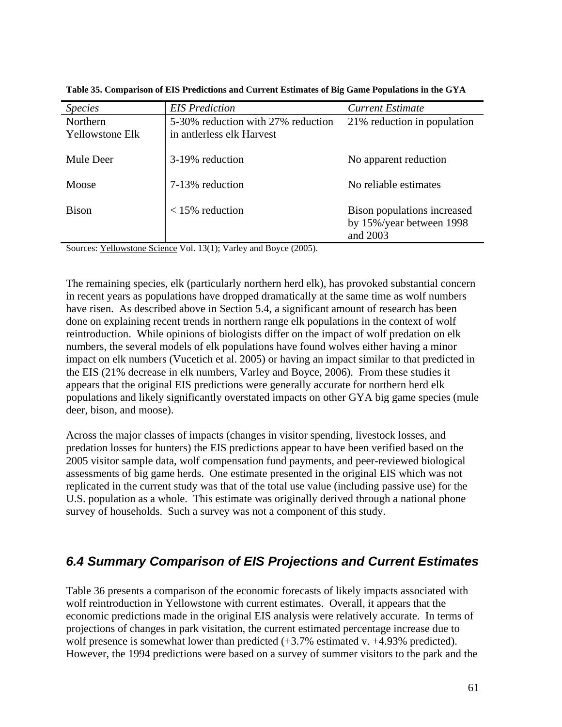| <b>Species</b>         | <b>EIS</b> Prediction              | <b>Current Estimate</b>     |
|------------------------|------------------------------------|-----------------------------|
| Northern               | 5-30% reduction with 27% reduction | 21% reduction in population |
| <b>Yellowstone Elk</b> | in antlerless elk Harvest          |                             |
| Mule Deer              | 3-19% reduction                    | No apparent reduction       |
| Moose                  | 7-13% reduction                    | No reliable estimates       |
| <b>Bison</b>           | $<$ 15% reduction                  | Bison populations increased |
|                        |                                    | by 15%/year between 1998    |
|                        |                                    | and 2003                    |

**Table 35. Comparison of EIS Predictions and Current Estimates of Big Game Populations in the GYA** 

Sources: Yellowstone Science Vol. 13(1); Varley and Boyce (2005).

The remaining species, elk (particularly northern herd elk), has provoked substantial concern in recent years as populations have dropped dramatically at the same time as wolf numbers have risen. As described above in Section 5.4, a significant amount of research has been done on explaining recent trends in northern range elk populations in the context of wolf reintroduction. While opinions of biologists differ on the impact of wolf predation on elk numbers, the several models of elk populations have found wolves either having a minor impact on elk numbers (Vucetich et al. 2005) or having an impact similar to that predicted in the EIS (21% decrease in elk numbers, Varley and Boyce, 2006). From these studies it appears that the original EIS predictions were generally accurate for northern herd elk populations and likely significantly overstated impacts on other GYA big game species (mule deer, bison, and moose).

Across the major classes of impacts (changes in visitor spending, livestock losses, and predation losses for hunters) the EIS predictions appear to have been verified based on the 2005 visitor sample data, wolf compensation fund payments, and peer-reviewed biological assessments of big game herds. One estimate presented in the original EIS which was not replicated in the current study was that of the total use value (including passive use) for the U.S. population as a whole. This estimate was originally derived through a national phone survey of households. Such a survey was not a component of this study.

# *6.4 Summary Comparison of EIS Projections and Current Estimates*

Table 36 presents a comparison of the economic forecasts of likely impacts associated with wolf reintroduction in Yellowstone with current estimates. Overall, it appears that the economic predictions made in the original EIS analysis were relatively accurate. In terms of projections of changes in park visitation, the current estimated percentage increase due to wolf presence is somewhat lower than predicted  $(+3.7\%$  estimated v.  $+4.93\%$  predicted). However, the 1994 predictions were based on a survey of summer visitors to the park and the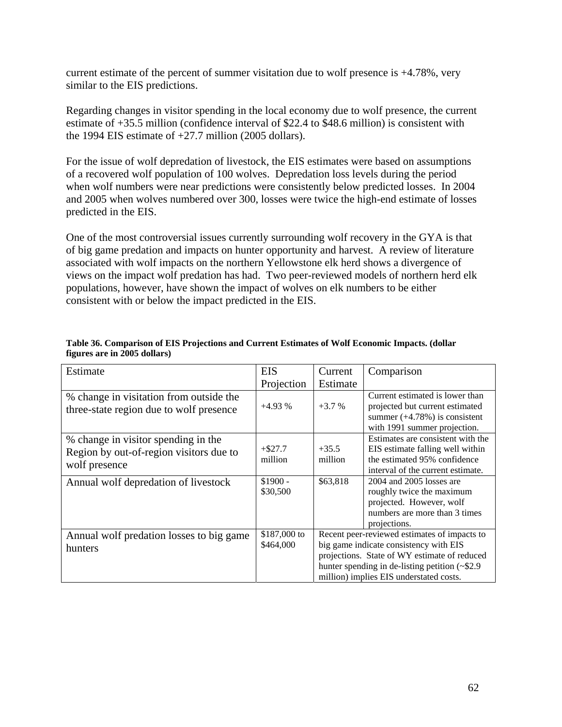current estimate of the percent of summer visitation due to wolf presence is  $+4.78\%$ , very similar to the EIS predictions.

Regarding changes in visitor spending in the local economy due to wolf presence, the current estimate of +35.5 million (confidence interval of \$22.4 to \$48.6 million) is consistent with the 1994 EIS estimate of  $+27.7$  million (2005 dollars).

For the issue of wolf depredation of livestock, the EIS estimates were based on assumptions of a recovered wolf population of 100 wolves. Depredation loss levels during the period when wolf numbers were near predictions were consistently below predicted losses. In 2004 and 2005 when wolves numbered over 300, losses were twice the high-end estimate of losses predicted in the EIS.

One of the most controversial issues currently surrounding wolf recovery in the GYA is that of big game predation and impacts on hunter opportunity and harvest. A review of literature associated with wolf impacts on the northern Yellowstone elk herd shows a divergence of views on the impact wolf predation has had. Two peer-reviewed models of northern herd elk populations, however, have shown the impact of wolves on elk numbers to be either consistent with or below the impact predicted in the EIS.

| Estimate                                                                                        | <b>EIS</b>                | Current                                                                                                                                                                                                                                  | Comparison                                                                                                                                 |
|-------------------------------------------------------------------------------------------------|---------------------------|------------------------------------------------------------------------------------------------------------------------------------------------------------------------------------------------------------------------------------------|--------------------------------------------------------------------------------------------------------------------------------------------|
|                                                                                                 | Projection                | Estimate                                                                                                                                                                                                                                 |                                                                                                                                            |
| % change in visitation from outside the<br>three-state region due to wolf presence              | $+4.93%$                  | $+3.7%$                                                                                                                                                                                                                                  | Current estimated is lower than<br>projected but current estimated<br>summer $(+4.78%)$ is consistent<br>with 1991 summer projection.      |
| % change in visitor spending in the<br>Region by out-of-region visitors due to<br>wolf presence | $+ $27.7$<br>million      | $+35.5$<br>million                                                                                                                                                                                                                       | Estimates are consistent with the<br>EIS estimate falling well within<br>the estimated 95% confidence<br>interval of the current estimate. |
| Annual wolf depredation of livestock                                                            | $$1900 -$<br>\$30,500     | \$63,818                                                                                                                                                                                                                                 | 2004 and 2005 losses are<br>roughly twice the maximum<br>projected. However, wolf<br>numbers are more than 3 times<br>projections.         |
| Annual wolf predation losses to big game<br>hunters                                             | \$187,000 to<br>\$464,000 | Recent peer-reviewed estimates of impacts to<br>big game indicate consistency with EIS<br>projections. State of WY estimate of reduced<br>hunter spending in de-listing petition $(\sim 2.9)$<br>million) implies EIS understated costs. |                                                                                                                                            |

#### **Table 36. Comparison of EIS Projections and Current Estimates of Wolf Economic Impacts. (dollar figures are in 2005 dollars)**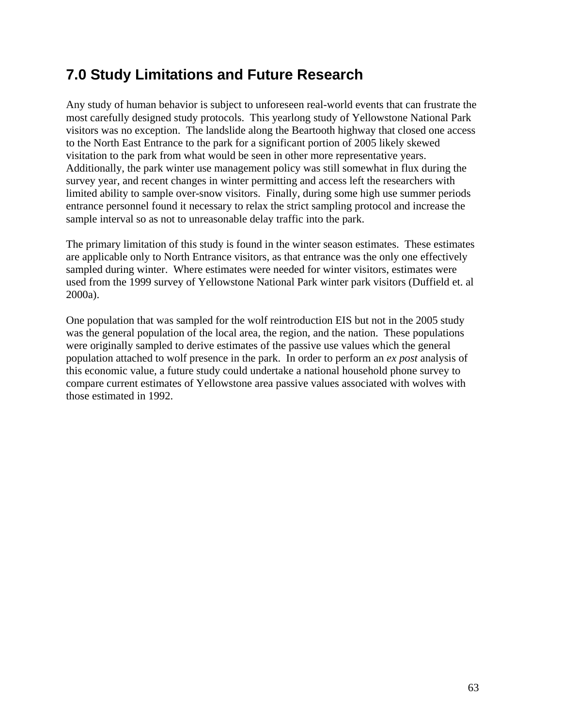# **7.0 Study Limitations and Future Research**

Any study of human behavior is subject to unforeseen real-world events that can frustrate the most carefully designed study protocols. This yearlong study of Yellowstone National Park visitors was no exception. The landslide along the Beartooth highway that closed one access to the North East Entrance to the park for a significant portion of 2005 likely skewed visitation to the park from what would be seen in other more representative years. Additionally, the park winter use management policy was still somewhat in flux during the survey year, and recent changes in winter permitting and access left the researchers with limited ability to sample over-snow visitors. Finally, during some high use summer periods entrance personnel found it necessary to relax the strict sampling protocol and increase the sample interval so as not to unreasonable delay traffic into the park.

The primary limitation of this study is found in the winter season estimates. These estimates are applicable only to North Entrance visitors, as that entrance was the only one effectively sampled during winter. Where estimates were needed for winter visitors, estimates were used from the 1999 survey of Yellowstone National Park winter park visitors (Duffield et. al 2000a).

One population that was sampled for the wolf reintroduction EIS but not in the 2005 study was the general population of the local area, the region, and the nation. These populations were originally sampled to derive estimates of the passive use values which the general population attached to wolf presence in the park. In order to perform an *ex post* analysis of this economic value, a future study could undertake a national household phone survey to compare current estimates of Yellowstone area passive values associated with wolves with those estimated in 1992.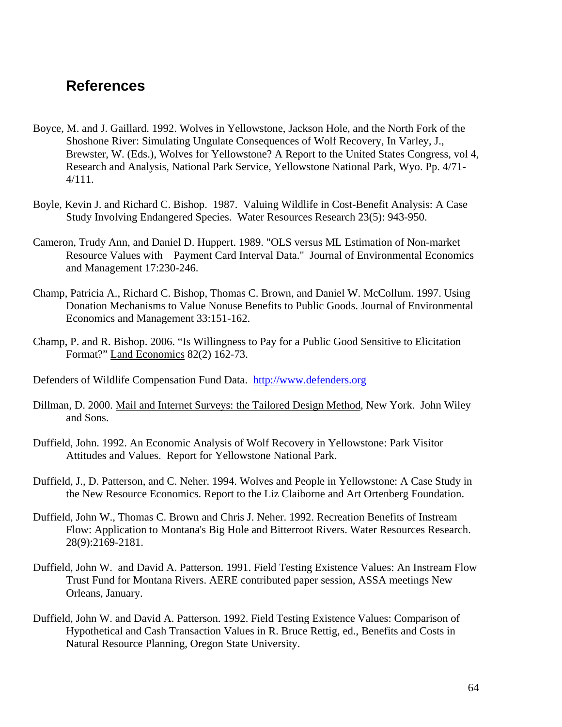# **References**

- Boyce, M. and J. Gaillard. 1992. Wolves in Yellowstone, Jackson Hole, and the North Fork of the Shoshone River: Simulating Ungulate Consequences of Wolf Recovery, In Varley, J., Brewster, W. (Eds.), Wolves for Yellowstone? A Report to the United States Congress, vol 4, Research and Analysis, National Park Service, Yellowstone National Park, Wyo. Pp. 4/71- 4/111.
- Boyle, Kevin J. and Richard C. Bishop. 1987. Valuing Wildlife in Cost-Benefit Analysis: A Case Study Involving Endangered Species. Water Resources Research 23(5): 943-950.
- Cameron, Trudy Ann, and Daniel D. Huppert. 1989. "OLS versus ML Estimation of Non-market Resource Values with Payment Card Interval Data." Journal of Environmental Economics and Management 17:230-246.
- Champ, Patricia A., Richard C. Bishop, Thomas C. Brown, and Daniel W. McCollum. 1997. Using Donation Mechanisms to Value Nonuse Benefits to Public Goods. Journal of Environmental Economics and Management 33:151-162.
- Champ, P. and R. Bishop. 2006. "Is Willingness to Pay for a Public Good Sensitive to Elicitation Format?" Land Economics 82(2) 162-73.
- Defenders of Wildlife Compensation Fund Data. http://www.defenders.org
- Dillman, D. 2000. Mail and Internet Surveys: the Tailored Design Method, New York. John Wiley and Sons.
- Duffield, John. 1992. An Economic Analysis of Wolf Recovery in Yellowstone: Park Visitor Attitudes and Values. Report for Yellowstone National Park.
- Duffield, J., D. Patterson, and C. Neher. 1994. Wolves and People in Yellowstone: A Case Study in the New Resource Economics. Report to the Liz Claiborne and Art Ortenberg Foundation.
- Duffield, John W., Thomas C. Brown and Chris J. Neher. 1992. Recreation Benefits of Instream Flow: Application to Montana's Big Hole and Bitterroot Rivers. Water Resources Research. 28(9):2169-2181.
- Duffield, John W. and David A. Patterson. 1991. Field Testing Existence Values: An Instream Flow Trust Fund for Montana Rivers. AERE contributed paper session, ASSA meetings New Orleans, January.
- Duffield, John W. and David A. Patterson. 1992. Field Testing Existence Values: Comparison of Hypothetical and Cash Transaction Values in R. Bruce Rettig, ed., Benefits and Costs in Natural Resource Planning, Oregon State University.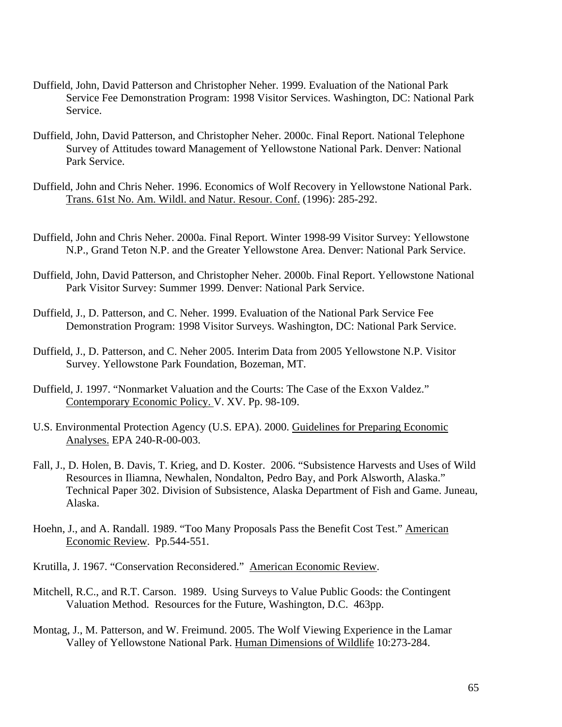- Duffield, John, David Patterson and Christopher Neher. 1999. Evaluation of the National Park Service Fee Demonstration Program: 1998 Visitor Services. Washington, DC: National Park Service.
- Duffield, John, David Patterson, and Christopher Neher. 2000c. Final Report. National Telephone Survey of Attitudes toward Management of Yellowstone National Park. Denver: National Park Service.
- Duffield, John and Chris Neher. 1996. Economics of Wolf Recovery in Yellowstone National Park. Trans. 61st No. Am. Wildl. and Natur. Resour. Conf. (1996): 285-292.
- Duffield, John and Chris Neher. 2000a. Final Report. Winter 1998-99 Visitor Survey: Yellowstone N.P., Grand Teton N.P. and the Greater Yellowstone Area. Denver: National Park Service.
- Duffield, John, David Patterson, and Christopher Neher. 2000b. Final Report. Yellowstone National Park Visitor Survey: Summer 1999. Denver: National Park Service.
- Duffield, J., D. Patterson, and C. Neher. 1999. Evaluation of the National Park Service Fee Demonstration Program: 1998 Visitor Surveys. Washington, DC: National Park Service.
- Duffield, J., D. Patterson, and C. Neher 2005. Interim Data from 2005 Yellowstone N.P. Visitor Survey. Yellowstone Park Foundation, Bozeman, MT.
- Duffield, J. 1997. "Nonmarket Valuation and the Courts: The Case of the Exxon Valdez." Contemporary Economic Policy. V. XV. Pp. 98-109.
- U.S. Environmental Protection Agency (U.S. EPA). 2000. Guidelines for Preparing Economic Analyses. EPA 240-R-00-003.
- Fall, J., D. Holen, B. Davis, T. Krieg, and D. Koster. 2006. "Subsistence Harvests and Uses of Wild Resources in Iliamna, Newhalen, Nondalton, Pedro Bay, and Pork Alsworth, Alaska." Technical Paper 302. Division of Subsistence, Alaska Department of Fish and Game. Juneau, Alaska.
- Hoehn, J., and A. Randall. 1989. "Too Many Proposals Pass the Benefit Cost Test." American Economic Review. Pp.544-551.
- Krutilla, J. 1967. "Conservation Reconsidered." American Economic Review.
- Mitchell, R.C., and R.T. Carson. 1989. Using Surveys to Value Public Goods: the Contingent Valuation Method. Resources for the Future, Washington, D.C. 463pp.
- Montag, J., M. Patterson, and W. Freimund. 2005. The Wolf Viewing Experience in the Lamar Valley of Yellowstone National Park. Human Dimensions of Wildlife 10:273-284.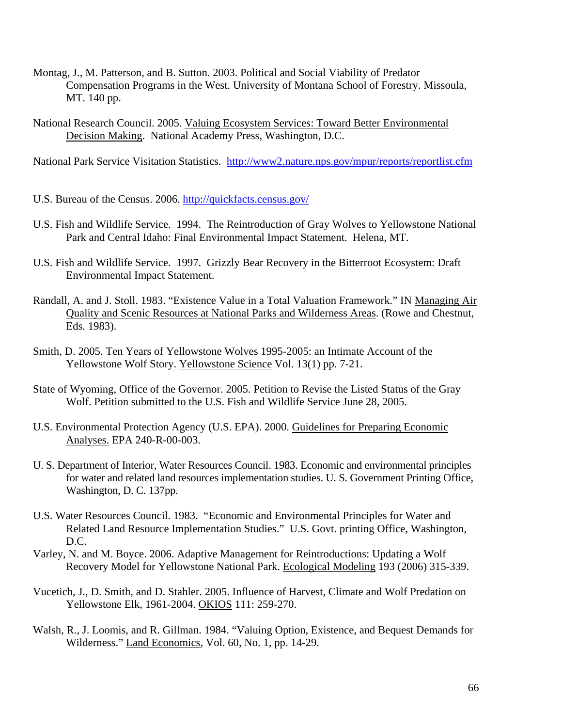- Montag, J., M. Patterson, and B. Sutton. 2003. Political and Social Viability of Predator Compensation Programs in the West. University of Montana School of Forestry. Missoula, MT. 140 pp.
- National Research Council. 2005. Valuing Ecosystem Services: Toward Better Environmental Decision Making. National Academy Press, Washington, D.C.

National Park Service Visitation Statistics. http://www2.nature.nps.gov/mpur/reports/reportlist.cfm

- U.S. Bureau of the Census. 2006. http://quickfacts.census.gov/
- U.S. Fish and Wildlife Service. 1994. The Reintroduction of Gray Wolves to Yellowstone National Park and Central Idaho: Final Environmental Impact Statement. Helena, MT.
- U.S. Fish and Wildlife Service. 1997. Grizzly Bear Recovery in the Bitterroot Ecosystem: Draft Environmental Impact Statement.
- Randall, A. and J. Stoll. 1983. "Existence Value in a Total Valuation Framework." IN Managing Air Quality and Scenic Resources at National Parks and Wilderness Areas. (Rowe and Chestnut, Eds. 1983).
- Smith, D. 2005. Ten Years of Yellowstone Wolves 1995-2005: an Intimate Account of the Yellowstone Wolf Story. Yellowstone Science Vol. 13(1) pp. 7-21.
- State of Wyoming, Office of the Governor. 2005. Petition to Revise the Listed Status of the Gray Wolf. Petition submitted to the U.S. Fish and Wildlife Service June 28, 2005.
- U.S. Environmental Protection Agency (U.S. EPA). 2000. Guidelines for Preparing Economic Analyses. EPA 240-R-00-003.
- U. S. Department of Interior, Water Resources Council. 1983. Economic and environmental principles for water and related land resources implementation studies. U. S. Government Printing Office, Washington, D. C. 137pp.
- U.S. Water Resources Council. 1983. "Economic and Environmental Principles for Water and Related Land Resource Implementation Studies." U.S. Govt. printing Office, Washington, D.C.
- Varley, N. and M. Boyce. 2006. Adaptive Management for Reintroductions: Updating a Wolf Recovery Model for Yellowstone National Park. Ecological Modeling 193 (2006) 315-339.
- Vucetich, J., D. Smith, and D. Stahler. 2005. Influence of Harvest, Climate and Wolf Predation on Yellowstone Elk, 1961-2004. OKIOS 111: 259-270.
- Walsh, R., J. Loomis, and R. Gillman. 1984. "Valuing Option, Existence, and Bequest Demands for Wilderness." Land Economics, Vol. 60, No. 1, pp. 14-29.